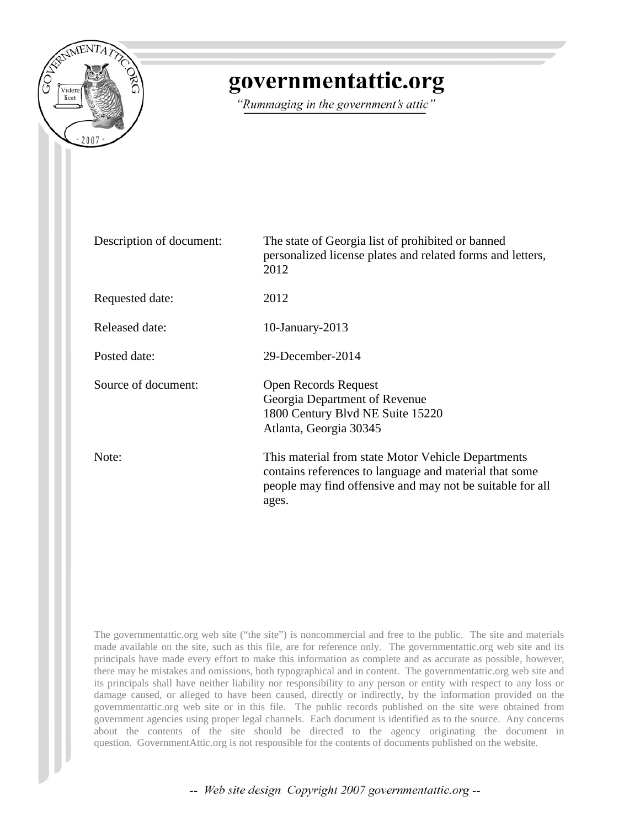

# governmentattic.org

"Rummaging in the government's attic"

| Description of document: | The state of Georgia list of prohibited or banned<br>personalized license plates and related forms and letters,<br>2012                                                            |
|--------------------------|------------------------------------------------------------------------------------------------------------------------------------------------------------------------------------|
| Requested date:          | 2012                                                                                                                                                                               |
| Released date:           | $10$ -January-2013                                                                                                                                                                 |
| Posted date:             | 29-December-2014                                                                                                                                                                   |
| Source of document:      | <b>Open Records Request</b><br>Georgia Department of Revenue<br>1800 Century Blvd NE Suite 15220<br>Atlanta, Georgia 30345                                                         |
| Note:                    | This material from state Motor Vehicle Departments<br>contains references to language and material that some<br>people may find offensive and may not be suitable for all<br>ages. |

The governmentattic.org web site ("the site") is noncommercial and free to the public. The site and materials made available on the site, such as this file, are for reference only. The governmentattic.org web site and its principals have made every effort to make this information as complete and as accurate as possible, however, there may be mistakes and omissions, both typographical and in content. The governmentattic.org web site and its principals shall have neither liability nor responsibility to any person or entity with respect to any loss or damage caused, or alleged to have been caused, directly or indirectly, by the information provided on the governmentattic.org web site or in this file. The public records published on the site were obtained from government agencies using proper legal channels. Each document is identified as to the source. Any concerns about the contents of the site should be directed to the agency originating the document in question. GovernmentAttic.org is not responsible for the contents of documents published on the website.

-- Web site design Copyright 2007 governmentattic.org --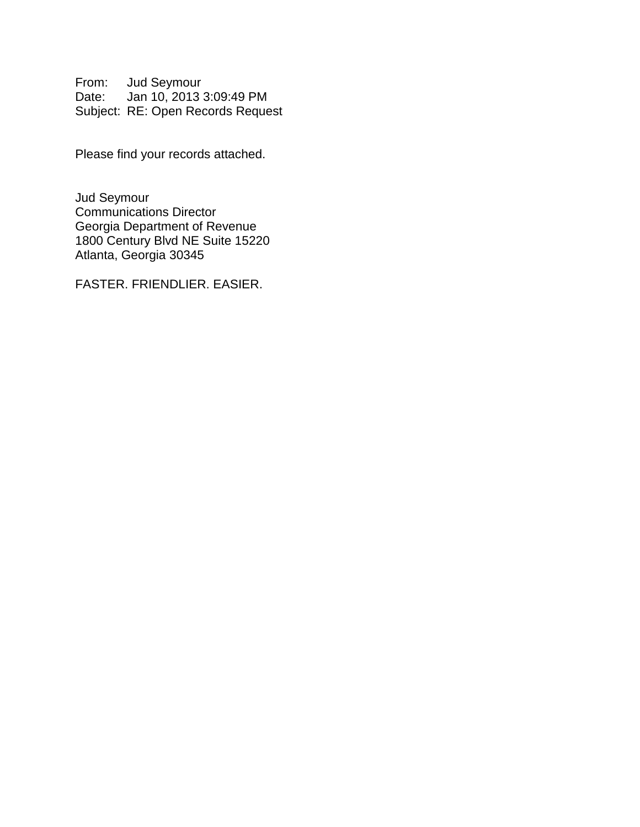From: Jud Seymour Date: Jan 10, 2013 3:09:49 PM Subject: RE: Open Records Request

Please find your records attached.

Jud Seymour Communications Director Georgia Department of Revenue 1800 Century Blvd NE Suite 15220 Atlanta, Georgia 30345

FASTER. FRIENDLIER. EASIER.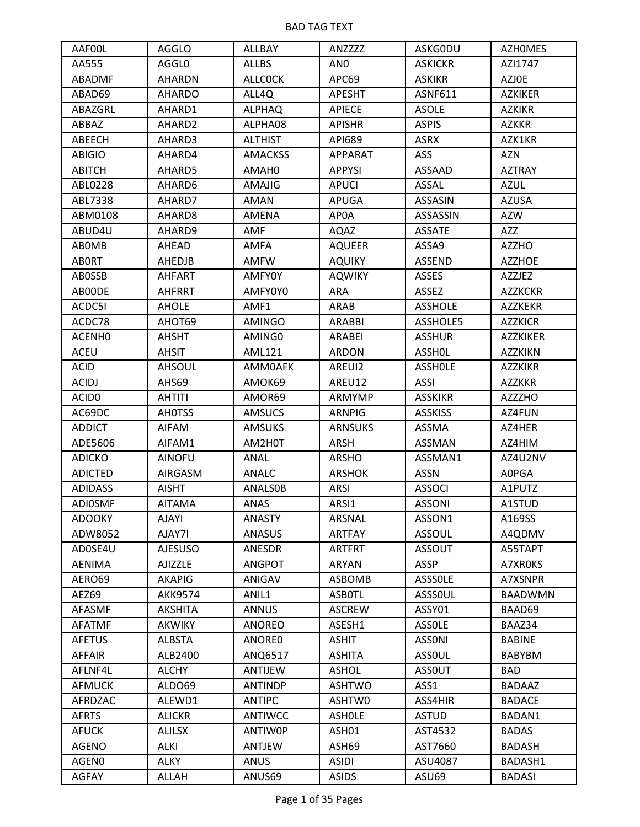| AAF00L            | AGGLO          | ALLBAY         | ANZZZZ          | <b>ASKGODU</b> | <b>AZHOMES</b>  |
|-------------------|----------------|----------------|-----------------|----------------|-----------------|
| AA555             | AGGL0          | <b>ALLBS</b>   | AN <sub>0</sub> | <b>ASKICKR</b> | AZI1747         |
| ABADMF            | <b>AHARDN</b>  | <b>ALLCOCK</b> | APC69           | <b>ASKIKR</b>  | <b>AZJOE</b>    |
| ABAD69            | <b>AHARDO</b>  | ALL4Q          | <b>APESHT</b>   | ASNF611        | <b>AZKIKER</b>  |
| ABAZGRL           | AHARD1         | <b>ALPHAQ</b>  | <b>APIECE</b>   | <b>ASOLE</b>   | <b>AZKIKR</b>   |
| ABBAZ             | AHARD2         | ALPHA08        | <b>APISHR</b>   | <b>ASPIS</b>   | <b>AZKKR</b>    |
| ABEECH            | AHARD3         | <b>ALTHIST</b> | API689          | <b>ASRX</b>    | AZK1KR          |
| <b>ABIGIO</b>     | AHARD4         | <b>AMACKSS</b> | APPARAT         | ASS            | <b>AZN</b>      |
| <b>ABITCH</b>     | AHARD5         | AMAH0          | <b>APPYSI</b>   | <b>ASSAAD</b>  | <b>AZTRAY</b>   |
| ABL0228           | AHARD6         | AMAJIG         | <b>APUCI</b>    | ASSAL          | <b>AZUL</b>     |
| ABL7338           | AHARD7         | AMAN           | APUGA           | ASSASIN        | <b>AZUSA</b>    |
| ABM0108           | AHARD8         | AMENA          | AP0A            | ASSASSIN       | <b>AZW</b>      |
| ABUD4U            | AHARD9         | AMF            | AQAZ            | <b>ASSATE</b>  | AZZ             |
| <b>ABOMB</b>      | AHEAD          | AMFA           | <b>AQUEER</b>   | ASSA9          | AZZHO           |
| <b>ABORT</b>      | <b>AHEDJB</b>  | AMFW           | <b>AQUIKY</b>   | ASSEND         | <b>AZZHOE</b>   |
| <b>ABOSSB</b>     | <b>AHFART</b>  | <b>AMFY0Y</b>  | <b>AQWIKY</b>   | ASSES          | AZZJEZ          |
| AB00DE            | <b>AHFRRT</b>  | AMFY0Y0        | ARA             | ASSEZ          | <b>AZZKCKR</b>  |
| ACDC51            | <b>AHOLE</b>   | AMF1           | ARAB            | <b>ASSHOLE</b> | AZZKEKR         |
| ACDC78            | AHOT69         | <b>AMINGO</b>  | ARABBI          | ASSHOLE5       | <b>AZZKICR</b>  |
| ACENHO            | <b>AHSHT</b>   | AMING0         | ARABEI          | <b>ASSHUR</b>  | <b>AZZKIKER</b> |
| <b>ACEU</b>       | AHSIT          | <b>AML121</b>  | ARDON           | <b>ASSHOL</b>  | <b>AZZKIKN</b>  |
| <b>ACID</b>       | <b>AHSOUL</b>  | AMM0AFK        | AREUI2          | <b>ASSHOLE</b> | <b>AZZKIKR</b>  |
| <b>ACIDJ</b>      | AHS69          | AMOK69         | AREU12          | <b>ASSI</b>    | <b>AZZKKR</b>   |
| ACID <sub>0</sub> | <b>AHTITI</b>  | AMOR69         | ARMYMP          | <b>ASSKIKR</b> | AZZZHO          |
| AC69DC            | <b>AHOTSS</b>  | <b>AMSUCS</b>  | ARNPIG          | <b>ASSKISS</b> | AZ4FUN          |
| <b>ADDICT</b>     | AIFAM          | <b>AMSUKS</b>  | <b>ARNSUKS</b>  | ASSMA          | AZ4HER          |
| ADE5606           | AIFAM1         | AM2H0T         | ARSH            | ASSMAN         | AZ4HIM          |
| <b>ADICKO</b>     | <b>AINOFU</b>  | ANAL           | ARSHO           | ASSMAN1        | AZ4U2NV         |
| <b>ADICTED</b>    | AIRGASM        | <b>ANALC</b>   | <b>ARSHOK</b>   | <b>ASSN</b>    | A0PGA           |
| <b>ADIDASS</b>    | <b>AISHT</b>   | <b>ANALSOB</b> | ARSI            | <b>ASSOCI</b>  | A1PUTZ          |
| <b>ADIOSMF</b>    | <b>AITAMA</b>  | <b>ANAS</b>    | ARSI1           | <b>ASSONI</b>  | A1STUD          |
| <b>ADOOKY</b>     | AJAYI          | <b>ANASTY</b>  | ARSNAL          | ASSON1         | A169SS          |
| ADW8052           | AJAY7I         | ANASUS         | ARTFAY          | <b>ASSOUL</b>  | A4QDMV          |
| AD0SE4U           | <b>AJESUSO</b> | ANESDR         | <b>ARTFRT</b>   | <b>ASSOUT</b>  | A55TAPT         |
| <b>AENIMA</b>     | AJIZZLE        | <b>ANGPOT</b>  | <b>ARYAN</b>    | ASSP           | A7XR0KS         |
| AERO69            | <b>AKAPIG</b>  | ANIGAV         | ASBOMB          | <b>ASSSOLE</b> | A7XSNPR         |
| AEZ69             | AKK9574        | ANIL1          | <b>ASBOTL</b>   | <b>ASSSOUL</b> | <b>BAADWMN</b>  |
| <b>AFASMF</b>     | <b>AKSHITA</b> | <b>ANNUS</b>   | <b>ASCREW</b>   | ASSY01         | BAAD69          |
| <b>AFATMF</b>     | <b>AKWIKY</b>  | <b>ANOREO</b>  | ASESH1          | <b>ASSOLE</b>  | BAAZ34          |
| <b>AFETUS</b>     | <b>ALBSTA</b>  | ANORE0         | <b>ASHIT</b>    | <b>ASSONI</b>  | <b>BABINE</b>   |
| AFFAIR            | ALB2400        | ANQ6517        | <b>ASHITA</b>   | <b>ASSOUL</b>  | <b>BABYBM</b>   |
| AFLNF4L           | <b>ALCHY</b>   | ANTIJEW        | <b>ASHOL</b>    | <b>ASSOUT</b>  | <b>BAD</b>      |
| <b>AFMUCK</b>     | ALDO69         | <b>ANTINDP</b> | <b>ASHTWO</b>   | ASS1           | <b>BADAAZ</b>   |
| AFRDZAC           | ALEWD1         | <b>ANTIPC</b>  | ASHTW0          | ASS4HIR        | <b>BADACE</b>   |
| <b>AFRTS</b>      | <b>ALICKR</b>  | <b>ANTIWCC</b> | <b>ASHOLE</b>   | <b>ASTUD</b>   | BADAN1          |
| <b>AFUCK</b>      | <b>ALILSX</b>  | <b>ANTIWOP</b> | ASH01           | AST4532        | <b>BADAS</b>    |
| <b>AGENO</b>      | <b>ALKI</b>    | ANTJEW         | ASH69           | AST7660        | <b>BADASH</b>   |
| AGEN0             | <b>ALKY</b>    | ANUS           | <b>ASIDI</b>    | ASU4087        | BADASH1         |
| AGFAY             | ALLAH          | ANUS69         | <b>ASIDS</b>    | ASU69          | <b>BADASI</b>   |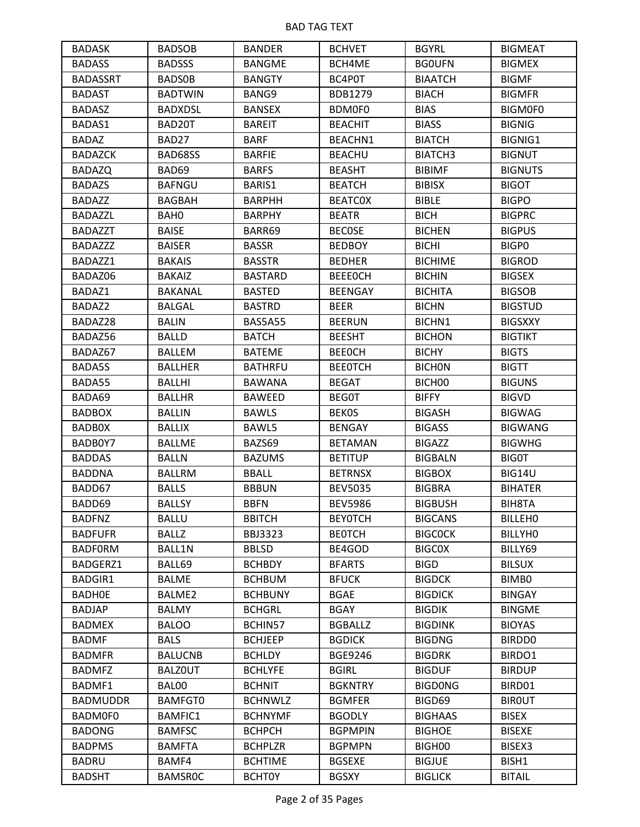| <b>BADASK</b>   | <b>BADSOB</b>  | <b>BANDER</b>  | <b>BCHVET</b>  | <b>BGYRL</b>        | <b>BIGMEAT</b> |
|-----------------|----------------|----------------|----------------|---------------------|----------------|
| <b>BADASS</b>   | <b>BADSSS</b>  | <b>BANGME</b>  | BCH4ME         | <b>BGOUFN</b>       | <b>BIGMEX</b>  |
| <b>BADASSRT</b> | <b>BADSOB</b>  | <b>BANGTY</b>  | BC4P0T         | <b>BIAATCH</b>      | <b>BIGMF</b>   |
| <b>BADAST</b>   | <b>BADTWIN</b> | BANG9          | BDB1279        | <b>BIACH</b>        | <b>BIGMFR</b>  |
| <b>BADASZ</b>   | <b>BADXDSL</b> | <b>BANSEX</b>  | BDM0F0         | <b>BIAS</b>         | <b>BIGMOFO</b> |
| BADAS1          | BAD20T         | <b>BAREIT</b>  | <b>BEACHIT</b> | <b>BIASS</b>        | <b>BIGNIG</b>  |
| <b>BADAZ</b>    | BAD27          | <b>BARF</b>    | BEACHN1        | <b>BIATCH</b>       | <b>BIGNIG1</b> |
| <b>BADAZCK</b>  | BAD68SS        | <b>BARFIE</b>  | <b>BEACHU</b>  | BIATCH <sub>3</sub> | <b>BIGNUT</b>  |
| <b>BADAZQ</b>   | BAD69          | <b>BARFS</b>   | <b>BEASHT</b>  | <b>BIBIMF</b>       | <b>BIGNUTS</b> |
| <b>BADAZS</b>   | <b>BAFNGU</b>  | BARIS1         | <b>BEATCH</b>  | <b>BIBISX</b>       | <b>BIGOT</b>   |
| <b>BADAZZ</b>   | <b>BAGBAH</b>  | <b>BARPHH</b>  | <b>BEATCOX</b> | <b>BIBLE</b>        | <b>BIGPO</b>   |
| <b>BADAZZL</b>  | BAH0           | <b>BARPHY</b>  | <b>BEATR</b>   | <b>BICH</b>         | <b>BIGPRC</b>  |
| BADAZZT         | <b>BAISE</b>   | BARR69         | <b>BECOSE</b>  | <b>BICHEN</b>       | <b>BIGPUS</b>  |
| <b>BADAZZZ</b>  | <b>BAISER</b>  | <b>BASSR</b>   | <b>BEDBOY</b>  | <b>BICHI</b>        | BIGP0          |
| BADAZZ1         | <b>BAKAIS</b>  | <b>BASSTR</b>  | <b>BEDHER</b>  | <b>BICHIME</b>      | <b>BIGROD</b>  |
| BADAZ06         | <b>BAKAIZ</b>  | <b>BASTARD</b> | <b>BEEEOCH</b> | <b>BICHIN</b>       | <b>BIGSEX</b>  |
| BADAZ1          | BAKANAL        | <b>BASTED</b>  | <b>BEENGAY</b> | <b>BICHITA</b>      | <b>BIGSOB</b>  |
| BADAZ2          | <b>BALGAL</b>  | <b>BASTRD</b>  | <b>BEER</b>    | <b>BICHN</b>        | <b>BIGSTUD</b> |
| BADAZ28         | <b>BALIN</b>   | BAS5A55        | <b>BEERUN</b>  | BICHN1              | <b>BIGSXXY</b> |
| BADAZ56         | <b>BALLD</b>   | <b>BATCH</b>   | <b>BEESHT</b>  | <b>BICHON</b>       | <b>BIGTIKT</b> |
| BADAZ67         | <b>BALLEM</b>  | <b>BATEME</b>  | <b>BEEOCH</b>  | <b>BICHY</b>        | <b>BIGTS</b>   |
| BADA5S          | <b>BALLHER</b> | <b>BATHRFU</b> | <b>BEEOTCH</b> | <b>BICHON</b>       | <b>BIGTT</b>   |
| BADA55          | <b>BALLHI</b>  | <b>BAWANA</b>  | <b>BEGAT</b>   | BICH00              | <b>BIGUNS</b>  |
| BADA69          | <b>BALLHR</b>  | BAWEED         | <b>BEGOT</b>   | <b>BIFFY</b>        | <b>BIGVD</b>   |
| <b>BADBOX</b>   | <b>BALLIN</b>  | <b>BAWLS</b>   | <b>BEKOS</b>   | <b>BIGASH</b>       | <b>BIGWAG</b>  |
| <b>BADBOX</b>   | <b>BALLIX</b>  | BAWL5          | <b>BENGAY</b>  | <b>BIGASS</b>       | <b>BIGWANG</b> |
| BADB0Y7         | <b>BALLME</b>  | BAZS69         | <b>BETAMAN</b> | <b>BIGAZZ</b>       | <b>BIGWHG</b>  |
| <b>BADDAS</b>   | <b>BALLN</b>   | <b>BAZUMS</b>  | <b>BETITUP</b> | <b>BIGBALN</b>      | <b>BIGOT</b>   |
| <b>BADDNA</b>   | <b>BALLRM</b>  | <b>BBALL</b>   | <b>BETRNSX</b> | <b>BIGBOX</b>       | BIG14U         |
| BADD67          | <b>BALLS</b>   | <b>BBBUN</b>   | <b>BEV5035</b> | <b>BIGBRA</b>       | <b>BIHATER</b> |
| BADD69          | <b>BALLSY</b>  | <b>BBFN</b>    | <b>BEV5986</b> | <b>BIGBUSH</b>      | BIH8TA         |
| <b>BADFNZ</b>   | <b>BALLU</b>   | <b>BBITCH</b>  | <b>BEYOTCH</b> | <b>BIGCANS</b>      | <b>BILLEHO</b> |
| <b>BADFUFR</b>  | <b>BALLZ</b>   | <b>BBJ3323</b> | <b>BEOTCH</b>  | <b>BIGCOCK</b>      | <b>BILLYHO</b> |
| <b>BADFORM</b>  | BALL1N         | <b>BBLSD</b>   | BE4GOD         | <b>BIGCOX</b>       | BILLY69        |
| BADGERZ1        | BALL69         | <b>BCHBDY</b>  | <b>BFARTS</b>  | <b>BIGD</b>         | <b>BILSUX</b>  |
| <b>BADGIR1</b>  | <b>BALME</b>   | <b>BCHBUM</b>  | <b>BFUCK</b>   | <b>BIGDCK</b>       | BIMB0          |
| <b>BADHOE</b>   | BALME2         | <b>BCHBUNY</b> | <b>BGAE</b>    | <b>BIGDICK</b>      | <b>BINGAY</b>  |
| <b>BADJAP</b>   | <b>BALMY</b>   | <b>BCHGRL</b>  | <b>BGAY</b>    | <b>BIGDIK</b>       | <b>BINGME</b>  |
| <b>BADMEX</b>   | <b>BALOO</b>   | BCHIN57        | <b>BGBALLZ</b> | <b>BIGDINK</b>      | <b>BIOYAS</b>  |
| <b>BADMF</b>    | <b>BALS</b>    | <b>BCHJEEP</b> | <b>BGDICK</b>  | <b>BIGDNG</b>       | <b>BIRDDO</b>  |
| <b>BADMFR</b>   | <b>BALUCNB</b> | <b>BCHLDY</b>  | <b>BGE9246</b> | <b>BIGDRK</b>       | BIRDO1         |
| <b>BADMFZ</b>   | <b>BALZOUT</b> | <b>BCHLYFE</b> | <b>BGIRL</b>   | <b>BIGDUF</b>       | <b>BIRDUP</b>  |
| BADMF1          | BAL00          | <b>BCHNIT</b>  | <b>BGKNTRY</b> | <b>BIGDONG</b>      | BIRD01         |
| <b>BADMUDDR</b> | <b>BAMFGT0</b> | <b>BCHNWLZ</b> | <b>BGMFER</b>  | BIGD69              | <b>BIROUT</b>  |
| BADM0F0         | <b>BAMFIC1</b> | <b>BCHNYMF</b> | <b>BGODLY</b>  | <b>BIGHAAS</b>      | <b>BISEX</b>   |
| <b>BADONG</b>   | <b>BAMFSC</b>  | <b>BCHPCH</b>  | <b>BGPMPIN</b> | <b>BIGHOE</b>       | <b>BISEXE</b>  |
| <b>BADPMS</b>   | <b>BAMFTA</b>  | <b>BCHPLZR</b> | <b>BGPMPN</b>  | BIGH00              | BISEX3         |
| <b>BADRU</b>    | BAMF4          | <b>BCHTIME</b> | <b>BGSEXE</b>  | <b>BIGJUE</b>       | BISH1          |
| <b>BADSHT</b>   | <b>BAMSROC</b> | <b>BCHTOY</b>  | <b>BGSXY</b>   | <b>BIGLICK</b>      | <b>BITAIL</b>  |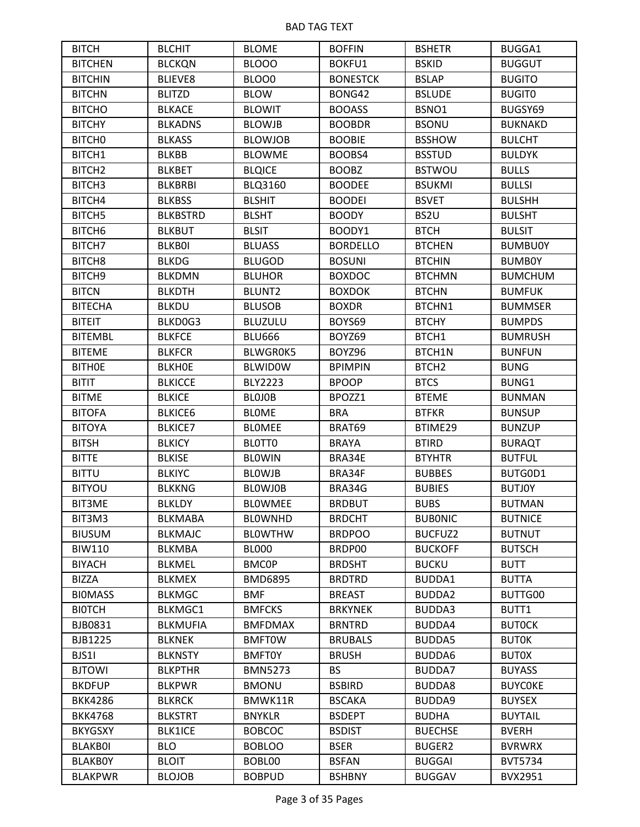| <b>BITCH</b>       | <b>BLCHIT</b>   | <b>BLOME</b>    | <b>BOFFIN</b>   | <b>BSHETR</b>     | <b>BUGGA1</b>  |
|--------------------|-----------------|-----------------|-----------------|-------------------|----------------|
| <b>BITCHEN</b>     | <b>BLCKQN</b>   | BLOOO           | BOKFU1          | <b>BSKID</b>      | <b>BUGGUT</b>  |
| <b>BITCHIN</b>     | <b>BLIEVE8</b>  | BLOO0           | <b>BONESTCK</b> | <b>BSLAP</b>      | <b>BUGITO</b>  |
| <b>BITCHN</b>      | <b>BLITZD</b>   | <b>BLOW</b>     | BONG42          | <b>BSLUDE</b>     | <b>BUGITO</b>  |
| <b>BITCHO</b>      | <b>BLKACE</b>   | <b>BLOWIT</b>   | <b>BOOASS</b>   | BSNO1             | BUGSY69        |
| <b>BITCHY</b>      | <b>BLKADNS</b>  | <b>BLOWJB</b>   | <b>BOOBDR</b>   | <b>BSONU</b>      | <b>BUKNAKD</b> |
| BITCH <sub>0</sub> | <b>BLKASS</b>   | <b>BLOWJOB</b>  | <b>BOOBIE</b>   | <b>BSSHOW</b>     | <b>BULCHT</b>  |
| BITCH1             | <b>BLKBB</b>    | <b>BLOWME</b>   | BOOBS4          | <b>BSSTUD</b>     | <b>BULDYK</b>  |
| BITCH <sub>2</sub> | <b>BLKBET</b>   | <b>BLQICE</b>   | <b>BOOBZ</b>    | <b>BSTWOU</b>     | <b>BULLS</b>   |
| BITCH <sub>3</sub> | <b>BLKBRBI</b>  | <b>BLQ3160</b>  | <b>BOODEE</b>   | <b>BSUKMI</b>     | <b>BULLSI</b>  |
| BITCH4             | <b>BLKBSS</b>   | <b>BLSHIT</b>   | <b>BOODEI</b>   | <b>BSVET</b>      | <b>BULSHH</b>  |
| BITCH <sub>5</sub> | <b>BLKBSTRD</b> | <b>BLSHT</b>    | <b>BOODY</b>    | BS2U              | <b>BULSHT</b>  |
| BITCH <sub>6</sub> | <b>BLKBUT</b>   | <b>BLSIT</b>    | BOODY1          | <b>BTCH</b>       | <b>BULSIT</b>  |
| BITCH7             | <b>BLKB0I</b>   | <b>BLUASS</b>   | <b>BORDELLO</b> | <b>BTCHEN</b>     | <b>BUMBU0Y</b> |
| BITCH <sub>8</sub> | <b>BLKDG</b>    | <b>BLUGOD</b>   | <b>BOSUNI</b>   | <b>BTCHIN</b>     | <b>BUMBOY</b>  |
| BITCH <sub>9</sub> | <b>BLKDMN</b>   | <b>BLUHOR</b>   | <b>BOXDOC</b>   | <b>BTCHMN</b>     | <b>BUMCHUM</b> |
| <b>BITCN</b>       | <b>BLKDTH</b>   | <b>BLUNT2</b>   | <b>BOXDOK</b>   | <b>BTCHN</b>      | <b>BUMFUK</b>  |
| <b>BITECHA</b>     | <b>BLKDU</b>    | <b>BLUSOB</b>   | <b>BOXDR</b>    | BTCHN1            | <b>BUMMSER</b> |
| <b>BITEIT</b>      | BLKD0G3         | <b>BLUZULU</b>  | BOYS69          | <b>BTCHY</b>      | <b>BUMPDS</b>  |
| <b>BITEMBL</b>     | <b>BLKFCE</b>   | <b>BLU666</b>   | BOYZ69          | BTCH1             | <b>BUMRUSH</b> |
| <b>BITEME</b>      | <b>BLKFCR</b>   | <b>BLWGROK5</b> | BOYZ96          | BTCH1N            | <b>BUNFUN</b>  |
| <b>BITHOE</b>      | <b>BLKHOE</b>   | <b>BLWIDOW</b>  | <b>BPIMPIN</b>  | BTCH <sub>2</sub> | <b>BUNG</b>    |
| <b>BITIT</b>       | <b>BLKICCE</b>  | <b>BLY2223</b>  | <b>BPOOP</b>    | <b>BTCS</b>       | BUNG1          |
| <b>BITME</b>       | <b>BLKICE</b>   | <b>BLOJOB</b>   | BPOZZ1          | <b>BTEME</b>      | <b>BUNMAN</b>  |
| <b>BITOFA</b>      | <b>BLKICE6</b>  | <b>BLOME</b>    | <b>BRA</b>      | <b>BTFKR</b>      | <b>BUNSUP</b>  |
| <b>BITOYA</b>      | <b>BLKICE7</b>  | <b>BLOMEE</b>   | BRAT69          | BTIME29           | <b>BUNZUP</b>  |
| <b>BITSH</b>       | <b>BLKICY</b>   | BLOTTO          | <b>BRAYA</b>    | <b>BTIRD</b>      | <b>BURAQT</b>  |
| <b>BITTE</b>       | <b>BLKISE</b>   | <b>BLOWIN</b>   | BRA34E          | <b>BTYHTR</b>     | <b>BUTFUL</b>  |
| <b>BITTU</b>       | <b>BLKIYC</b>   | <b>BLOWJB</b>   | BRA34F          | <b>BUBBES</b>     | BUTGOD1        |
| <b>BITYOU</b>      | <b>BLKKNG</b>   | <b>BLOWJOB</b>  | BRA34G          | <b>BUBIES</b>     | <b>BUTJOY</b>  |
| <b>BIT3ME</b>      | <b>BLKLDY</b>   | <b>BLOWMEE</b>  | <b>BRDBUT</b>   | <b>BUBS</b>       | <b>BUTMAN</b>  |
| BIT3M3             | <b>BLKMABA</b>  | <b>BLOWNHD</b>  | <b>BRDCHT</b>   | <b>BUBONIC</b>    | <b>BUTNICE</b> |
| <b>BIUSUM</b>      | <b>BLKMAJC</b>  | <b>BLOWTHW</b>  | <b>BRDPOO</b>   | <b>BUCFUZ2</b>    | <b>BUTNUT</b>  |
| <b>BIW110</b>      | <b>BLKMBA</b>   | <b>BL000</b>    | BRDP00          | <b>BUCKOFF</b>    | <b>BUTSCH</b>  |
| <b>BIYACH</b>      | <b>BLKMEL</b>   | <b>BMCOP</b>    | <b>BRDSHT</b>   | <b>BUCKU</b>      | <b>BUTT</b>    |
| <b>BIZZA</b>       | <b>BLKMEX</b>   | <b>BMD6895</b>  | <b>BRDTRD</b>   | BUDDA1            | <b>BUTTA</b>   |
| <b>BIOMASS</b>     | <b>BLKMGC</b>   | <b>BMF</b>      | <b>BREAST</b>   | <b>BUDDA2</b>     | BUTTG00        |
| <b>BIOTCH</b>      | BLKMGC1         | <b>BMFCKS</b>   | <b>BRKYNEK</b>  | BUDDA3            | BUTT1          |
| BJB0831            | <b>BLKMUFIA</b> | <b>BMFDMAX</b>  | <b>BRNTRD</b>   | BUDDA4            | <b>BUTOCK</b>  |
| <b>BJB1225</b>     | <b>BLKNEK</b>   | <b>BMFTOW</b>   | <b>BRUBALS</b>  | <b>BUDDA5</b>     | <b>BUTOK</b>   |
| BJS11              | <b>BLKNSTY</b>  | <b>BMFT0Y</b>   | <b>BRUSH</b>    | BUDDA6            | <b>BUTOX</b>   |
| <b>BJTOWI</b>      | <b>BLKPTHR</b>  | <b>BMN5273</b>  | <b>BS</b>       | BUDDA7            | <b>BUYASS</b>  |
| <b>BKDFUP</b>      | <b>BLKPWR</b>   | <b>BMONU</b>    | <b>BSBIRD</b>   | BUDDA8            | <b>BUYCOKE</b> |
| <b>BKK4286</b>     | <b>BLKRCK</b>   | BMWK11R         | <b>BSCAKA</b>   | BUDDA9            | <b>BUYSEX</b>  |
| <b>BKK4768</b>     | <b>BLKSTRT</b>  | <b>BNYKLR</b>   | <b>BSDEPT</b>   | <b>BUDHA</b>      | <b>BUYTAIL</b> |
| <b>BKYGSXY</b>     | <b>BLK1ICE</b>  | <b>BOBCOC</b>   | <b>BSDIST</b>   | <b>BUECHSE</b>    | <b>BVERH</b>   |
| <b>BLAKB0I</b>     | <b>BLO</b>      | <b>BOBLOO</b>   | <b>BSER</b>     | <b>BUGER2</b>     | <b>BVRWRX</b>  |
| <b>BLAKBOY</b>     | <b>BLOIT</b>    | BOBL00          | <b>BSFAN</b>    | <b>BUGGAI</b>     | <b>BVT5734</b> |
| <b>BLAKPWR</b>     | <b>BLOJOB</b>   | <b>BOBPUD</b>   | <b>BSHBNY</b>   | <b>BUGGAV</b>     | BVX2951        |
|                    |                 |                 |                 |                   |                |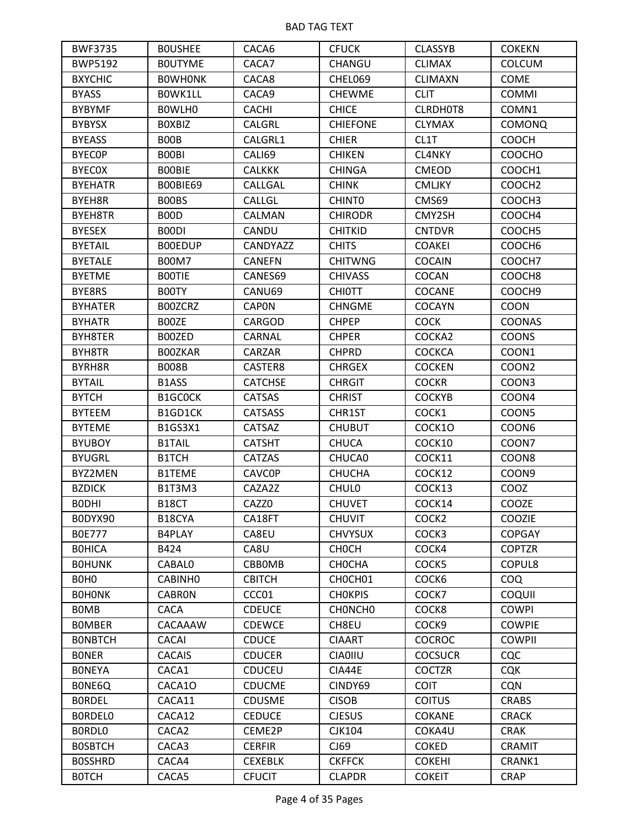| <b>BWF3735</b>                | <b>BOUSHEE</b>                | CACA6           | <b>CFUCK</b>       | <b>CLASSYB</b>    | <b>COKEKN</b>      |
|-------------------------------|-------------------------------|-----------------|--------------------|-------------------|--------------------|
| <b>BWP5192</b>                | <b>BOUTYME</b>                | CACA7           | CHANGU             | <b>CLIMAX</b>     | <b>COLCUM</b>      |
| <b>BXYCHIC</b>                | <b>BOWHONK</b>                | CACA8           | CHEL069            | <b>CLIMAXN</b>    | <b>COME</b>        |
| <b>BYASS</b>                  | BOWK1LL                       | CACA9           | <b>CHEWME</b>      | <b>CLIT</b>       | <b>COMMI</b>       |
| <b>BYBYMF</b>                 | BOWLHO                        | <b>CACHI</b>    | <b>CHICE</b>       | CLRDH0T8          | COMN1              |
| <b>BYBYSX</b>                 | <b>BOXBIZ</b>                 | <b>CALGRL</b>   | <b>CHIEFONE</b>    | <b>CLYMAX</b>     | <b>COMONQ</b>      |
| <b>BYEASS</b>                 | <b>BOOB</b>                   | CALGRL1         | <b>CHIER</b>       | CL1T              | COOCH              |
| <b>BYECOP</b>                 | B00BI                         | CALI69          | <b>CHIKEN</b>      | CL4NKY            | <b>COOCHO</b>      |
| <b>BYECOX</b>                 | <b>BOOBIE</b>                 | <b>CALKKK</b>   | <b>CHINGA</b>      | <b>CMEOD</b>      | COOCH1             |
| <b>BYEHATR</b>                | BOOBIE69                      | CALLGAL         | <b>CHINK</b>       | <b>CMLJKY</b>     | COOCH <sub>2</sub> |
| BYEH8R                        | BOOBS                         | CALLGL          | CHINT <sub>0</sub> | CMS69             | COOCH3             |
| BYEH8TR                       | B <sub>0</sub> O <sub>D</sub> | CALMAN          | <b>CHIRODR</b>     | CMY2SH            | COOCH4             |
| <b>BYESEX</b>                 | B00DI                         | CANDU           | <b>CHITKID</b>     | <b>CNTDVR</b>     | COOCH5             |
| <b>BYETAIL</b>                | <b>BOOEDUP</b>                | <b>CANDYAZZ</b> | <b>CHITS</b>       | <b>COAKEI</b>     | COOCH <sub>6</sub> |
| <b>BYETALE</b>                | <b>B00M7</b>                  | <b>CANEFN</b>   | <b>CHITWNG</b>     | <b>COCAIN</b>     | COOCH7             |
| <b>BYETME</b>                 | <b>BOOTIE</b>                 | CANES69         | <b>CHIVASS</b>     | COCAN             | COOCH <sub>8</sub> |
| BYE8RS                        | B00TY                         | CANU69          | <b>CHIOTT</b>      | <b>COCANE</b>     | COOCH9             |
| <b>BYHATER</b>                | B00ZCRZ                       | <b>CAPON</b>    | <b>CHNGME</b>      | <b>COCAYN</b>     | COON               |
| <b>BYHATR</b>                 | B00ZE                         | CARGOD          | <b>CHPEP</b>       | <b>COCK</b>       | <b>COONAS</b>      |
| BYH8TER                       | B00ZED                        | <b>CARNAL</b>   | <b>CHPER</b>       | COCKA2            | <b>COONS</b>       |
| BYH8TR                        | <b>BOOZKAR</b>                | <b>CARZAR</b>   | <b>CHPRD</b>       | <b>COCKCA</b>     | COON1              |
| BYRH8R                        | <b>B008B</b>                  | CASTER8         | <b>CHRGEX</b>      | <b>COCKEN</b>     | COON <sub>2</sub>  |
| <b>BYTAIL</b>                 | B1ASS                         | <b>CATCHSE</b>  | <b>CHRGIT</b>      | <b>COCKR</b>      | COON3              |
| <b>BYTCH</b>                  | B1GC0CK                       | <b>CATSAS</b>   | <b>CHRIST</b>      | <b>COCKYB</b>     | COON4              |
| <b>BYTEEM</b>                 | B1GD1CK                       | <b>CATSASS</b>  | CHR1ST             | COCK1             | COON5              |
| <b>BYTEME</b>                 | B1GS3X1                       | <b>CATSAZ</b>   | <b>CHUBUT</b>      | COCK10            | COON <sub>6</sub>  |
| <b>BYUBOY</b>                 | <b>B1TAIL</b>                 | <b>CATSHT</b>   | <b>CHUCA</b>       | COCK10            | COON7              |
| <b>BYUGRL</b>                 | B1TCH                         | <b>CATZAS</b>   | CHUCA0             | COCK11            | COON8              |
| BYZ2MEN                       | <b>B1TEME</b>                 | <b>CAVCOP</b>   | <b>CHUCHA</b>      | COCK12            | COON <sub>9</sub>  |
| <b>BZDICK</b>                 | B1T3M3                        | CAZA2Z          | <b>CHULO</b>       | COCK13            | COOZ               |
| <b>BODHI</b>                  | B18CT                         | CAZZ0           | <b>CHUVET</b>      | COCK14            | COOZE              |
| BODYX90                       | B18CYA                        | CA18FT          | <b>CHUVIT</b>      | COCK <sub>2</sub> | COOZIE             |
| <b>BOE777</b>                 | B4PLAY                        | CA8EU           | <b>CHVYSUX</b>     | COCK3             | <b>COPGAY</b>      |
| <b>BOHICA</b>                 | B424                          | CA8U            | <b>CHOCH</b>       | COCK4             | <b>COPTZR</b>      |
| <b>BOHUNK</b>                 | <b>CABALO</b>                 | CBBOMB          | <b>CHOCHA</b>      | COCK5             | COPUL8             |
| B <sub>O</sub> H <sub>O</sub> | CABINH <sub>0</sub>           | <b>CBITCH</b>   | CHOCH01            | COCK6             | <b>COQ</b>         |
| <b>BOHONK</b>                 | <b>CABRON</b>                 | CCC01           | <b>CHOKPIS</b>     | COCK7             | COQUII             |
| <b>BOMB</b>                   | <b>CACA</b>                   | <b>CDEUCE</b>   | CHONCHO            | COCK8             | <b>COWPI</b>       |
| <b>BOMBER</b>                 | CACAAAW                       | <b>CDEWCE</b>   | CH8EU              | COCK <sub>9</sub> | <b>COWPIE</b>      |
| <b>BONBTCH</b>                | CACAI                         | <b>CDUCE</b>    | <b>CIAART</b>      | <b>COCROC</b>     | <b>COWPII</b>      |
| <b>BONER</b>                  | <b>CACAIS</b>                 | <b>CDUCER</b>   | <b>CIA0IIU</b>     | <b>COCSUCR</b>    | <b>CQC</b>         |
| <b>BONEYA</b>                 | CACA1                         | <b>CDUCEU</b>   | CIA44E             | <b>COCTZR</b>     | <b>CQK</b>         |
| BONE6Q                        | CACA1O                        | <b>CDUCME</b>   | CINDY69            | <b>COIT</b>       | <b>CQN</b>         |
| <b>BORDEL</b>                 | CACA11                        | <b>CDUSME</b>   | <b>CISOB</b>       | <b>COITUS</b>     | <b>CRABS</b>       |
| <b>BORDELO</b>                | CACA12                        | <b>CEDUCE</b>   | <b>CJESUS</b>      | <b>COKANE</b>     | <b>CRACK</b>       |
| BORDLO                        | CACA <sub>2</sub>             | CEME2P          | <b>CJK104</b>      | COKA4U            | <b>CRAK</b>        |
| <b>BOSBTCH</b>                | CACA3                         | <b>CERFIR</b>   | CJ69               | <b>COKED</b>      | CRAMIT             |
| <b>BOSSHRD</b>                | CACA4                         | <b>CEXEBLK</b>  | <b>CKFFCK</b>      | <b>COKEHI</b>     | CRANK1             |
| <b>BOTCH</b>                  | CACA5                         | <b>CFUCIT</b>   | <b>CLAPDR</b>      | <b>COKEIT</b>     | <b>CRAP</b>        |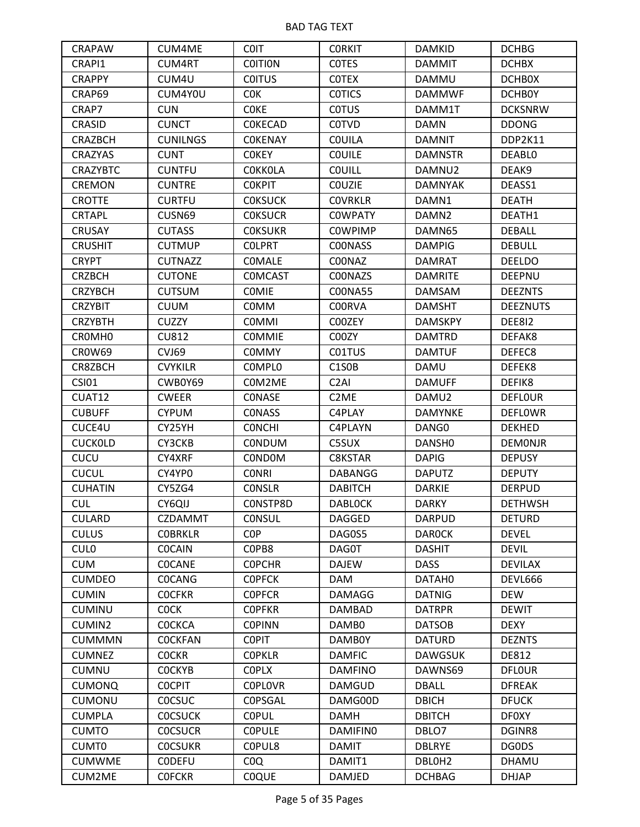| <b>CRAPAW</b>      | CUM4ME          | <b>COIT</b>     | <b>CORKIT</b>     | <b>DAMKID</b>      | <b>DCHBG</b>    |
|--------------------|-----------------|-----------------|-------------------|--------------------|-----------------|
| CRAPI1             | <b>CUM4RT</b>   | <b>COITION</b>  | <b>COTES</b>      | <b>DAMMIT</b>      | <b>DCHBX</b>    |
| <b>CRAPPY</b>      | CUM4U           | <b>COITUS</b>   | <b>COTEX</b>      | DAMMU              | <b>DCHBOX</b>   |
| CRAP69             | CUM4Y0U         | <b>COK</b>      | <b>COTICS</b>     | <b>DAMMWF</b>      | <b>DCHB0Y</b>   |
| CRAP7              | <b>CUN</b>      | <b>COKE</b>     | <b>COTUS</b>      | DAMM1T             | <b>DCKSNRW</b>  |
| CRASID             | <b>CUNCT</b>    | <b>COKECAD</b>  | <b>COTVD</b>      | <b>DAMN</b>        | <b>DDONG</b>    |
| <b>CRAZBCH</b>     | <b>CUNILNGS</b> | <b>COKENAY</b>  | <b>COUILA</b>     | <b>DAMNIT</b>      | DDP2K11         |
| <b>CRAZYAS</b>     | <b>CUNT</b>     | <b>COKEY</b>    | <b>COUILE</b>     | <b>DAMNSTR</b>     | <b>DEABLO</b>   |
| <b>CRAZYBTC</b>    | <b>CUNTFU</b>   | <b>COKKOLA</b>  | <b>COUILL</b>     | DAMNU2             | DEAK9           |
| <b>CREMON</b>      | <b>CUNTRE</b>   | <b>COKPIT</b>   | <b>COUZIE</b>     | <b>DAMNYAK</b>     | DEASS1          |
| <b>CROTTE</b>      | <b>CURTFU</b>   | <b>COKSUCK</b>  | <b>COVRKLR</b>    | DAMN1              | <b>DEATH</b>    |
| <b>CRTAPL</b>      | CUSN69          | <b>COKSUCR</b>  | <b>COWPATY</b>    | DAMN <sub>2</sub>  | DEATH1          |
| <b>CRUSAY</b>      | <b>CUTASS</b>   | <b>COKSUKR</b>  | <b>COWPIMP</b>    | DAMN65             | <b>DEBALL</b>   |
| <b>CRUSHIT</b>     | <b>CUTMUP</b>   | <b>COLPRT</b>   | <b>COONASS</b>    | <b>DAMPIG</b>      | <b>DEBULL</b>   |
| <b>CRYPT</b>       | <b>CUTNAZZ</b>  | <b>COMALE</b>   | C00NAZ            | <b>DAMRAT</b>      | <b>DEELDO</b>   |
| <b>CRZBCH</b>      | <b>CUTONE</b>   | <b>COMCAST</b>  | C00NAZS           | <b>DAMRITE</b>     | <b>DEEPNU</b>   |
| <b>CRZYBCH</b>     | <b>CUTSUM</b>   | <b>COMIE</b>    | <b>COONA55</b>    | <b>DAMSAM</b>      | <b>DEEZNTS</b>  |
| <b>CRZYBIT</b>     | <b>CUUM</b>     | <b>COMM</b>     | <b>COORVA</b>     | <b>DAMSHT</b>      | <b>DEEZNUTS</b> |
| <b>CRZYBTH</b>     | <b>CUZZY</b>    | <b>COMMI</b>    | C00ZEY            | <b>DAMSKPY</b>     | DEE812          |
| CROMH <sub>0</sub> | <b>CU812</b>    | <b>COMMIE</b>   | C00ZY             | <b>DAMTRD</b>      | DEFAK8          |
| <b>CROW69</b>      | CVJ69           | <b>COMMY</b>    | C01TUS            | <b>DAMTUF</b>      | DEFEC8          |
| CR8ZBCH            | <b>CVYKILR</b>  | <b>COMPLO</b>   | C1S0B             | DAMU               | DEFEK8          |
| <b>CSI01</b>       | CWB0Y69         | COM2ME          | C <sub>2</sub> AI | <b>DAMUFF</b>      | DEFIK8          |
| CUAT12             | <b>CWEER</b>    | CONASE          | C <sub>2</sub> ME | DAMU2              | <b>DEFLOUR</b>  |
| <b>CUBUFF</b>      | <b>CYPUM</b>    | <b>CONASS</b>   | C4PLAY            | <b>DAMYNKE</b>     | <b>DEFLOWR</b>  |
| CUCE4U             | CY25YH          | <b>CONCHI</b>   | C4PLAYN           | DANG0              | <b>DEKHED</b>   |
| <b>CUCKOLD</b>     | CY3CKB          | <b>CONDUM</b>   | C5SUX             | DANSH <sub>0</sub> | <b>DEMONJR</b>  |
| CUCU               | CY4XRF          | <b>CONDOM</b>   | C8KSTAR           | <b>DAPIG</b>       | <b>DEPUSY</b>   |
| <b>CUCUL</b>       | CY4YP0          | <b>CONRI</b>    | DABANGG           | <b>DAPUTZ</b>      | <b>DEPUTY</b>   |
| <b>CUHATIN</b>     | CY5ZG4          | <b>CONSLR</b>   | <b>DABITCH</b>    | <b>DARKIE</b>      | <b>DERPUD</b>   |
| <b>CUL</b>         | CY6QIJ          | CONSTP8D        | <b>DABLOCK</b>    | <b>DARKY</b>       | <b>DETHWSH</b>  |
| <b>CULARD</b>      | <b>CZDAMMT</b>  | <b>CONSUL</b>   | <b>DAGGED</b>     | <b>DARPUD</b>      | <b>DETURD</b>   |
| <b>CULUS</b>       | <b>COBRKLR</b>  | C <sub>OP</sub> | DAG0S5            | <b>DAROCK</b>      | <b>DEVEL</b>    |
| <b>CULO</b>        | <b>COCAIN</b>   | COPB8           | DAG0T             | <b>DASHIT</b>      | <b>DEVIL</b>    |
| <b>CUM</b>         | <b>COCANE</b>   | <b>COPCHR</b>   | <b>DAJEW</b>      | <b>DASS</b>        | <b>DEVILAX</b>  |
| <b>CUMDEO</b>      | <b>COCANG</b>   | <b>COPFCK</b>   | <b>DAM</b>        | DATAH0             | <b>DEVL666</b>  |
| <b>CUMIN</b>       | <b>COCFKR</b>   | <b>COPFCR</b>   | <b>DAMAGG</b>     | <b>DATNIG</b>      | <b>DEW</b>      |
| <b>CUMINU</b>      | <b>COCK</b>     | <b>COPFKR</b>   | <b>DAMBAD</b>     | <b>DATRPR</b>      | <b>DEWIT</b>    |
| CUMIN2             | <b>COCKCA</b>   | <b>COPINN</b>   | DAMB0             | <b>DATSOB</b>      | <b>DEXY</b>     |
| <b>CUMMMN</b>      | <b>COCKFAN</b>  | <b>COPIT</b>    | DAMB0Y            | <b>DATURD</b>      | <b>DEZNTS</b>   |
| <b>CUMNEZ</b>      | <b>COCKR</b>    | <b>COPKLR</b>   | <b>DAMFIC</b>     | <b>DAWGSUK</b>     | <b>DE812</b>    |
| <b>CUMNU</b>       | <b>COCKYB</b>   | <b>COPLX</b>    | <b>DAMFINO</b>    | DAWNS69            | <b>DFLOUR</b>   |
| <b>CUMONQ</b>      | <b>COCPIT</b>   | <b>COPLOVR</b>  | <b>DAMGUD</b>     | <b>DBALL</b>       | <b>DFREAK</b>   |
| <b>CUMONU</b>      | <b>COCSUC</b>   | COPSGAL         | DAMG00D           | <b>DBICH</b>       | <b>DFUCK</b>    |
| <b>CUMPLA</b>      | <b>COCSUCK</b>  | <b>COPUL</b>    | <b>DAMH</b>       | <b>DBITCH</b>      | <b>DF0XY</b>    |
| <b>CUMTO</b>       | <b>COCSUCR</b>  | <b>COPULE</b>   | <b>DAMIFINO</b>   | DBLO7              | DGINR8          |
| CUMT0              | <b>COCSUKR</b>  | COPUL8          | <b>DAMIT</b>      | <b>DBLRYE</b>      | DG0DS           |
| <b>CUMWME</b>      | <b>CODEFU</b>   | COQ             | DAMIT1            | DBLOH <sub>2</sub> | <b>DHAMU</b>    |
| CUM2ME             | <b>COFCKR</b>   | <b>COQUE</b>    | <b>DAMJED</b>     | <b>DCHBAG</b>      | <b>DHJAP</b>    |
|                    |                 |                 |                   |                    |                 |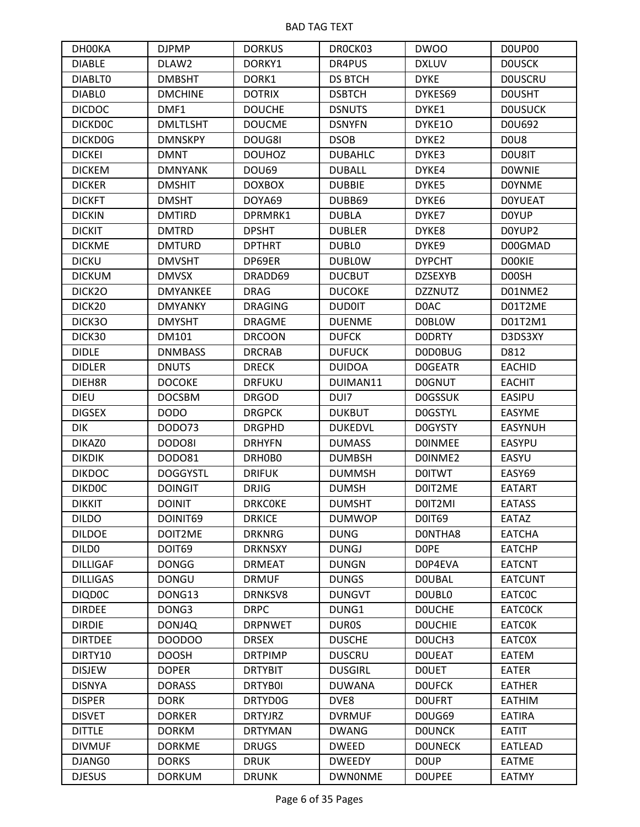| DH00KA             | <b>DJPMP</b>    | <b>DORKUS</b>  | DROCK03        | <b>DWOO</b>       | DOUP00         |
|--------------------|-----------------|----------------|----------------|-------------------|----------------|
| <b>DIABLE</b>      | DLAW2           | DORKY1         | DR4PUS         | <b>DXLUV</b>      | <b>DOUSCK</b>  |
| <b>DIABLTO</b>     | <b>DMBSHT</b>   | DORK1          | <b>DS BTCH</b> | <b>DYKE</b>       | <b>DOUSCRU</b> |
| <b>DIABLO</b>      | <b>DMCHINE</b>  | <b>DOTRIX</b>  | <b>DSBTCH</b>  | DYKES69           | <b>DOUSHT</b>  |
| <b>DICDOC</b>      | DMF1            | <b>DOUCHE</b>  | <b>DSNUTS</b>  | DYKE1             | <b>DOUSUCK</b> |
| <b>DICKDOC</b>     | <b>DMLTLSHT</b> | <b>DOUCME</b>  | <b>DSNYFN</b>  | DYKE10            | D0U692         |
| DICKD0G            | <b>DMNSKPY</b>  | DOUG8I         | <b>DSOB</b>    | DYKE <sub>2</sub> | DOU8           |
| <b>DICKEI</b>      | <b>DMNT</b>     | <b>DOUHOZ</b>  | <b>DUBAHLC</b> | DYKE3             | DOU8IT         |
| <b>DICKEM</b>      | <b>DMNYANK</b>  | <b>DOU69</b>   | <b>DUBALL</b>  | DYKE4             | <b>DOWNIE</b>  |
| <b>DICKER</b>      | <b>DMSHIT</b>   | <b>DOXBOX</b>  | <b>DUBBIE</b>  | DYKE5             | <b>DOYNME</b>  |
| <b>DICKFT</b>      | <b>DMSHT</b>    | DOYA69         | DUBB69         | DYKE6             | <b>DOYUEAT</b> |
| <b>DICKIN</b>      | <b>DMTIRD</b>   | DPRMRK1        | <b>DUBLA</b>   | DYKE7             | <b>DOYUP</b>   |
| <b>DICKIT</b>      | <b>DMTRD</b>    | <b>DPSHT</b>   | <b>DUBLER</b>  | DYKE8             | D0YUP2         |
| <b>DICKME</b>      | <b>DMTURD</b>   | <b>DPTHRT</b>  | <b>DUBLO</b>   | DYKE9             | D00GMAD        |
| <b>DICKU</b>       | <b>DMVSHT</b>   | DP69ER         | <b>DUBLOW</b>  | <b>DYPCHT</b>     | <b>DOOKIE</b>  |
| <b>DICKUM</b>      | <b>DMVSX</b>    | DRADD69        | <b>DUCBUT</b>  | <b>DZSEXYB</b>    | D00SH          |
| DICK2O             | <b>DMYANKEE</b> | <b>DRAG</b>    | <b>DUCOKE</b>  | <b>DZZNUTZ</b>    | D01NME2        |
| DICK <sub>20</sub> | <b>DMYANKY</b>  | <b>DRAGING</b> | <b>DUD0IT</b>  | D0AC              | D01T2ME        |
| DICK3O             | <b>DMYSHT</b>   | <b>DRAGME</b>  | <b>DUENME</b>  | <b>DOBLOW</b>     | D01T2M1        |
| DICK30             | DM101           | <b>DRCOON</b>  | <b>DUFCK</b>   | <b>DODRTY</b>     | D3DS3XY        |
| <b>DIDLE</b>       | <b>DNMBASS</b>  | <b>DRCRAB</b>  | <b>DUFUCK</b>  | <b>DODOBUG</b>    | D812           |
| <b>DIDLER</b>      | <b>DNUTS</b>    | <b>DRECK</b>   | <b>DUIDOA</b>  | <b>DOGEATR</b>    | <b>EACHID</b>  |
| DIEH8R             | <b>DOCOKE</b>   | <b>DRFUKU</b>  | DUIMAN11       | <b>DOGNUT</b>     | <b>EACHIT</b>  |
| <b>DIEU</b>        | <b>DOCSBM</b>   | <b>DRGOD</b>   | DUI7           | <b>DOGSSUK</b>    | <b>EASIPU</b>  |
| <b>DIGSEX</b>      | <b>DODO</b>     | <b>DRGPCK</b>  | <b>DUKBUT</b>  | <b>DOGSTYL</b>    | <b>EASYME</b>  |
| <b>DIK</b>         | DOD073          | <b>DRGPHD</b>  | <b>DUKEDVL</b> | <b>DOGYSTY</b>    | <b>EASYNUH</b> |
| DIKAZ0             | DODO8I          | <b>DRHYFN</b>  | <b>DUMASS</b>  | <b>DOINMEE</b>    | <b>EASYPU</b>  |
| <b>DIKDIK</b>      | DOD081          | DRH0B0         | <b>DUMBSH</b>  | DOINME2           | EASYU          |
| <b>DIKDOC</b>      | <b>DOGGYSTL</b> | <b>DRIFUK</b>  | <b>DUMMSH</b>  | <b>DOITWT</b>     | EASY69         |
| <b>DIKDOC</b>      | <b>DOINGIT</b>  | <b>DRJIG</b>   | <b>DUMSH</b>   | D0IT2ME           | <b>EATART</b>  |
| <b>DIKKIT</b>      | <b>DOINIT</b>   | <b>DRKCOKE</b> | <b>DUMSHT</b>  | D0IT2MI           | <b>EATASS</b>  |
| <b>DILDO</b>       | DOINIT69        | <b>DRKICE</b>  | <b>DUMWOP</b>  | <b>DOIT69</b>     | EATAZ          |
| <b>DILDOE</b>      | DOIT2ME         | <b>DRKNRG</b>  | <b>DUNG</b>    | DONTHA8           | <b>EATCHA</b>  |
| DILD <sub>0</sub>  | DOIT69          | <b>DRKNSXY</b> | <b>DUNGJ</b>   | <b>DOPE</b>       | <b>EATCHP</b>  |
| <b>DILLIGAF</b>    | <b>DONGG</b>    | <b>DRMEAT</b>  | <b>DUNGN</b>   | D0P4EVA           | <b>EATCNT</b>  |
| <b>DILLIGAS</b>    | <b>DONGU</b>    | <b>DRMUF</b>   | <b>DUNGS</b>   | <b>DOUBAL</b>     | <b>EATCUNT</b> |
| <b>DIQDOC</b>      | DONG13          | DRNKSV8        | <b>DUNGVT</b>  | <b>DOUBLO</b>     | <b>EATCOC</b>  |
| <b>DIRDEE</b>      | DONG3           | <b>DRPC</b>    | DUNG1          | <b>DOUCHE</b>     | <b>EATCOCK</b> |
| <b>DIRDIE</b>      | DONJ4Q          | <b>DRPNWET</b> | <b>DUROS</b>   | <b>DOUCHIE</b>    | <b>EATCOK</b>  |
| <b>DIRTDEE</b>     | DOODOO          | <b>DRSEX</b>   | <b>DUSCHE</b>  | DOUCH3            | <b>EATCOX</b>  |
| DIRTY10            | <b>DOOSH</b>    | <b>DRTPIMP</b> | <b>DUSCRU</b>  | <b>DOUEAT</b>     | EATEM          |
| <b>DISJEW</b>      | <b>DOPER</b>    | <b>DRTYBIT</b> | <b>DUSGIRL</b> | <b>DOUET</b>      | <b>EATER</b>   |
| <b>DISNYA</b>      | <b>DORASS</b>   | <b>DRTYBOI</b> | <b>DUWANA</b>  | <b>DOUFCK</b>     | <b>EATHER</b>  |
| <b>DISPER</b>      | <b>DORK</b>     | DRTYD0G        | DVE8           | <b>DOUFRT</b>     | <b>EATHIM</b>  |
| <b>DISVET</b>      | <b>DORKER</b>   | <b>DRTYJRZ</b> | <b>DVRMUF</b>  | DOUG69            | <b>EATIRA</b>  |
| <b>DITTLE</b>      | <b>DORKM</b>    | <b>DRTYMAN</b> | <b>DWANG</b>   | <b>DOUNCK</b>     | <b>EATIT</b>   |
| <b>DIVMUF</b>      | <b>DORKME</b>   | <b>DRUGS</b>   | <b>DWEED</b>   | <b>DOUNECK</b>    | <b>EATLEAD</b> |
| DJANG0             | <b>DORKS</b>    | <b>DRUK</b>    | <b>DWEEDY</b>  | D <sub>0</sub> UP | <b>EATME</b>   |
| <b>DJESUS</b>      | <b>DORKUM</b>   | <b>DRUNK</b>   | <b>DWNONME</b> | <b>DOUPEE</b>     | <b>EATMY</b>   |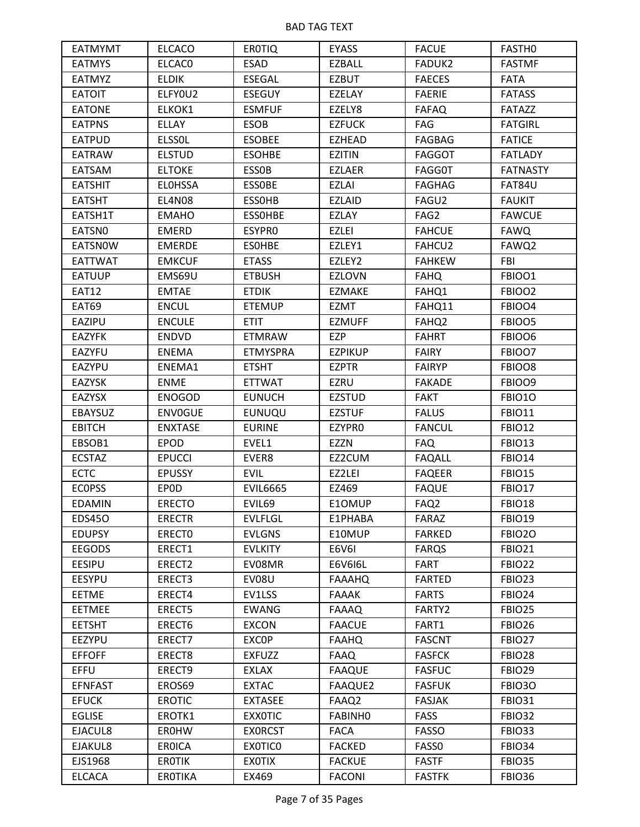| <b>EATMYMT</b> | <b>ELCACO</b>  | <b>EROTIQ</b>   | <b>EYASS</b>   | <b>FACUE</b>      | FASTH <sub>0</sub> |
|----------------|----------------|-----------------|----------------|-------------------|--------------------|
| <b>EATMYS</b>  | <b>ELCACO</b>  | <b>ESAD</b>     | EZBALL         | <b>FADUK2</b>     | <b>FASTMF</b>      |
| <b>EATMYZ</b>  | <b>ELDIK</b>   | <b>ESEGAL</b>   | <b>EZBUT</b>   | <b>FAECES</b>     | <b>FATA</b>        |
| <b>EATOIT</b>  | ELFYOU2        | <b>ESEGUY</b>   | EZELAY         | <b>FAERIE</b>     | <b>FATASS</b>      |
| <b>EATONE</b>  | ELKOK1         | <b>ESMFUF</b>   | EZELY8         | <b>FAFAQ</b>      | <b>FATAZZ</b>      |
| <b>EATPNS</b>  | <b>ELLAY</b>   | <b>ESOB</b>     | <b>EZFUCK</b>  | FAG               | <b>FATGIRL</b>     |
| <b>EATPUD</b>  | <b>ELSSOL</b>  | <b>ESOBEE</b>   | <b>EZHEAD</b>  | <b>FAGBAG</b>     | <b>FATICE</b>      |
| <b>EATRAW</b>  | <b>ELSTUD</b>  | <b>ESOHBE</b>   | <b>EZITIN</b>  | <b>FAGGOT</b>     | <b>FATLADY</b>     |
| <b>EATSAM</b>  | <b>ELTOKE</b>  | <b>ESSOB</b>    | <b>EZLAER</b>  | <b>FAGG0T</b>     | <b>FATNASTY</b>    |
| <b>EATSHIT</b> | <b>ELOHSSA</b> | <b>ESSOBE</b>   | <b>EZLAI</b>   | <b>FAGHAG</b>     | FAT84U             |
| <b>EATSHT</b>  | <b>EL4N08</b>  | <b>ESSOHB</b>   | <b>EZLAID</b>  | FAGU2             | <b>FAUKIT</b>      |
| EATSH1T        | <b>EMAHO</b>   | <b>ESSOHBE</b>  | <b>EZLAY</b>   | FAG2              | <b>FAWCUE</b>      |
| EATSN0         | <b>EMERD</b>   | ESYPR0          | <b>EZLEI</b>   | <b>FAHCUE</b>     | <b>FAWQ</b>        |
| <b>EATSNOW</b> | <b>EMERDE</b>  | <b>ESOHBE</b>   | EZLEY1         | FAHCU2            | FAWQ2              |
| EATTWAT        | <b>EMKCUF</b>  | <b>ETASS</b>    | EZLEY2         | <b>FAHKEW</b>     | FBI                |
| <b>EATUUP</b>  | EMS69U         | <b>ETBUSH</b>   | <b>EZLOVN</b>  | <b>FAHQ</b>       | FBIOO1             |
| <b>EAT12</b>   | <b>EMTAE</b>   | <b>ETDIK</b>    | <b>EZMAKE</b>  | FAHQ1             | FBIOO2             |
| <b>EAT69</b>   | <b>ENCUL</b>   | <b>ETEMUP</b>   | <b>EZMT</b>    | FAHQ11            | FBIOO4             |
| EAZIPU         | <b>ENCULE</b>  | <b>ETIT</b>     | <b>EZMUFF</b>  | FAHQ <sub>2</sub> | FBIOO5             |
| <b>EAZYFK</b>  | <b>ENDVD</b>   | <b>ETMRAW</b>   | <b>EZP</b>     | <b>FAHRT</b>      | FBIOO6             |
| <b>EAZYFU</b>  | <b>ENEMA</b>   | <b>ETMYSPRA</b> | <b>EZPIKUP</b> | <b>FAIRY</b>      | FBIOO7             |
| EAZYPU         | ENEMA1         | <b>ETSHT</b>    | <b>EZPTR</b>   | <b>FAIRYP</b>     | FBIOO8             |
| <b>EAZYSK</b>  | <b>ENME</b>    | <b>ETTWAT</b>   | <b>EZRU</b>    | <b>FAKADE</b>     | FBIOO9             |
| <b>EAZYSX</b>  | <b>ENOGOD</b>  | <b>EUNUCH</b>   | <b>EZSTUD</b>  | <b>FAKT</b>       | <b>FBIO10</b>      |
| EBAYSUZ        | <b>ENVOGUE</b> | <b>EUNUQU</b>   | <b>EZSTUF</b>  | <b>FALUS</b>      | <b>FBIO11</b>      |
| <b>EBITCH</b>  | <b>ENXTASE</b> | <b>EURINE</b>   | EZYPRO         | <b>FANCUL</b>     | <b>FBIO12</b>      |
| EBSOB1         | <b>EPOD</b>    | EVEL1           | <b>EZZN</b>    | <b>FAQ</b>        | <b>FBIO13</b>      |
| <b>ECSTAZ</b>  | <b>EPUCCI</b>  | EVER8           | EZ2CUM         | <b>FAQALL</b>     | <b>FBIO14</b>      |
| <b>ECTC</b>    | <b>EPUSSY</b>  | <b>EVIL</b>     | EZ2LEI         | <b>FAQEER</b>     | <b>FBIO15</b>      |
| <b>ECOPSS</b>  | <b>EPOD</b>    | <b>EVIL6665</b> | EZ469          | <b>FAQUE</b>      | <b>FBIO17</b>      |
| <b>EDAMIN</b>  | <b>ERECTO</b>  | EVIL69          | E1OMUP         | FAQ <sub>2</sub>  | <b>FBIO18</b>      |
| <b>EDS450</b>  | <b>ERECTR</b>  | <b>EVLFLGL</b>  | E1PHABA        | FARAZ             | <b>FBIO19</b>      |
| <b>EDUPSY</b>  | ERECT0         | <b>EVLGNS</b>   | E10MUP         | <b>FARKED</b>     | <b>FBIO20</b>      |
| <b>EEGODS</b>  | ERECT1         | <b>EVLKITY</b>  | E6V6I          | <b>FARQS</b>      | <b>FBIO21</b>      |
| <b>EESIPU</b>  | ERECT2         | EV08MR          | E6V616L        | <b>FART</b>       | <b>FBIO22</b>      |
| <b>EESYPU</b>  | ERECT3         | <b>EV08U</b>    | <b>FAAAHQ</b>  | <b>FARTED</b>     | <b>FBIO23</b>      |
| EETME          | ERECT4         | EV1LSS          | <b>FAAAK</b>   | <b>FARTS</b>      | <b>FBIO24</b>      |
| <b>EETMEE</b>  | ERECT5         | <b>EWANG</b>    | FAAAQ          | FARTY2            | <b>FBIO25</b>      |
| <b>EETSHT</b>  | ERECT6         | <b>EXCON</b>    | <b>FAACUE</b>  | FART1             | <b>FBIO26</b>      |
| EEZYPU         | ERECT7         | <b>EXCOP</b>    | <b>FAAHQ</b>   | <b>FASCNT</b>     | <b>FBIO27</b>      |
| <b>EFFOFF</b>  | ERECT8         | <b>EXFUZZ</b>   | <b>FAAQ</b>    | <b>FASFCK</b>     | <b>FBIO28</b>      |
| <b>EFFU</b>    | ERECT9         | <b>EXLAX</b>    | <b>FAAQUE</b>  | <b>FASFUC</b>     | <b>FBIO29</b>      |
| <b>EFNFAST</b> | EROS69         | <b>EXTAC</b>    | FAAQUE2        | <b>FASFUK</b>     | <b>FBIO30</b>      |
| <b>EFUCK</b>   | <b>EROTIC</b>  | <b>EXTASEE</b>  | FAAQ2          | <b>FASJAK</b>     | <b>FBIO31</b>      |
| EGLISE         | EROTK1         | <b>EXXOTIC</b>  | FABINHO        | <b>FASS</b>       | <b>FBIO32</b>      |
| EJACUL8        | EROHW          | <b>EXORCST</b>  | <b>FACA</b>    | <b>FASSO</b>      | <b>FBIO33</b>      |
| EJAKUL8        | <b>EROICA</b>  | <b>EXOTICO</b>  | <b>FACKED</b>  | FASS0             | <b>FBIO34</b>      |
| EJS1968        | <b>EROTIK</b>  | <b>EXOTIX</b>   | <b>FACKUE</b>  | <b>FASTF</b>      | <b>FBIO35</b>      |
| <b>ELCACA</b>  | EROTIKA        | EX469           | <b>FACONI</b>  | <b>FASTFK</b>     | <b>FBIO36</b>      |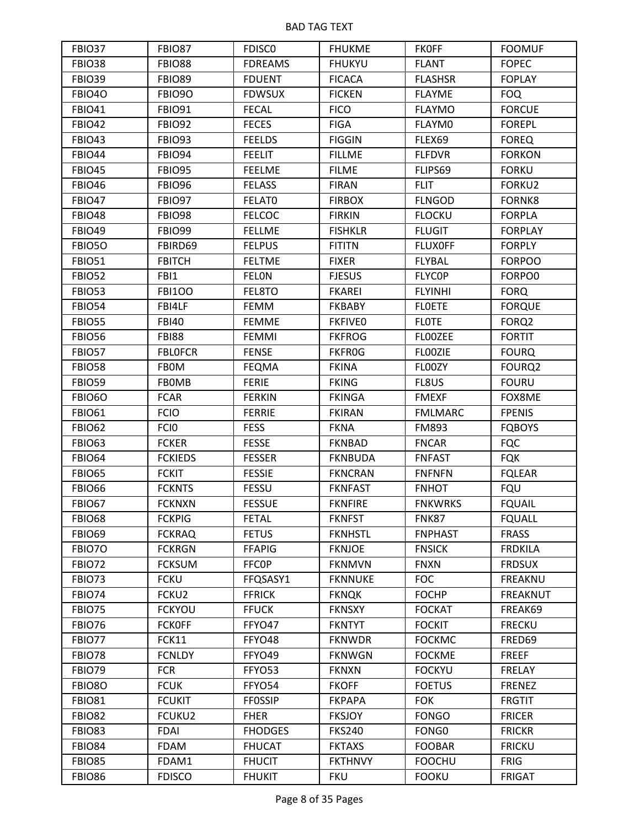| FBIO37        | FBIO87            | <b>FDISCO</b>  | <b>FHUKME</b>  | <b>FKOFF</b>      | <b>FOOMUF</b>   |
|---------------|-------------------|----------------|----------------|-------------------|-----------------|
| <b>FBIO38</b> | <b>FBIO88</b>     | <b>FDREAMS</b> | <b>FHUKYU</b>  | <b>FLANT</b>      | <b>FOPEC</b>    |
| <b>FBIO39</b> | <b>FBIO89</b>     | <b>FDUENT</b>  | <b>FICACA</b>  | <b>FLASHSR</b>    | <b>FOPLAY</b>   |
| FBIO4O        | <b>FBIO90</b>     | <b>FDWSUX</b>  | <b>FICKEN</b>  | <b>FLAYME</b>     | <b>FOQ</b>      |
| <b>FBIO41</b> | <b>FBIO91</b>     | <b>FECAL</b>   | <b>FICO</b>    | <b>FLAYMO</b>     | <b>FORCUE</b>   |
| <b>FBIO42</b> | <b>FBIO92</b>     | <b>FECES</b>   | <b>FIGA</b>    | FLAYM0            | <b>FOREPL</b>   |
| <b>FBIO43</b> | <b>FBIO93</b>     | <b>FEELDS</b>  | <b>FIGGIN</b>  | FLEX69            | <b>FOREQ</b>    |
| <b>FBIO44</b> | <b>FBIO94</b>     | <b>FEELIT</b>  | <b>FILLME</b>  | <b>FLFDVR</b>     | <b>FORKON</b>   |
| <b>FBIO45</b> | <b>FBIO95</b>     | <b>FEELME</b>  | <b>FILME</b>   | FLIPS69           | <b>FORKU</b>    |
| <b>FBIO46</b> | <b>FBIO96</b>     | <b>FELASS</b>  | <b>FIRAN</b>   | <b>FLIT</b>       | FORKU2          |
| <b>FBIO47</b> | <b>FBIO97</b>     | FELAT0         | <b>FIRBOX</b>  | <b>FLNGOD</b>     | FORNK8          |
| <b>FBIO48</b> | <b>FBIO98</b>     | <b>FELCOC</b>  | <b>FIRKIN</b>  | <b>FLOCKU</b>     | <b>FORPLA</b>   |
| <b>FBIO49</b> | <b>FBIO99</b>     | <b>FELLME</b>  | <b>FISHKLR</b> | <b>FLUGIT</b>     | <b>FORPLAY</b>  |
| FBIO5O        | FBIRD69           | <b>FELPUS</b>  | <b>FITITN</b>  | <b>FLUXOFF</b>    | <b>FORPLY</b>   |
| <b>FBIO51</b> | <b>FBITCH</b>     | <b>FELTME</b>  | <b>FIXER</b>   | <b>FLYBAL</b>     | <b>FORPOO</b>   |
| <b>FBIO52</b> | FBI1              | FELON          | <b>FJESUS</b>  | <b>FLYCOP</b>     | FORPO0          |
| <b>FBIO53</b> | <b>FBI100</b>     | FEL8TO         | <b>FKAREI</b>  | <b>FLYINHI</b>    | <b>FORQ</b>     |
| <b>FBIO54</b> | FBI4LF            | <b>FEMM</b>    | <b>FKBABY</b>  | <b>FLOETE</b>     | <b>FORQUE</b>   |
| <b>FBIO55</b> | <b>FBI40</b>      | <b>FEMME</b>   | <b>FKFIVEO</b> | <b>FLOTE</b>      | FORQ2           |
| <b>FBIO56</b> | <b>FBI88</b>      | FEMMI          | <b>FKFROG</b>  | <b>FLOOZEE</b>    | <b>FORTIT</b>   |
| <b>FBIO57</b> | <b>FBLOFCR</b>    | <b>FENSE</b>   | <b>FKFROG</b>  | FL00ZIE           | <b>FOURQ</b>    |
| <b>FBIO58</b> | <b>FBOM</b>       | <b>FEQMA</b>   | <b>FKINA</b>   | FL00ZY            | FOURQ2          |
| <b>FBIO59</b> | <b>FBOMB</b>      | <b>FERIE</b>   | <b>FKING</b>   | FL8US             | <b>FOURU</b>    |
| FBIO6O        | <b>FCAR</b>       | <b>FERKIN</b>  | <b>FKINGA</b>  | <b>FMEXF</b>      | FOX8ME          |
| <b>FBIO61</b> | <b>FCIO</b>       | <b>FERRIE</b>  | <b>FKIRAN</b>  | <b>FMLMARC</b>    | <b>FPENIS</b>   |
| <b>FBIO62</b> | <b>FCIO</b>       | <b>FESS</b>    | <b>FKNA</b>    | FM893             | <b>FQBOYS</b>   |
| <b>FBIO63</b> | <b>FCKER</b>      | <b>FESSE</b>   | <b>FKNBAD</b>  | <b>FNCAR</b>      | <b>FQC</b>      |
| <b>FBIO64</b> | <b>FCKIEDS</b>    | <b>FESSER</b>  | <b>FKNBUDA</b> | <b>FNFAST</b>     | <b>FQK</b>      |
| <b>FBIO65</b> | <b>FCKIT</b>      | <b>FESSIE</b>  | <b>FKNCRAN</b> | <b>FNFNFN</b>     | <b>FQLEAR</b>   |
| <b>FBIO66</b> | <b>FCKNTS</b>     | <b>FESSU</b>   | <b>FKNFAST</b> | <b>FNHOT</b>      | <b>FQU</b>      |
| <b>FBIO67</b> | <b>FCKNXN</b>     | <b>FESSUE</b>  | <b>FKNFIRE</b> | <b>FNKWRKS</b>    | <b>FQUAIL</b>   |
| <b>FBIO68</b> | <b>FCKPIG</b>     | <b>FETAL</b>   | <b>FKNFST</b>  | <b>FNK87</b>      | <b>FQUALL</b>   |
| <b>FBIO69</b> | <b>FCKRAQ</b>     | <b>FETUS</b>   | <b>FKNHSTL</b> | <b>FNPHAST</b>    | <b>FRASS</b>    |
| FBIO7O        | <b>FCKRGN</b>     | <b>FFAPIG</b>  | <b>FKNJOE</b>  | <b>FNSICK</b>     | <b>FRDKILA</b>  |
| <b>FBIO72</b> | <b>FCKSUM</b>     | <b>FFCOP</b>   | <b>FKNMVN</b>  | <b>FNXN</b>       | <b>FRDSUX</b>   |
| <b>FBIO73</b> | <b>FCKU</b>       | FFQSASY1       | <b>FKNNUKE</b> | <b>FOC</b>        | <b>FREAKNU</b>  |
| <b>FBIO74</b> | FCKU <sub>2</sub> | <b>FFRICK</b>  | <b>FKNQK</b>   | <b>FOCHP</b>      | <b>FREAKNUT</b> |
| FBIO75        | <b>FCKYOU</b>     | <b>FFUCK</b>   | <b>FKNSXY</b>  | <b>FOCKAT</b>     | FREAK69         |
| <b>FBIO76</b> | <b>FCKOFF</b>     | FFYO47         | <b>FKNTYT</b>  | <b>FOCKIT</b>     | <b>FRECKU</b>   |
| <b>FBIO77</b> | FCK11             | FFYO48         | <b>FKNWDR</b>  | <b>FOCKMC</b>     | FRED69          |
| <b>FBIO78</b> | <b>FCNLDY</b>     | FFYO49         | <b>FKNWGN</b>  | <b>FOCKME</b>     | <b>FREEF</b>    |
| <b>FBIO79</b> | <b>FCR</b>        | FFYO53         | <b>FKNXN</b>   | <b>FOCKYU</b>     | FRELAY          |
| FBIO8O        | <b>FCUK</b>       | FFYO54         | <b>FKOFF</b>   | <b>FOETUS</b>     | <b>FRENEZ</b>   |
| <b>FBIO81</b> | <b>FCUKIT</b>     | <b>FFOSSIP</b> | <b>FKPAPA</b>  | <b>FOK</b>        | <b>FRGTIT</b>   |
| <b>FBIO82</b> | FCUKU2            | <b>FHER</b>    | <b>FKSJOY</b>  | <b>FONGO</b>      | <b>FRICER</b>   |
|               |                   |                |                |                   |                 |
| <b>FBIO83</b> | <b>FDAI</b>       | <b>FHODGES</b> | <b>FKS240</b>  | FONG <sub>0</sub> | <b>FRICKR</b>   |
| <b>FBIO84</b> | <b>FDAM</b>       | <b>FHUCAT</b>  | <b>FKTAXS</b>  | <b>FOOBAR</b>     | <b>FRICKU</b>   |
| <b>FBIO85</b> | FDAM1             | <b>FHUCIT</b>  | <b>FKTHNVY</b> | <b>FOOCHU</b>     | <b>FRIG</b>     |
| <b>FBIO86</b> | <b>FDISCO</b>     | <b>FHUKIT</b>  | <b>FKU</b>     | <b>FOOKU</b>      | <b>FRIGAT</b>   |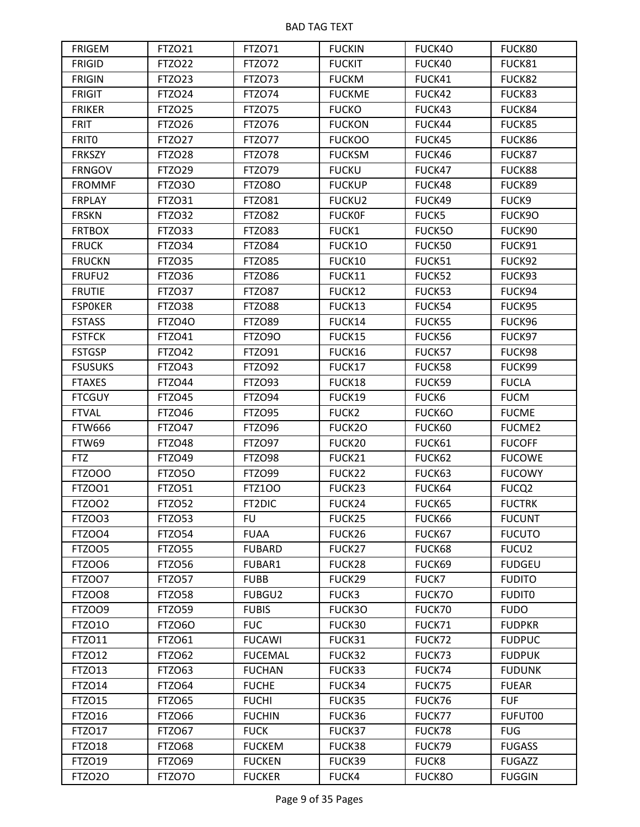| <b>FRIGEM</b>  | <b>FTZO21</b> | <b>FTZO71</b>  | <b>FUCKIN</b> | FUCK4O        | FUCK80            |
|----------------|---------------|----------------|---------------|---------------|-------------------|
| <b>FRIGID</b>  | <b>FTZO22</b> | FTZO72         | <b>FUCKIT</b> | FUCK40        | FUCK81            |
| <b>FRIGIN</b>  | FTZ023        | FTZO73         | <b>FUCKM</b>  | FUCK41        | FUCK82            |
| <b>FRIGIT</b>  | FTZ024        | FTZO74         | <b>FUCKME</b> | FUCK42        | FUCK83            |
| <b>FRIKER</b>  | <b>FTZO25</b> | FTZO75         | <b>FUCKO</b>  | FUCK43        | FUCK84            |
| <b>FRIT</b>    | FTZ026        | <b>FTZO76</b>  | <b>FUCKON</b> | FUCK44        | FUCK85            |
| <b>FRITO</b>   | <b>FTZO27</b> | FTZ077         | <b>FUCKOO</b> | FUCK45        | FUCK86            |
| <b>FRKSZY</b>  | <b>FTZO28</b> | FTZO78         | <b>FUCKSM</b> | FUCK46        | FUCK87            |
| <b>FRNGOV</b>  | <b>FTZO29</b> | FTZO79         | <b>FUCKU</b>  | FUCK47        | FUCK88            |
| <b>FROMMF</b>  | FTZO3O        | FTZO8O         | <b>FUCKUP</b> | FUCK48        | FUCK89            |
| <b>FRPLAY</b>  | FTZ031        | <b>FTZO81</b>  | <b>FUCKU2</b> | FUCK49        | FUCK9             |
| <b>FRSKN</b>   | <b>FTZO32</b> | <b>FTZO82</b>  | <b>FUCKOF</b> | FUCK5         | FUCK9O            |
| <b>FRTBOX</b>  | FTZ033        | FTZO83         | FUCK1         | <b>FUCK5O</b> | FUCK90            |
| <b>FRUCK</b>   | <b>FTZO34</b> | FTZO84         | FUCK1O        | FUCK50        | FUCK91            |
| <b>FRUCKN</b>  | <b>FTZO35</b> | FTZO85         | FUCK10        | FUCK51        | FUCK92            |
| FRUFU2         | <b>FTZO36</b> | <b>FTZO86</b>  | FUCK11        | FUCK52        | FUCK93            |
| <b>FRUTIE</b>  | FTZO37        | FTZO87         | FUCK12        | FUCK53        | FUCK94            |
| <b>FSPOKER</b> | <b>FTZO38</b> | FTZO88         | FUCK13        | FUCK54        | FUCK95            |
| <b>FSTASS</b>  | <b>FTZO40</b> | <b>FTZO89</b>  | FUCK14        | FUCK55        | FUCK96            |
| <b>FSTFCK</b>  | <b>FTZO41</b> | FTZ090         | FUCK15        | FUCK56        | FUCK97            |
| <b>FSTGSP</b>  | <b>FTZO42</b> | <b>FTZO91</b>  | FUCK16        | FUCK57        | FUCK98            |
| <b>FSUSUKS</b> | FTZO43        | <b>FTZO92</b>  | FUCK17        | FUCK58        | FUCK99            |
| <b>FTAXES</b>  | <b>FTZO44</b> | FTZO93         | FUCK18        | FUCK59        | <b>FUCLA</b>      |
| <b>FTCGUY</b>  | <b>FTZO45</b> | FTZO94         | FUCK19        | FUCK6         | <b>FUCM</b>       |
| <b>FTVAL</b>   | <b>FTZO46</b> | <b>FTZO95</b>  | FUCK2         | FUCK6O        | <b>FUCME</b>      |
| <b>FTW666</b>  | <b>FTZO47</b> | <b>FTZO96</b>  | FUCK2O        | FUCK60        | <b>FUCME2</b>     |
| FTW69          | <b>FTZO48</b> | FTZO97         | FUCK20        | FUCK61        | <b>FUCOFF</b>     |
| <b>FTZ</b>     | <b>FTZO49</b> | <b>FTZO98</b>  | FUCK21        | FUCK62        | <b>FUCOWE</b>     |
| FTZOOO         | FTZO50        | <b>FTZO99</b>  | FUCK22        | FUCK63        | <b>FUCOWY</b>     |
| <b>FTZOO1</b>  | FTZ051        | <b>FTZ100</b>  | FUCK23        | FUCK64        | FUCQ <sub>2</sub> |
| <b>FTZOO2</b>  | <b>FTZO52</b> | FT2DIC         | FUCK24        | FUCK65        | <b>FUCTRK</b>     |
| FTZOO3         | <b>FTZO53</b> | <b>FU</b>      | FUCK25        | FUCK66        | <b>FUCUNT</b>     |
| FTZOO4         | <b>FTZO54</b> | <b>FUAA</b>    | FUCK26        | FUCK67        | <b>FUCUTO</b>     |
| FTZOO5         | <b>FTZ055</b> | <b>FUBARD</b>  | FUCK27        | FUCK68        | FUCU2             |
| <b>FTZOO6</b>  | FTZ056        | FUBAR1         | FUCK28        | FUCK69        | <b>FUDGEU</b>     |
| FTZOO7         | FTZO57        | <b>FUBB</b>    | FUCK29        | FUCK7         | <b>FUDITO</b>     |
| FTZOO8         | <b>FTZO58</b> | FUBGU2         | FUCK3         | FUCK7O        | <b>FUDITO</b>     |
| FTZOO9         | <b>FTZO59</b> | <b>FUBIS</b>   | FUCK3O        | FUCK70        | <b>FUDO</b>       |
| <b>FTZO10</b>  | FTZO6O        | <b>FUC</b>     | FUCK30        | FUCK71        | <b>FUDPKR</b>     |
| FTZ011         | <b>FTZO61</b> | <b>FUCAWI</b>  | FUCK31        | FUCK72        | <b>FUDPUC</b>     |
| <b>FTZO12</b>  | <b>FTZO62</b> | <b>FUCEMAL</b> | FUCK32        | FUCK73        | <b>FUDPUK</b>     |
| FTZ013         | FTZ063        | <b>FUCHAN</b>  | FUCK33        | FUCK74        | <b>FUDUNK</b>     |
| FTZO14         | <b>FTZO64</b> | <b>FUCHE</b>   | FUCK34        | FUCK75        | <b>FUEAR</b>      |
| FTZ015         | FTZ065        | <b>FUCHI</b>   | FUCK35        | FUCK76        | <b>FUF</b>        |
| FTZ016         | FTZ066        | <b>FUCHIN</b>  | FUCK36        | FUCK77        | FUFUT00           |
| FTZO17         | <b>FTZO67</b> | <b>FUCK</b>    | FUCK37        | FUCK78        | <b>FUG</b>        |
| <b>FTZO18</b>  | <b>FTZO68</b> | <b>FUCKEM</b>  | FUCK38        | FUCK79        | <b>FUGASS</b>     |
| <b>FTZO19</b>  | <b>FTZO69</b> | <b>FUCKEN</b>  | FUCK39        | <b>FUCK8</b>  | <b>FUGAZZ</b>     |
| <b>FTZO20</b>  | <b>FTZ070</b> | <b>FUCKER</b>  | FUCK4         | <b>FUCK8O</b> | <b>FUGGIN</b>     |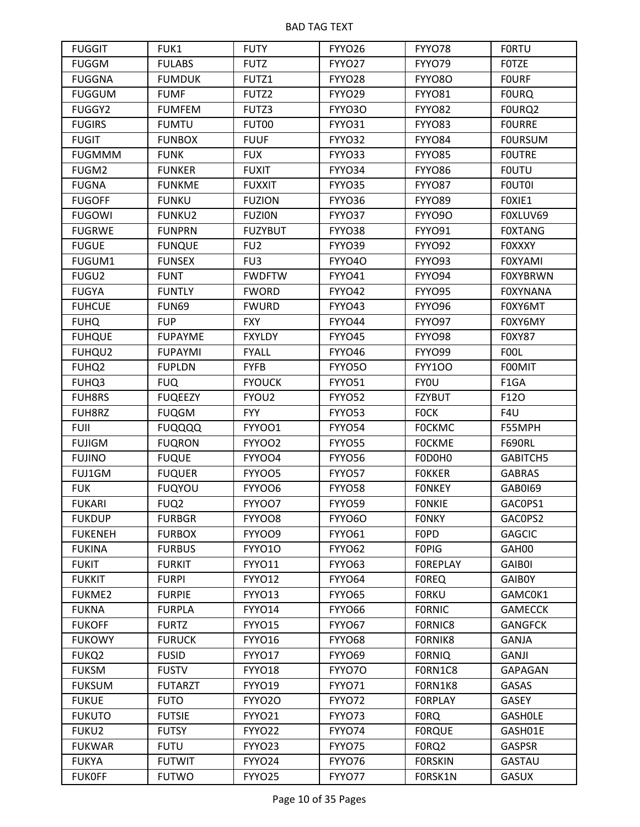| <b>FUGGIT</b>     | FUK1             | <b>FUTY</b>       | FYYO26        | FYYO78             | <b>FORTU</b>    |
|-------------------|------------------|-------------------|---------------|--------------------|-----------------|
| <b>FUGGM</b>      | <b>FULABS</b>    | <b>FUTZ</b>       | FYYO27        | FYYO79             | <b>FOTZE</b>    |
| <b>FUGGNA</b>     | <b>FUMDUK</b>    | FUTZ1             | FYYO28        | FYYO8O             | <b>FOURF</b>    |
| <b>FUGGUM</b>     | <b>FUMF</b>      | FUTZ2             | FYYO29        | <b>FYYO81</b>      | <b>FOURQ</b>    |
| FUGGY2            | <b>FUMFEM</b>    | FUTZ3             | FYYO3O        | FYYO82             | FOURQ2          |
| <b>FUGIRS</b>     | <b>FUMTU</b>     | FUT00             | <b>FYYO31</b> | FYYO83             | <b>FOURRE</b>   |
| <b>FUGIT</b>      | <b>FUNBOX</b>    | <b>FUUF</b>       | FYYO32        | FYYO84             | <b>FOURSUM</b>  |
| <b>FUGMMM</b>     | <b>FUNK</b>      | <b>FUX</b>        | FYYO33        | FYYO85             | <b>FOUTRE</b>   |
| FUGM2             | <b>FUNKER</b>    | <b>FUXIT</b>      | FYYO34        | FYYO86             | <b>FOUTU</b>    |
| <b>FUGNA</b>      | <b>FUNKME</b>    | <b>FUXXIT</b>     | FYYO35        | FYYO87             | <b>FOUTOI</b>   |
| <b>FUGOFF</b>     | <b>FUNKU</b>     | <b>FUZION</b>     | FYYO36        | <b>FYYO89</b>      | FOXIE1          |
| <b>FUGOWI</b>     | <b>FUNKU2</b>    | <b>FUZION</b>     | FYYO37        | FYYO9O             | FOXLUV69        |
| <b>FUGRWE</b>     | <b>FUNPRN</b>    | <b>FUZYBUT</b>    | FYYO38        | FYYO91             | <b>FOXTANG</b>  |
| <b>FUGUE</b>      | <b>FUNQUE</b>    | FU <sub>2</sub>   | FYYO39        | FYYO92             | <b>FOXXXY</b>   |
| FUGUM1            | <b>FUNSEX</b>    | FU <sub>3</sub>   | FYYO4O        | FYYO93             | <b>FOXYAMI</b>  |
| FUGU2             | <b>FUNT</b>      | <b>FWDFTW</b>     | <b>FYYO41</b> | FYYO94             | <b>FOXYBRWN</b> |
| <b>FUGYA</b>      | <b>FUNTLY</b>    | <b>FWORD</b>      | FYYO42        | FYYO95             | <b>FOXYNANA</b> |
| <b>FUHCUE</b>     | <b>FUN69</b>     | <b>FWURD</b>      | FYYO43        | <b>FYYO96</b>      | F0XY6MT         |
| <b>FUHQ</b>       | <b>FUP</b>       | <b>FXY</b>        | FYYO44        | FYYO97             | F0XY6MY         |
| <b>FUHQUE</b>     | <b>FUPAYME</b>   | <b>FXYLDY</b>     | FYYO45        | FYYO98             | <b>FOXY87</b>   |
| FUHQU2            | <b>FUPAYMI</b>   | <b>FYALL</b>      | FYYO46        | FYYO99             | <b>FOOL</b>     |
| FUHQ <sub>2</sub> | <b>FUPLDN</b>    | <b>FYFB</b>       | FYYO5O        | <b>FYY100</b>      | <b>FOOMIT</b>   |
| FUHQ3             | <b>FUQ</b>       | <b>FYOUCK</b>     | FYYO51        | <b>FYOU</b>        | F1GA            |
| <b>FUH8RS</b>     | <b>FUQEEZY</b>   | FYOU <sub>2</sub> | FYYO52        | <b>FZYBUT</b>      | F120            |
| FUH8RZ            | <b>FUQGM</b>     | <b>FYY</b>        | FYYO53        | <b>FOCK</b>        | F4U             |
| <b>FUII</b>       | <b>FUQQQQ</b>    | FYYOO1            | FYYO54        | <b>FOCKMC</b>      | F55MPH          |
| <b>FUJIGM</b>     | <b>FUQRON</b>    | FYYOO2            | FYYO55        | <b>FOCKME</b>      | <b>F690RL</b>   |
| <b>FUJINO</b>     | <b>FUQUE</b>     | FYYOO4            | FYYO56        | FODOH <sub>0</sub> | GABITCH5        |
| FUJ1GM            | <b>FUQUER</b>    | FYYOO5            | FYYO57        | <b>FOKKER</b>      | <b>GABRAS</b>   |
| <b>FUK</b>        | <b>FUQYOU</b>    | FYYOO6            | <b>FYYO58</b> | <b>FONKEY</b>      | GAB0169         |
| <b>FUKARI</b>     | FUQ <sub>2</sub> | FYYOO7            | <b>FYYO59</b> | <b>FONKIE</b>      | GAC0PS1         |
| <b>FUKDUP</b>     | <b>FURBGR</b>    | FYYOO8            | FYYO6O        | <b>FONKY</b>       | GACOPS2         |
| <b>FUKENEH</b>    | <b>FURBOX</b>    | FYYOO9            | <b>FYYO61</b> | <b>FOPD</b>        | <b>GAGCIC</b>   |
| <b>FUKINA</b>     | <b>FURBUS</b>    | <b>FYYO10</b>     | FYYO62        | <b>FOPIG</b>       | GAH00           |
| <b>FUKIT</b>      | <b>FURKIT</b>    | <b>FYYO11</b>     | <b>FYYO63</b> | <b>FOREPLAY</b>    | <b>GAIBOI</b>   |
| <b>FUKKIT</b>     | <b>FURPI</b>     | <b>FYYO12</b>     | FYYO64        | <b>FOREQ</b>       | <b>GAIBOY</b>   |
| <b>FUKME2</b>     | <b>FURPIE</b>    | FYYO13            | FYYO65        | <b>FORKU</b>       | GAMC0K1         |
| <b>FUKNA</b>      | <b>FURPLA</b>    | <b>FYYO14</b>     | FYYO66        | <b>FORNIC</b>      | <b>GAMECCK</b>  |
| <b>FUKOFF</b>     | <b>FURTZ</b>     | FYYO15            | FYYO67        | FORNIC8            | <b>GANGFCK</b>  |
| <b>FUKOWY</b>     | <b>FURUCK</b>    | <b>FYYO16</b>     | FYYO68        | FORNIK8            | <b>GANJA</b>    |
| FUKQ2             | <b>FUSID</b>     | FYYO17            | FYYO69        | <b>FORNIQ</b>      | GANJI           |
| <b>FUKSM</b>      | <b>FUSTV</b>     | <b>FYYO18</b>     | FYYO70        | FORN1C8            | <b>GAPAGAN</b>  |
| <b>FUKSUM</b>     | <b>FUTARZT</b>   | FYYO19            | <b>FYYO71</b> | FORN1K8            | GASAS           |
| <b>FUKUE</b>      | <b>FUTO</b>      | FYYO2O            | FYYO72        | <b>FORPLAY</b>     | GASEY           |
| <b>FUKUTO</b>     | <b>FUTSIE</b>    | FYYO21            | FYYO73        | <b>FORQ</b>        | <b>GASHOLE</b>  |
| FUKU2             | <b>FUTSY</b>     | FYYO22            | FYYO74        | <b>FORQUE</b>      | GASH01E         |
| <b>FUKWAR</b>     | <b>FUTU</b>      | FYYO23            | FYYO75        | F0RQ2              | <b>GASPSR</b>   |
| <b>FUKYA</b>      | <b>FUTWIT</b>    | FYYO24            | FYYO76        | <b>FORSKIN</b>     | <b>GASTAU</b>   |
| <b>FUKOFF</b>     | <b>FUTWO</b>     | FYYO25            | FYYO77        | FORSK1N            | <b>GASUX</b>    |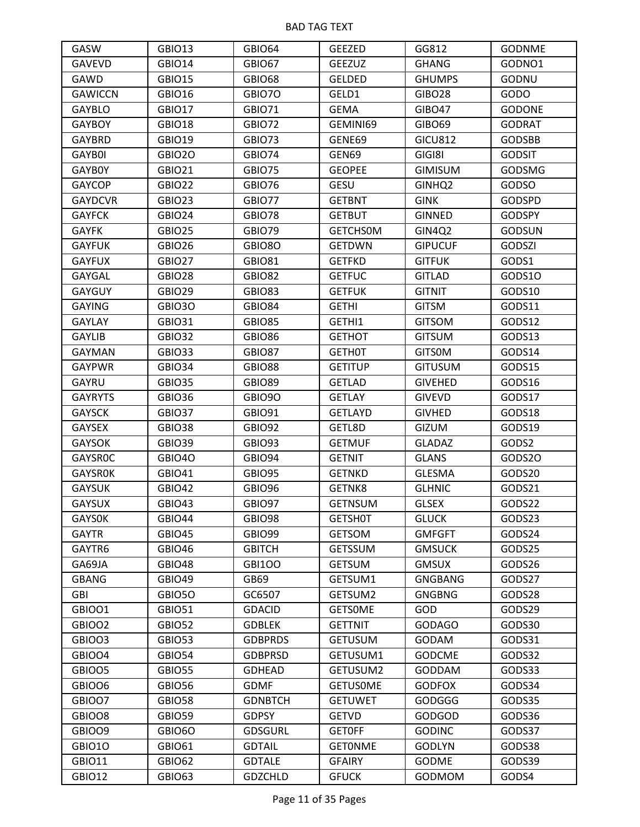| GASW           | GBIO13        | GBIO64         | <b>GEEZED</b>   | GG812              | <b>GODNME</b> |
|----------------|---------------|----------------|-----------------|--------------------|---------------|
| <b>GAVEVD</b>  | <b>GBIO14</b> | GBIO67         | <b>GEEZUZ</b>   | <b>GHANG</b>       | GODNO1        |
| GAWD           | <b>GBIO15</b> | GBIO68         | <b>GELDED</b>   | <b>GHUMPS</b>      | GODNU         |
| <b>GAWICCN</b> | <b>GBIO16</b> | GBIO70         | GELD1           | GIBO28             | GODO          |
| <b>GAYBLO</b>  | GBIO17        | <b>GBIO71</b>  | <b>GEMA</b>     | <b>GIBO47</b>      | <b>GODONE</b> |
| <b>GAYBOY</b>  | <b>GBIO18</b> | GBIO72         | GEMINI69        | GIBO69             | <b>GODRAT</b> |
| GAYBRD         | <b>GBIO19</b> | GBIO73         | GENE69          | <b>GICU812</b>     | <b>GODSBB</b> |
| GAYB0I         | GBIO2O        | GBIO74         | GEN69           | GIGI8I             | <b>GODSIT</b> |
| GAYB0Y         | <b>GBIO21</b> | GBIO75         | <b>GEOPEE</b>   | <b>GIMISUM</b>     | <b>GODSMG</b> |
| <b>GAYCOP</b>  | <b>GBIO22</b> | GBIO76         | <b>GESU</b>     | GINHQ <sub>2</sub> | <b>GODSO</b>  |
| <b>GAYDCVR</b> | GBIO23        | GBIO77         | <b>GETBNT</b>   | <b>GINK</b>        | <b>GODSPD</b> |
| <b>GAYFCK</b>  | GBIO24        | GBIO78         | <b>GETBUT</b>   | <b>GINNED</b>      | <b>GODSPY</b> |
| <b>GAYFK</b>   | GBIO25        | GBIO79         | <b>GETCHSOM</b> | GIN4Q2             | <b>GODSUN</b> |
| <b>GAYFUK</b>  | GBIO26        | GBIO8O         | <b>GETDWN</b>   | <b>GIPUCUF</b>     | <b>GODSZI</b> |
| <b>GAYFUX</b>  | GBIO27        | <b>GBIO81</b>  | <b>GETFKD</b>   | <b>GITFUK</b>      | GODS1         |
| GAYGAL         | GBIO28        | <b>GBIO82</b>  | <b>GETFUC</b>   | <b>GITLAD</b>      | GODS10        |
| GAYGUY         | GBIO29        | GBIO83         | <b>GETFUK</b>   | <b>GITNIT</b>      | GODS10        |
| <b>GAYING</b>  | GBIO3O        | <b>GBIO84</b>  | <b>GETHI</b>    | <b>GITSM</b>       | GODS11        |
| <b>GAYLAY</b>  | <b>GBIO31</b> | GBIO85         | GETHI1          | <b>GITSOM</b>      | GODS12        |
| <b>GAYLIB</b>  | GBIO32        | GBIO86         | <b>GETHOT</b>   | <b>GITSUM</b>      | GODS13        |
| <b>GAYMAN</b>  | GBIO33        | GBIO87         | <b>GETHOT</b>   | <b>GITSOM</b>      | GODS14        |
| <b>GAYPWR</b>  | GBIO34        | <b>GBIO88</b>  | <b>GETITUP</b>  | <b>GITUSUM</b>     | GODS15        |
| GAYRU          | GBIO35        | GBIO89         | <b>GETLAD</b>   | <b>GIVEHED</b>     | GODS16        |
| <b>GAYRYTS</b> | GBIO36        | GBIO9O         | <b>GETLAY</b>   | <b>GIVEVD</b>      | GODS17        |
| <b>GAYSCK</b>  | GBIO37        | <b>GBIO91</b>  | <b>GETLAYD</b>  | <b>GIVHED</b>      | GODS18        |
| GAYSEX         | <b>GBIO38</b> | GBIO92         | GETL8D          | GIZUM              | GODS19        |
| <b>GAYSOK</b>  | GBIO39        | GBIO93         | <b>GETMUF</b>   | <b>GLADAZ</b>      | GODS2         |
| <b>GAYSROC</b> | GBIO4O        | GBIO94         | <b>GETNIT</b>   | <b>GLANS</b>       | GODS20        |
| <b>GAYSROK</b> | <b>GBIO41</b> | GBIO95         | <b>GETNKD</b>   | <b>GLESMA</b>      | GODS20        |
| <b>GAYSUK</b>  | <b>GBIO42</b> | GBIO96         | GETNK8          | <b>GLHNIC</b>      | GODS21        |
| <b>GAYSUX</b>  | GBIO43        | GBIO97         | <b>GETNSUM</b>  | <b>GLSEX</b>       | GODS22        |
| <b>GAYSOK</b>  | GBIO44        | GBIO98         | <b>GETSHOT</b>  | <b>GLUCK</b>       | GODS23        |
| <b>GAYTR</b>   | GBIO45        | GBIO99         | <b>GETSOM</b>   | <b>GMFGFT</b>      | GODS24        |
| GAYTR6         | <b>GBIO46</b> | <b>GBITCH</b>  | <b>GETSSUM</b>  | <b>GMSUCK</b>      | GODS25        |
| GA69JA         | GBIO48        | <b>GBI100</b>  | <b>GETSUM</b>   | <b>GMSUX</b>       | GODS26        |
| <b>GBANG</b>   | GBIO49        | GB69           | GETSUM1         | <b>GNGBANG</b>     | GODS27        |
| GBI            | GBIO5O        | GC6507         | GETSUM2         | <b>GNGBNG</b>      | GODS28        |
| GBIOO1         | <b>GBIO51</b> | <b>GDACID</b>  | <b>GETSOME</b>  | GOD                | GODS29        |
| GBIOO2         | GBIO52        | <b>GDBLEK</b>  | <b>GETTNIT</b>  | <b>GODAGO</b>      | GODS30        |
| GBIOO3         | <b>GBIO53</b> | <b>GDBPRDS</b> | <b>GETUSUM</b>  | GODAM              | GODS31        |
| GBIOO4         | <b>GBIO54</b> | <b>GDBPRSD</b> | GETUSUM1        | <b>GODCME</b>      | GODS32        |
| GBIOO5         | <b>GBIO55</b> | <b>GDHEAD</b>  | GETUSUM2        | GODDAM             | GODS33        |
| GBIOO6         | GBIO56        | <b>GDMF</b>    | <b>GETUSOME</b> | <b>GODFOX</b>      | GODS34        |
| GBIOO7         | <b>GBIO58</b> | <b>GDNBTCH</b> | <b>GETUWET</b>  | <b>GODGGG</b>      | GODS35        |
| GBIOO8         | GBIO59        | <b>GDPSY</b>   | <b>GETVD</b>    | GODGOD             | GODS36        |
| GBIOO9         | GBIO6O        | <b>GDSGURL</b> | <b>GETOFF</b>   | <b>GODINC</b>      | GODS37        |
| GBIO10         | <b>GBIO61</b> | <b>GDTAIL</b>  | <b>GETONME</b>  | <b>GODLYN</b>      | GODS38        |
| <b>GBIO11</b>  | <b>GBIO62</b> | <b>GDTALE</b>  | <b>GFAIRY</b>   | <b>GODME</b>       | GODS39        |
| <b>GBIO12</b>  | GBIO63        | <b>GDZCHLD</b> | <b>GFUCK</b>    | GODMOM             | GODS4         |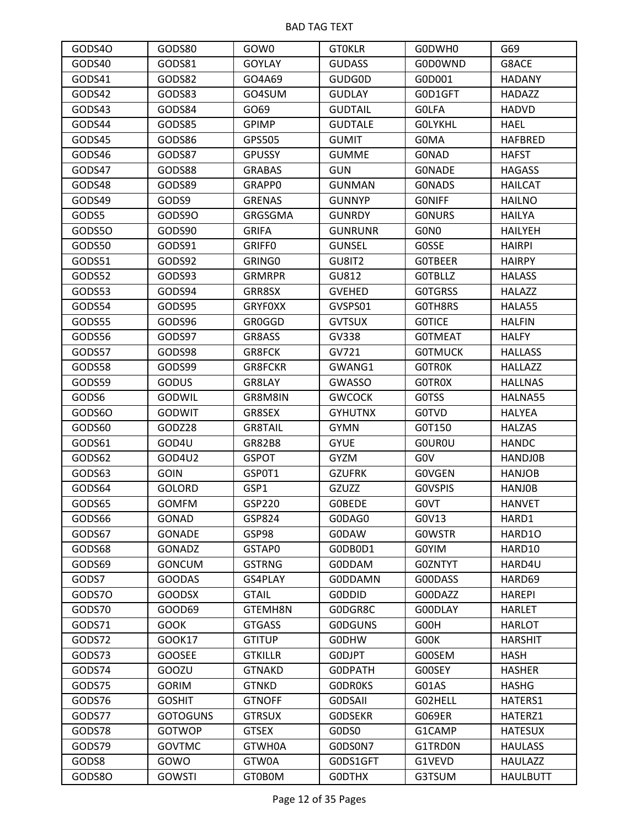| GODS40 | GODS80          | GOW0           | <b>GTOKLR</b>  | G0DWH0           | G69             |
|--------|-----------------|----------------|----------------|------------------|-----------------|
| GODS40 | GODS81          | <b>GOYLAY</b>  | <b>GUDASS</b>  | G0D0WND          | G8ACE           |
| GODS41 | GODS82          | GO4A69         | <b>GUDG0D</b>  | G0D001           | <b>HADANY</b>   |
| GODS42 | GODS83          | GO4SUM         | <b>GUDLAY</b>  | G0D1GFT          | <b>HADAZZ</b>   |
| GODS43 | GODS84          | GO69           | <b>GUDTAIL</b> | <b>GOLFA</b>     | <b>HADVD</b>    |
| GODS44 | GODS85          | <b>GPIMP</b>   | <b>GUDTALE</b> | <b>GOLYKHL</b>   | HAEL            |
| GODS45 | GODS86          | GPS505         | <b>GUMIT</b>   | G0MA             | <b>HAFBRED</b>  |
| GODS46 | GODS87          | <b>GPUSSY</b>  | <b>GUMME</b>   | <b>GONAD</b>     | <b>HAFST</b>    |
| GODS47 | GODS88          | <b>GRABAS</b>  | <b>GUN</b>     | <b>GONADE</b>    | <b>HAGASS</b>   |
| GODS48 | GODS89          | <b>GRAPPO</b>  | <b>GUNMAN</b>  | <b>GONADS</b>    | HAILCAT         |
| GODS49 | GODS9           | <b>GRENAS</b>  | <b>GUNNYP</b>  | <b>GONIFF</b>    | <b>HAILNO</b>   |
| GODS5  | GODS90          | GRGSGMA        | <b>GUNRDY</b>  | <b>GONURS</b>    | <b>HAILYA</b>   |
| GODS50 | GODS90          | <b>GRIFA</b>   | <b>GUNRUNR</b> | G0N <sub>0</sub> | <b>HAILYEH</b>  |
| GODS50 | GODS91          | <b>GRIFFO</b>  | <b>GUNSEL</b>  | <b>GOSSE</b>     | <b>HAIRPI</b>   |
| GODS51 | GODS92          | GRING0         | GU8IT2         | <b>GOTBEER</b>   | <b>HAIRPY</b>   |
| GODS52 | GODS93          | <b>GRMRPR</b>  | GU812          | <b>GOTBLLZ</b>   | <b>HALASS</b>   |
| GODS53 | GODS94          | GRR8SX         | <b>GVEHED</b>  | <b>GOTGRSS</b>   | <b>HALAZZ</b>   |
| GODS54 | GODS95          | <b>GRYFOXX</b> | GVSPS01        | GOTH8RS          | HALA55          |
| GODS55 | GODS96          | GR0GGD         | <b>GVTSUX</b>  | <b>GOTICE</b>    | <b>HALFIN</b>   |
| GODS56 | GODS97          | GR8ASS         | GV338          | <b>GOTMEAT</b>   | <b>HALFY</b>    |
| GODS57 | GODS98          | GR8FCK         | GV721          | <b>GOTMUCK</b>   | <b>HALLASS</b>  |
| GODS58 | GODS99          | <b>GR8FCKR</b> | GWANG1         | <b>GOTROK</b>    | <b>HALLAZZ</b>  |
| GODS59 | <b>GODUS</b>    | GR8LAY         | <b>GWASSO</b>  | <b>GOTROX</b>    | <b>HALLNAS</b>  |
| GODS6  | GODWIL          | GR8M8IN        | <b>GWCOCK</b>  | G0TSS            | HALNA55         |
| GODS60 | <b>GODWIT</b>   | GR8SEX         | <b>GYHUTNX</b> | <b>GOTVD</b>     | <b>HALYEA</b>   |
| GODS60 | GODZ28          | <b>GR8TAIL</b> | <b>GYMN</b>    | G0T150           | <b>HALZAS</b>   |
| GODS61 | GOD4U           | GR82B8         | <b>GYUE</b>    | <b>GOUROU</b>    | <b>HANDC</b>    |
| GODS62 | GOD4U2          | <b>GSPOT</b>   | <b>GYZM</b>    | G <sub>0</sub> V | <b>HANDJOB</b>  |
| GODS63 | <b>GOIN</b>     | GSP0T1         | <b>GZUFRK</b>  | <b>GOVGEN</b>    | <b>HANJOB</b>   |
| GODS64 | <b>GOLORD</b>   | GSP1           | GZUZZ          | <b>GOVSPIS</b>   | <b>HANJOB</b>   |
| GODS65 | <b>GOMFM</b>    | GSP220         | <b>GOBEDE</b>  | G0VT             | <b>HANVET</b>   |
| GODS66 | GONAD           | GSP824         | G0DAG0         | G0V13            | HARD1           |
| GODS67 | <b>GONADE</b>   | GSP98          | <b>GODAW</b>   | <b>GOWSTR</b>    | HARD10          |
| GODS68 | <b>GONADZ</b>   | GSTAP0         | GODBOD1        | G0YIM            | HARD10          |
| GODS69 | <b>GONCUM</b>   | <b>GSTRNG</b>  | G0DDAM         | G0ZNTYT          | HARD4U          |
| GODS7  | <b>GOODAS</b>   | GS4PLAY        | <b>GODDAMN</b> | G00DASS          | HARD69          |
| GODS70 | <b>GOODSX</b>   | <b>GTAIL</b>   | <b>GODDID</b>  | G00DAZZ          | <b>HAREPI</b>   |
| GODS70 | GOOD69          | GTEMH8N        | GODGR8C        | G00DLAY          | <b>HARLET</b>   |
| GODS71 | <b>GOOK</b>     | <b>GTGASS</b>  | <b>GODGUNS</b> | G00H             | <b>HARLOT</b>   |
| GODS72 | GOOK17          | <b>GTITUP</b>  | <b>GODHW</b>   | G00K             | <b>HARSHIT</b>  |
| GODS73 | <b>GOOSEE</b>   | <b>GTKILLR</b> | GODJPT         | G00SEM           | HASH            |
| GODS74 | GOOZU           | <b>GTNAKD</b>  | <b>GODPATH</b> | G00SEY           | <b>HASHER</b>   |
| GODS75 | <b>GORIM</b>    | <b>GTNKD</b>   | <b>GODROKS</b> | G01AS            | <b>HASHG</b>    |
| GODS76 | <b>GOSHIT</b>   | <b>GTNOFF</b>  | <b>GODSAII</b> | G02HELL          | HATERS1         |
| GODS77 | <b>GOTOGUNS</b> | <b>GTRSUX</b>  | <b>GODSEKR</b> | G069ER           | HATERZ1         |
| GODS78 | <b>GOTWOP</b>   | <b>GTSEX</b>   | GODS0          | G1CAMP           | <b>HATESUX</b>  |
| GODS79 | <b>GOVTMC</b>   | GTWH0A         | G0DS0N7        | G1TRD0N          | <b>HAULASS</b>  |
| GODS8  | GOWO            | GTW0A          | G0DS1GFT       | G1VEVD           | <b>HAULAZZ</b>  |
| GODS80 | <b>GOWSTI</b>   | GT0B0M         | <b>GODTHX</b>  | G3TSUM           | <b>HAULBUTT</b> |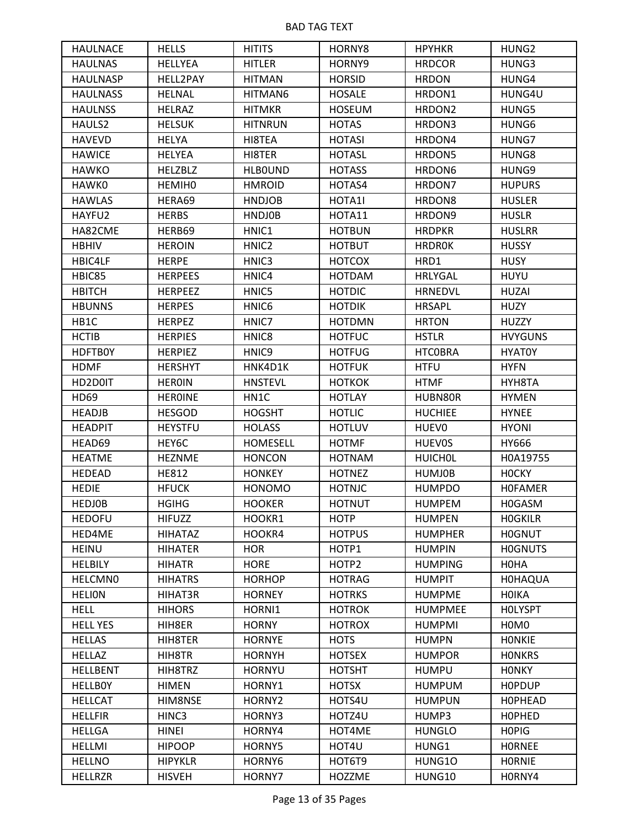| <b>HAULNACE</b> | <b>HELLS</b>   | <b>HITITS</b>     | HORNY8        | <b>HPYHKR</b>      | HUNG2                         |
|-----------------|----------------|-------------------|---------------|--------------------|-------------------------------|
| <b>HAULNAS</b>  | <b>HELLYEA</b> | <b>HITLER</b>     | HORNY9        | <b>HRDCOR</b>      | HUNG3                         |
| <b>HAULNASP</b> | HELL2PAY       | <b>HITMAN</b>     | <b>HORSID</b> | <b>HRDON</b>       | HUNG4                         |
| <b>HAULNASS</b> | <b>HELNAL</b>  | HITMAN6           | <b>HOSALE</b> | HRDON1             | HUNG4U                        |
| <b>HAULNSS</b>  | <b>HELRAZ</b>  | <b>HITMKR</b>     | <b>HOSEUM</b> | HRDON <sub>2</sub> | HUNG5                         |
| HAULS2          | <b>HELSUK</b>  | <b>HITNRUN</b>    | <b>HOTAS</b>  | HRDON3             | HUNG6                         |
| <b>HAVEVD</b>   | <b>HELYA</b>   | HI8TEA            | <b>HOTASI</b> | HRDON4             | HUNG7                         |
| <b>HAWICE</b>   | <b>HELYEA</b>  | HI8TER            | <b>HOTASL</b> | HRDON5             | HUNG8                         |
| <b>HAWKO</b>    | <b>HELZBLZ</b> | <b>HLBOUND</b>    | <b>HOTASS</b> | HRDON6             | HUNG9                         |
| <b>HAWKO</b>    | <b>HEMIHO</b>  | <b>HMROID</b>     | HOTAS4        | HRDON7             | <b>HUPURS</b>                 |
| <b>HAWLAS</b>   | HERA69         | <b>HNDJOB</b>     | HOTA1I        | HRDON8             | <b>HUSLER</b>                 |
| HAYFU2          | <b>HERBS</b>   | <b>HNDJOB</b>     | HOTA11        | HRDON9             | <b>HUSLR</b>                  |
| HA82CME         | HERB69         | HNIC1             | <b>HOTBUN</b> | <b>HRDPKR</b>      | <b>HUSLRR</b>                 |
| <b>HBHIV</b>    | <b>HEROIN</b>  | HNIC <sub>2</sub> | <b>HOTBUT</b> | <b>HRDROK</b>      | <b>HUSSY</b>                  |
| HBIC4LF         | <b>HERPE</b>   | HNIC3             | <b>HOTCOX</b> | HRD1               | <b>HUSY</b>                   |
| HBIC85          | <b>HERPEES</b> | HNIC4             | <b>HOTDAM</b> | <b>HRLYGAL</b>     | <b>HUYU</b>                   |
| <b>HBITCH</b>   | <b>HERPEEZ</b> | HNIC5             | <b>HOTDIC</b> | <b>HRNEDVL</b>     | <b>HUZAI</b>                  |
| <b>HBUNNS</b>   | <b>HERPES</b>  | HNIC <sub>6</sub> | <b>HOTDIK</b> | <b>HRSAPL</b>      | <b>HUZY</b>                   |
| HB1C            | <b>HERPEZ</b>  | HNIC7             | <b>HOTDMN</b> | <b>HRTON</b>       | <b>HUZZY</b>                  |
| <b>HCTIB</b>    | <b>HERPIES</b> | HNIC8             | <b>HOTFUC</b> | <b>HSTLR</b>       | <b>HVYGUNS</b>                |
| <b>HDFTB0Y</b>  | <b>HERPIEZ</b> | HNIC9             | <b>HOTFUG</b> | <b>HTCOBRA</b>     | <b>HYATOY</b>                 |
| <b>HDMF</b>     | <b>HERSHYT</b> | HNK4D1K           | <b>HOTFUK</b> | <b>HTFU</b>        | <b>HYFN</b>                   |
| HD2D0IT         | <b>HEROIN</b>  | <b>HNSTEVL</b>    | <b>HOTKOK</b> | <b>HTMF</b>        | HYH8TA                        |
| HD69            | <b>HEROINE</b> | HN1C              | <b>HOTLAY</b> | HUBN80R            | <b>HYMEN</b>                  |
| <b>HEADJB</b>   | <b>HESGOD</b>  | <b>HOGSHT</b>     | <b>HOTLIC</b> | <b>HUCHIEE</b>     | <b>HYNEE</b>                  |
| <b>HEADPIT</b>  | <b>HEYSTFU</b> | <b>HOLASS</b>     | <b>HOTLUV</b> | HUEV0              | <b>HYONI</b>                  |
| HEAD69          | HEY6C          | <b>HOMESELL</b>   | <b>HOTMF</b>  | <b>HUEVOS</b>      | HY666                         |
| <b>HEATME</b>   | <b>HEZNME</b>  | <b>HONCON</b>     | <b>HOTNAM</b> | <b>HUICHOL</b>     | H0A19755                      |
| <b>HEDEAD</b>   | <b>HE812</b>   | <b>HONKEY</b>     | <b>HOTNEZ</b> | <b>HUMJ0B</b>      | <b>HOCKY</b>                  |
| <b>HEDIE</b>    | <b>HFUCK</b>   | <b>HONOMO</b>     | <b>HOTNJC</b> | <b>HUMPDO</b>      | <b>HOFAMER</b>                |
| <b>HEDJOB</b>   | <b>HGIHG</b>   | <b>HOOKER</b>     | <b>HOTNUT</b> | <b>HUMPEM</b>      | H0GASM                        |
| <b>HEDOFU</b>   | <b>HIFUZZ</b>  | HOOKR1            | <b>HOTP</b>   | <b>HUMPEN</b>      | <b>HOGKILR</b>                |
| HED4ME          | <b>HIHATAZ</b> | HOOKR4            | <b>HOTPUS</b> | <b>HUMPHER</b>     | <b>HOGNUT</b>                 |
| <b>HEINU</b>    | <b>HIHATER</b> | <b>HOR</b>        | HOTP1         | <b>HUMPIN</b>      | <b>HOGNUTS</b>                |
| <b>HELBILY</b>  | <b>HIHATR</b>  | <b>HORE</b>       | HOTP2         | <b>HUMPING</b>     | <b>HOHA</b>                   |
| <b>HELCMNO</b>  | <b>HIHATRS</b> | <b>HORHOP</b>     | <b>HOTRAG</b> | <b>HUMPIT</b>      | <b>HOHAQUA</b>                |
| <b>HELION</b>   | HIHAT3R        | <b>HORNEY</b>     | <b>HOTRKS</b> | <b>HUMPME</b>      | <b>HOIKA</b>                  |
| <b>HELL</b>     | <b>HIHORS</b>  | HORNI1            | <b>HOTROK</b> | <b>HUMPMEE</b>     | <b>HOLYSPT</b>                |
| <b>HELL YES</b> | HIH8ER         | <b>HORNY</b>      | <b>HOTROX</b> | <b>HUMPMI</b>      | H <sub>0</sub> M <sub>0</sub> |
| <b>HELLAS</b>   | HIH8TER        | <b>HORNYE</b>     | <b>HOTS</b>   | <b>HUMPN</b>       | <b>HONKIE</b>                 |
| <b>HELLAZ</b>   | HIH8TR         | <b>HORNYH</b>     | <b>HOTSEX</b> | <b>HUMPOR</b>      | <b>HONKRS</b>                 |
| <b>HELLBENT</b> | HIH8TRZ        | <b>HORNYU</b>     | <b>HOTSHT</b> | <b>HUMPU</b>       | <b>HONKY</b>                  |
| <b>HELLBOY</b>  | <b>HIMEN</b>   | HORNY1            | <b>HOTSX</b>  | <b>HUMPUM</b>      | <b>HOPDUP</b>                 |
| <b>HELLCAT</b>  | HIM8NSE        | HORNY2            | HOTS4U        | <b>HUMPUN</b>      | <b>HOPHEAD</b>                |
| <b>HELLFIR</b>  | HINC3          | HORNY3            | HOTZ4U        | HUMP3              | <b>HOPHED</b>                 |
| <b>HELLGA</b>   | <b>HINEI</b>   | HORNY4            | HOT4ME        | <b>HUNGLO</b>      | <b>HOPIG</b>                  |
| <b>HELLMI</b>   | <b>HIPOOP</b>  | HORNY5            | HOT4U         | HUNG1              | <b>HORNEE</b>                 |
| <b>HELLNO</b>   | <b>HIPYKLR</b> | HORNY6            | HOT6T9        | HUNG10             | <b>HORNIE</b>                 |
| <b>HELLRZR</b>  | <b>HISVEH</b>  | HORNY7            | HOZZME        | HUNG10             | H0RNY4                        |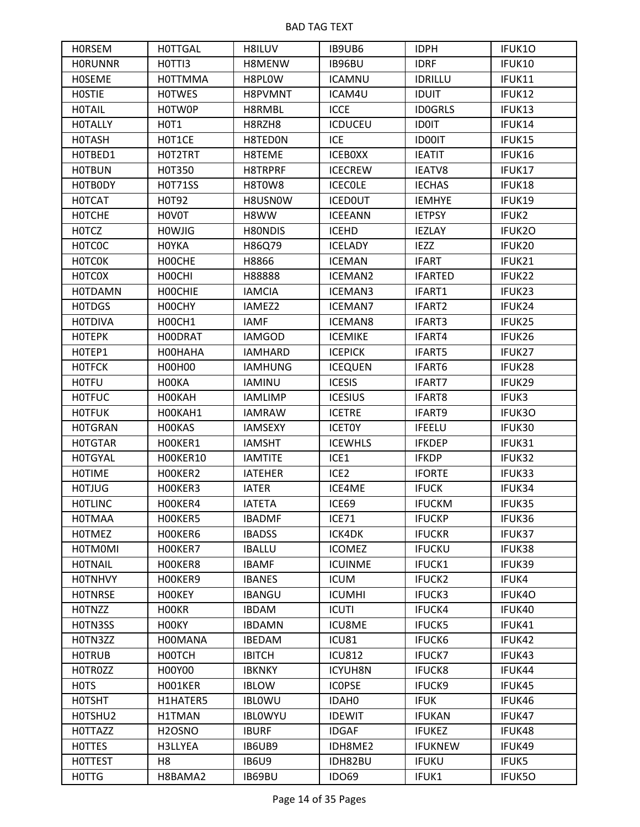| <b>HORSEM</b>                 | <b>HOTTGAL</b>      | H8ILUV         | IB9UB6           | <b>IDPH</b>    | IFUK10 |
|-------------------------------|---------------------|----------------|------------------|----------------|--------|
| <b>HORUNNR</b>                | HOTTI3              | H8MENW         | IB96BU           | <b>IDRF</b>    | IFUK10 |
| <b>HOSEME</b>                 | <b>HOTTMMA</b>      | H8PLOW         | <b>ICAMNU</b>    | <b>IDRILLU</b> | IFUK11 |
| <b>HOSTIE</b>                 | <b>HOTWES</b>       | H8PVMNT        | ICAM4U           | <b>IDUIT</b>   | IFUK12 |
| <b>HOTAIL</b>                 | H0TW0P              | H8RMBL         | <b>ICCE</b>      | <b>ID0GRLS</b> | IFUK13 |
| <b>HOTALLY</b>                | HOT1                | H8RZH8         | <b>ICDUCEU</b>   | <b>IDOIT</b>   | IFUK14 |
| <b>HOTASH</b>                 | HOT1CE              | H8TED0N        | ICE              | <b>ID00IT</b>  | IFUK15 |
| HOTBED1                       | HOT2TRT             | H8TEME         | <b>ICEBOXX</b>   | <b>IEATIT</b>  | IFUK16 |
| <b>HOTBUN</b>                 | H0T350              | H8TRPRF        | <b>ICECREW</b>   | <b>IEATV8</b>  | IFUK17 |
| HOTBODY                       | <b>HOT71SS</b>      | H8T0W8         | <b>ICECOLE</b>   | <b>IECHAS</b>  | IFUK18 |
| <b>HOTCAT</b>                 | H0T92               | H8USN0W        | <b>ICEDOUT</b>   | <b>IEMHYE</b>  | IFUK19 |
| <b>HOTCHE</b>                 | H0V0T               | H8WW           | <b>ICEEANN</b>   | <b>IETPSY</b>  | IFUK2  |
| <b>HOTCZ</b>                  | <b>HOWJIG</b>       | H80NDIS        | <b>ICEHD</b>     | <b>IEZLAY</b>  | IFUK2O |
| <b>HOTCOC</b>                 | <b>HOYKA</b>        | H86Q79         | <b>ICELADY</b>   | <b>IEZZ</b>    | IFUK20 |
| <b>HOTCOK</b>                 | HOOCHE              | H8866          | <b>ICEMAN</b>    | <b>IFART</b>   | IFUK21 |
| <b>HOTCOX</b>                 | HOOCHI              | H88888         | <b>ICEMAN2</b>   | <b>IFARTED</b> | IFUK22 |
| <b>HOTDAMN</b>                | <b>HOOCHIE</b>      | <b>IAMCIA</b>  | <b>ICEMAN3</b>   | IFART1         | IFUK23 |
| <b>HOTDGS</b>                 | H00CHY              | IAMEZ2         | <b>ICEMAN7</b>   | IFART2         | IFUK24 |
| <b>HOTDIVA</b>                | H00CH1              | <b>IAMF</b>    | <b>ICEMAN8</b>   | IFART3         | IFUK25 |
| <b>HOTEPK</b>                 | H00DRAT             | <b>IAMGOD</b>  | <b>ICEMIKE</b>   | IFART4         | IFUK26 |
| HOTEP1                        | HOOHAHA             | <b>IAMHARD</b> | <b>ICEPICK</b>   | IFART5         | IFUK27 |
| <b>HOTFCK</b>                 | H00H00              | <b>IAMHUNG</b> | <b>ICEQUEN</b>   | IFART6         | IFUK28 |
| <b>HOTFU</b>                  | H00KA               | <b>IAMINU</b>  | <b>ICESIS</b>    | IFART7         | IFUK29 |
| <b>HOTFUC</b>                 | H00KAH              | <b>IAMLIMP</b> | <b>ICESIUS</b>   | IFART8         | IFUK3  |
| <b>HOTFUK</b>                 | HOOKAH1             | <b>IAMRAW</b>  | <b>ICETRE</b>    | IFART9         | IFUK3O |
| <b>HOTGRAN</b>                | H00KAS              | <b>IAMSEXY</b> | <b>ICETOY</b>    | <b>IFEELU</b>  | IFUK30 |
| <b>HOTGTAR</b>                | HOOKER1             | <b>IAMSHT</b>  | <b>ICEWHLS</b>   | <b>IFKDEP</b>  | IFUK31 |
| <b>HOTGYAL</b>                | HOOKER10            | <b>IAMTITE</b> | ICE1             | <b>IFKDP</b>   | IFUK32 |
| <b>HOTIME</b>                 | HOOKER2             | <b>IATEHER</b> | ICE <sub>2</sub> | <b>IFORTE</b>  | IFUK33 |
| <b>HOTJUG</b>                 | HOOKER3             | <b>IATER</b>   | ICE4ME           | <b>IFUCK</b>   | IFUK34 |
| <b>HOTLINC</b>                | HOOKER4             | <b>IATETA</b>  | ICE69            | <b>IFUCKM</b>  | IFUK35 |
| <b>HOTMAA</b>                 | HOOKER5             | <b>IBADMF</b>  | ICE71            | <b>IFUCKP</b>  | IFUK36 |
| <b>HOTMEZ</b>                 | HOOKER6             | <b>IBADSS</b>  | ICK4DK           | <b>IFUCKR</b>  | IFUK37 |
| <b>HOTMOMI</b>                | HOOKER7             | <b>IBALLU</b>  | <b>ICOMEZ</b>    | <b>IFUCKU</b>  | IFUK38 |
| <b>HOTNAIL</b>                | HOOKER8             | <b>IBAMF</b>   | <b>ICUINME</b>   | IFUCK1         | IFUK39 |
| <b>HOTNHVY</b>                | HOOKER9             | <b>IBANES</b>  | <b>ICUM</b>      | IFUCK2         | IFUK4  |
| <b>HOTNRSE</b>                | <b>HOOKEY</b>       | <b>IBANGU</b>  | <b>ICUMHI</b>    | IFUCK3         | IFUK40 |
| <b>HOTNZZ</b>                 | H <sub>0</sub> OKR  | <b>IBDAM</b>   | <b>ICUTI</b>     | IFUCK4         | IFUK40 |
| HOTN3SS                       | H00KY               | <b>IBDAMN</b>  | <b>ICU8ME</b>    | <b>IFUCK5</b>  | IFUK41 |
| H0TN3ZZ                       | H00MANA             | <b>IBEDAM</b>  | ICU81            | <b>IFUCK6</b>  | IFUK42 |
| <b>HOTRUB</b>                 | HOOTCH              | <b>IBITCH</b>  | <b>ICU812</b>    | <b>IFUCK7</b>  | IFUK43 |
| HOTROZZ                       | H00Y00              | <b>IBKNKY</b>  | <b>ICYUH8N</b>   | <b>IFUCK8</b>  | IFUK44 |
| H <sub>0</sub> T <sub>S</sub> | H001KER             | <b>IBLOW</b>   | <b>ICOPSE</b>    | IFUCK9         | IFUK45 |
| <b>HOTSHT</b>                 | H1HATER5            | <b>IBLOWU</b>  | IDAH0            | <b>IFUK</b>    | IFUK46 |
| HOTSHU2                       | H1TMAN              | <b>IBLOWYU</b> | <b>IDEWIT</b>    | <b>IFUKAN</b>  | IFUK47 |
| <b>HOTTAZZ</b>                | H <sub>2</sub> OSNO | <b>IBURF</b>   | <b>IDGAF</b>     | <b>IFUKEZ</b>  | IFUK48 |
| <b>HOTTES</b>                 | H3LLYEA             | IB6UB9         | IDH8ME2          | <b>IFUKNEW</b> | IFUK49 |
| <b>HOTTEST</b>                | H <sub>8</sub>      | <b>IB6U9</b>   | IDH82BU          | <b>IFUKU</b>   | IFUK5  |
| <b>HOTTG</b>                  | H8BAMA2             | IB69BU         | <b>IDO69</b>     | IFUK1          | IFUK50 |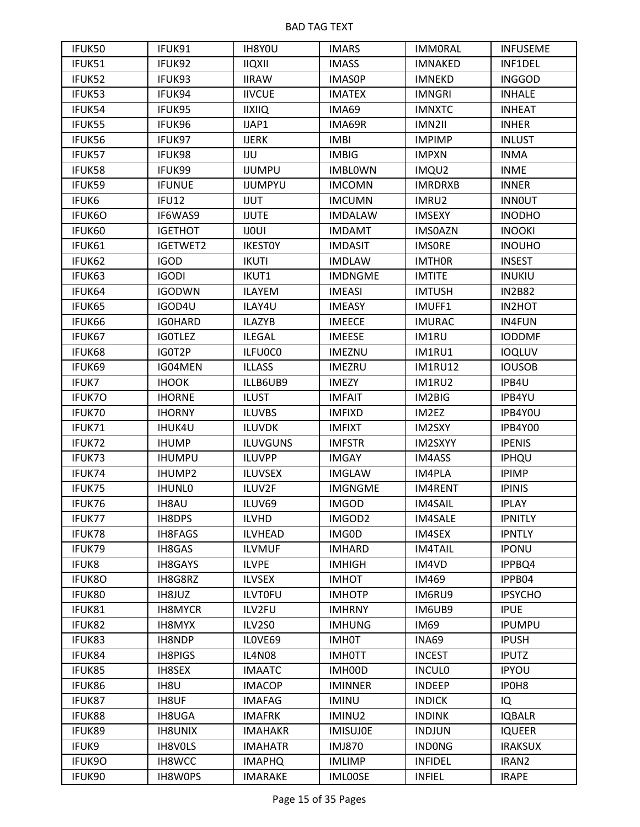| IFUK50        | IFUK91         | IH8Y0U          | <b>IMARS</b>    | <b>IMMORAL</b> | <b>INFUSEME</b>   |
|---------------|----------------|-----------------|-----------------|----------------|-------------------|
| IFUK51        | IFUK92         | <b>IIQXII</b>   | <b>IMASS</b>    | <b>IMNAKED</b> | INF1DEL           |
| IFUK52        | IFUK93         | <b>IIRAW</b>    | <b>IMASOP</b>   | <b>IMNEKD</b>  | <b>INGGOD</b>     |
| IFUK53        | IFUK94         | <b>IIVCUE</b>   | <b>IMATEX</b>   | <b>IMNGRI</b>  | <b>INHALE</b>     |
| IFUK54        | IFUK95         | <b>IIXIIQ</b>   | IMA69           | <b>IMNXTC</b>  | <b>INHEAT</b>     |
| IFUK55        | IFUK96         | IJAP1           | IMA69R          | IMN2II         | <b>INHER</b>      |
| IFUK56        | IFUK97         | <b>IJERK</b>    | <b>IMBI</b>     | <b>IMPIMP</b>  | <b>INLUST</b>     |
| IFUK57        | IFUK98         | IJU             | <b>IMBIG</b>    | <b>IMPXN</b>   | <b>INMA</b>       |
| IFUK58        | IFUK99         | <b>IJUMPU</b>   | <b>IMBLOWN</b>  | IMQU2          | <b>INME</b>       |
| IFUK59        | <b>IFUNUE</b>  | <b>IJUMPYU</b>  | <b>IMCOMN</b>   | <b>IMRDRXB</b> | <b>INNER</b>      |
| IFUK6         | IFU12          | <b>IJUT</b>     | <b>IMCUMN</b>   | IMRU2          | <b>INNOUT</b>     |
| IFUK6O        | IF6WAS9        | <b>IJUTE</b>    | <b>IMDALAW</b>  | <b>IMSEXY</b>  | <b>INODHO</b>     |
| IFUK60        | <b>IGETHOT</b> | <b>IJOUI</b>    | <b>IMDAMT</b>   | <b>IMSOAZN</b> | <b>INOOKI</b>     |
| IFUK61        | IGETWET2       | <b>IKESTOY</b>  | <b>IMDASIT</b>  | <b>IMSORE</b>  | <b>INOUHO</b>     |
| IFUK62        | <b>IGOD</b>    | <b>IKUTI</b>    | <b>IMDLAW</b>   | <b>IMTHOR</b>  | <b>INSEST</b>     |
| IFUK63        | <b>IGODI</b>   | IKUT1           | <b>IMDNGME</b>  | <b>IMTITE</b>  | <b>INUKIU</b>     |
| IFUK64        | <b>IGODWN</b>  | ILAYEM          | <b>IMEASI</b>   | <b>IMTUSH</b>  | <b>IN2B82</b>     |
| IFUK65        | IGOD4U         | ILAY4U          | <b>IMEASY</b>   | IMUFF1         | IN2HOT            |
| IFUK66        | <b>IGOHARD</b> | <b>ILAZYB</b>   | <b>IMEECE</b>   | <b>IMURAC</b>  | <b>IN4FUN</b>     |
| IFUK67        | <b>IGOTLEZ</b> | <b>ILEGAL</b>   | <b>IMEESE</b>   | IM1RU          | <b>IODDMF</b>     |
| IFUK68        | IG0T2P         | ILFU0C0         | <b>IMEZNU</b>   | IM1RU1         | <b>IOQLUV</b>     |
| IFUK69        | IG04MEN        | <b>ILLASS</b>   | <b>IMEZRU</b>   | <b>IM1RU12</b> | <b>IOUSOB</b>     |
| IFUK7         | <b>IHOOK</b>   | ILLB6UB9        | <b>IMEZY</b>    | IM1RU2         | IPB4U             |
| IFUK70        | <b>IHORNE</b>  | <b>ILUST</b>    | <b>IMFAIT</b>   | IM2BIG         | IPB4YU            |
| IFUK70        | <b>IHORNY</b>  | <b>ILUVBS</b>   | <b>IMFIXD</b>   | IM2EZ          | IPB4Y0U           |
| IFUK71        | <b>IHUK4U</b>  | <b>ILUVDK</b>   | <b>IMFIXT</b>   | IM2SXY         | IPB4Y00           |
| IFUK72        | <b>IHUMP</b>   | <b>ILUVGUNS</b> | <b>IMFSTR</b>   | IM2SXYY        | <b>IPENIS</b>     |
| IFUK73        | <b>IHUMPU</b>  | <b>ILUVPP</b>   | <b>IMGAY</b>    | IM4ASS         | IPHQU             |
| IFUK74        | <b>IHUMP2</b>  | <b>ILUVSEX</b>  | <b>IMGLAW</b>   | IM4PLA         | <b>IPIMP</b>      |
| IFUK75        | <b>IHUNLO</b>  | ILUV2F          | <b>IMGNGME</b>  | IM4RENT        | <b>IPINIS</b>     |
| IFUK76        | <b>IH8AU</b>   | ILUV69          | <b>IMGOD</b>    | <b>IM4SAIL</b> | <b>IPLAY</b>      |
| <b>IFUK77</b> | IH8DPS         | ILVHD           | IMGOD2          | <b>IM4SALE</b> | <b>IPNITLY</b>    |
| IFUK78        | IH8FAGS        | <b>ILVHEAD</b>  | IMG0D           | IM4SEX         | <b>IPNTLY</b>     |
| IFUK79        | IH8GAS         | <b>ILVMUF</b>   | <b>IMHARD</b>   | <b>IM4TAIL</b> | <b>IPONU</b>      |
| IFUK8         | <b>IH8GAYS</b> | <b>ILVPE</b>    | <b>IMHIGH</b>   | IM4VD          | IPPBQ4            |
| <b>IFUK8O</b> | IH8G8RZ        | <b>ILVSEX</b>   | <b>IMHOT</b>    | IM469          | IPPB04            |
| IFUK80        | IH8JUZ         | <b>ILVTOFU</b>  | <b>IMHOTP</b>   | IM6RU9         | <b>IPSYCHO</b>    |
| IFUK81        | <b>IH8MYCR</b> | ILV2FU          | <b>IMHRNY</b>   | IM6UB9         | <b>IPUE</b>       |
| IFUK82        | IH8MYX         | ILV2S0          | <b>IMHUNG</b>   | IM69           | <b>IPUMPU</b>     |
| IFUK83        | IH8NDP         | ILOVE69         | <b>IMH0T</b>    | INA69          | <b>IPUSH</b>      |
| IFUK84        | <b>IH8PIGS</b> | <b>IL4N08</b>   | <b>IMHOTT</b>   | <b>INCEST</b>  | <b>IPUTZ</b>      |
| IFUK85        | <b>IH8SEX</b>  | <b>IMAATC</b>   | IMH00D          | <b>INCULO</b>  | <b>IPYOU</b>      |
| IFUK86        | IH8U           | <b>IMACOP</b>   | <b>IMINNER</b>  | <b>INDEEP</b>  | IPOH <sub>8</sub> |
| IFUK87        | IH8UF          | <b>IMAFAG</b>   | <b>IMINU</b>    | <b>INDICK</b>  | IQ                |
| IFUK88        | <b>IH8UGA</b>  | <b>IMAFRK</b>   | IMINU2          | <b>INDINK</b>  | <b>IQBALR</b>     |
| IFUK89        | <b>IH8UNIX</b> | <b>IMAHAKR</b>  | <b>IMISUJOE</b> | <b>INDJUN</b>  | <b>IQUEER</b>     |
| IFUK9         | IH8VOLS        | <b>IMAHATR</b>  | <b>IMJ870</b>   | <b>INDONG</b>  | <b>IRAKSUX</b>    |
| IFUK9O        | <b>IH8WCC</b>  | <b>IMAPHQ</b>   | <b>IMLIMP</b>   | <b>INFIDEL</b> | IRAN2             |
| IFUK90        | IH8W0PS        | <b>IMARAKE</b>  | IML00SE         | <b>INFIEL</b>  | <b>IRAPE</b>      |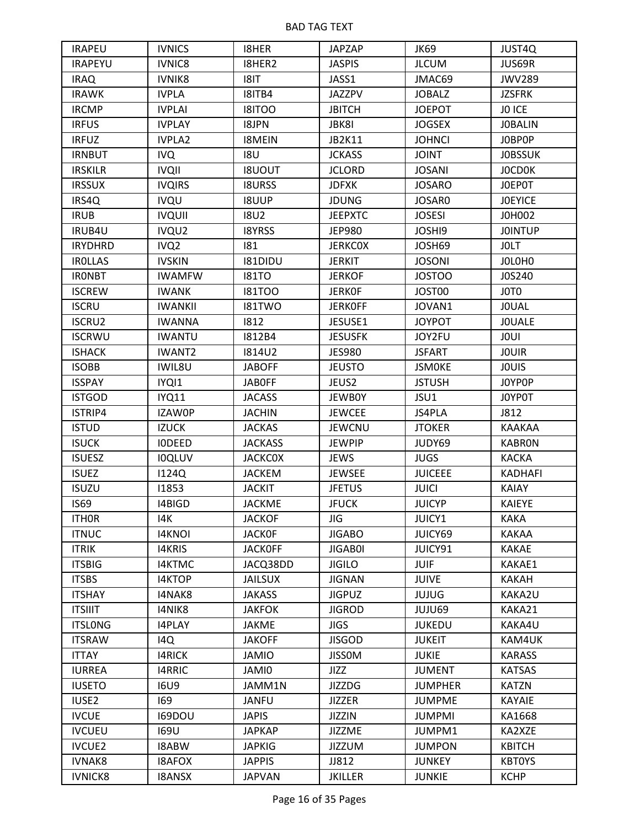| <b>IRAPEU</b>  | <b>IVNICS</b>    | <b>I8HER</b>   | <b>JAPZAP</b>  | JK69           | <b>JUST4Q</b>  |
|----------------|------------------|----------------|----------------|----------------|----------------|
| <b>IRAPEYU</b> | IVNIC8           | I8HER2         | <b>JASPIS</b>  | <b>JLCUM</b>   | JUS69R         |
| <b>IRAQ</b>    | <b>IVNIK8</b>    | 8 T            | JASS1          | JMAC69         | <b>JWV289</b>  |
| <b>IRAWK</b>   | <b>IVPLA</b>     | I8ITB4         | <b>JAZZPV</b>  | <b>JOBALZ</b>  | <b>JZSFRK</b>  |
| <b>IRCMP</b>   | <b>IVPLAI</b>    | <b>ISITOO</b>  | <b>JBITCH</b>  | <b>JOEPOT</b>  | JO ICE         |
| <b>IRFUS</b>   | <b>IVPLAY</b>    | <b>ISJPN</b>   | JBK8I          | <b>JOGSEX</b>  | <b>JOBALIN</b> |
| <b>IRFUZ</b>   | <b>IVPLA2</b>    | <b>I8MEIN</b>  | JB2K11         | <b>JOHNCI</b>  | JOBPOP         |
| <b>IRNBUT</b>  | <b>IVQ</b>       | <b>18U</b>     | <b>JCKASS</b>  | <b>JOINT</b>   | <b>JOBSSUK</b> |
| <b>IRSKILR</b> | <b>IVQII</b>     | <b>ISUOUT</b>  | <b>JCLORD</b>  | <b>JOSANI</b>  | <b>JOCDOK</b>  |
| <b>IRSSUX</b>  | <b>IVQIRS</b>    | <b>I8URSS</b>  | <b>JDFXK</b>   | <b>JOSARO</b>  | JOEPOT         |
| IRS4Q          | <b>IVQU</b>      | <b>I8UUP</b>   | <b>JDUNG</b>   | JOSAR0         | <b>JOEYICE</b> |
| <b>IRUB</b>    | <b>IVQUII</b>    | <b>18U2</b>    | <b>JEEPXTC</b> | <b>JOSESI</b>  | J0H002         |
| IRUB4U         | IVQU2            | <b>I8YRSS</b>  | <b>JEP980</b>  | <b>JOSHI9</b>  | <b>JOINTUP</b> |
| <b>IRYDHRD</b> | IVQ <sub>2</sub> | 181            | <b>JERKCOX</b> | JOSH69         | <b>JOLT</b>    |
| <b>IROLLAS</b> | <b>IVSKIN</b>    | I81DIDU        | <b>JERKIT</b>  | <b>JOSONI</b>  | JOLOHO         |
| <b>IRONBT</b>  | <b>IWAMFW</b>    | <b>181TO</b>   | <b>JERKOF</b>  | <b>JOSTOO</b>  | J0S240         |
| <b>ISCREW</b>  | <b>IWANK</b>     | <b>181TOO</b>  | <b>JERKOF</b>  | JOST00         | JOTO           |
| <b>ISCRU</b>   | <b>IWANKII</b>   | <b>I81TWO</b>  | <b>JERKOFF</b> | JOVAN1         | <b>JOUAL</b>   |
| <b>ISCRU2</b>  | <b>IWANNA</b>    | 1812           | JESUSE1        | <b>JOYPOT</b>  | <b>JOUALE</b>  |
| <b>ISCRWU</b>  | <b>IWANTU</b>    | <b>1812B4</b>  | <b>JESUSFK</b> | JOY2FU         | <b>JOUI</b>    |
| <b>ISHACK</b>  | <b>IWANT2</b>    | <b>1814U2</b>  | <b>JES980</b>  | <b>JSFART</b>  | <b>JOUIR</b>   |
| <b>ISOBB</b>   | IWIL8U           | <b>JABOFF</b>  | <b>JEUSTO</b>  | <b>JSMOKE</b>  | <b>JOUIS</b>   |
| <b>ISSPAY</b>  | IYQI1            | <b>JABOFF</b>  | JEUS2          | <b>JSTUSH</b>  | JOYPOP         |
| <b>ISTGOD</b>  | <b>IYQ11</b>     | <b>JACASS</b>  | <b>JEWBOY</b>  | JSU1           | J0YP0T         |
| ISTRIP4        | <b>IZAWOP</b>    | <b>JACHIN</b>  | <b>JEWCEE</b>  | JS4PLA         | J812           |
| <b>ISTUD</b>   | <b>IZUCK</b>     | <b>JACKAS</b>  | <b>JEWCNU</b>  | <b>JTOKER</b>  | KAAKAA         |
| <b>ISUCK</b>   | <b>IODEED</b>    | <b>JACKASS</b> | <b>JEWPIP</b>  | JUDY69         | <b>KABRON</b>  |
| <b>ISUESZ</b>  | <b>IOQLUV</b>    | <b>JACKCOX</b> | <b>JEWS</b>    | <b>JUGS</b>    | <b>KACKA</b>   |
| <b>ISUEZ</b>   | <b>I124Q</b>     | JACKEM         | <b>JEWSEE</b>  | <b>JUICEEE</b> | <b>KADHAFI</b> |
| <b>ISUZU</b>   | 11853            | <b>JACKIT</b>  | <b>JFETUS</b>  | <b>JUICI</b>   | <b>KAIAY</b>   |
| <b>IS69</b>    | I4BIGD           | <b>JACKME</b>  | <b>JFUCK</b>   | <b>JUICYP</b>  | <b>KAIEYE</b>  |
| <b>ITHOR</b>   | 14K              | <b>JACKOF</b>  | <b>JIG</b>     | JUICY1         | <b>KAKA</b>    |
| <b>ITNUC</b>   | <b>I4KNOI</b>    | <b>JACKOF</b>  | <b>JIGABO</b>  | JUICY69        | <b>KAKAA</b>   |
| <b>ITRIK</b>   | <b>I4KRIS</b>    | <b>JACKOFF</b> | <b>JIGABOI</b> | JUICY91        | <b>KAKAE</b>   |
| <b>ITSBIG</b>  | <b>I4KTMC</b>    | JACQ38DD       | <b>JIGILO</b>  | <b>JUIF</b>    | KAKAE1         |
| <b>ITSBS</b>   | I4KTOP           | <b>JAILSUX</b> | <b>JIGNAN</b>  | <b>JUIVE</b>   | <b>KAKAH</b>   |
| <b>ITSHAY</b>  | I4NAK8           | <b>JAKASS</b>  | <b>JIGPUZ</b>  | <b>JUJUG</b>   | KAKA2U         |
| <b>ITSIIIT</b> | I4NIK8           | <b>JAKFOK</b>  | <b>JIGROD</b>  | JUJU69         | KAKA21         |
| <b>ITSLONG</b> | <b>I4PLAY</b>    | <b>JAKME</b>   | <b>JIGS</b>    | <b>JUKEDU</b>  | KAKA4U         |
| <b>ITSRAW</b>  | 14Q              | <b>JAKOFF</b>  | <b>JISGOD</b>  | <b>JUKEIT</b>  | KAM4UK         |
| <b>ITTAY</b>   | <b>I4RICK</b>    | <b>JAMIO</b>   | <b>JISSOM</b>  | <b>JUKIE</b>   | <b>KARASS</b>  |
| <b>IURREA</b>  | <b>I4RRIC</b>    | JAMI0          | <b>JIZZ</b>    | <b>JUMENT</b>  | <b>KATSAS</b>  |
| <b>IUSETO</b>  | <b>I6U9</b>      | JAMM1N         | <b>JIZZDG</b>  | <b>JUMPHER</b> | <b>KATZN</b>   |
| <b>IUSE2</b>   | 169              | <b>JANFU</b>   | <b>JIZZER</b>  | <b>JUMPME</b>  | KAYAIE         |
| <b>IVCUE</b>   | <b>I69DOU</b>    | <b>JAPIS</b>   | <b>JIZZIN</b>  | <b>JUMPMI</b>  | KA1668         |
| <b>IVCUEU</b>  | 169U             | <b>JAPKAP</b>  | <b>JIZZME</b>  | JUMPM1         | KA2XZE         |
| <b>IVCUE2</b>  | <b>ISABW</b>     | <b>JAPKIG</b>  | <b>JIZZUM</b>  | <b>JUMPON</b>  | <b>KBITCH</b>  |
| <b>IVNAK8</b>  | <b>ISAFOX</b>    | <b>JAPPIS</b>  | JJ812          | <b>JUNKEY</b>  | <b>KBTOYS</b>  |
| <b>IVNICK8</b> | <b>I8ANSX</b>    | <b>JAPVAN</b>  | <b>JKILLER</b> | <b>JUNKIE</b>  | <b>KCHP</b>    |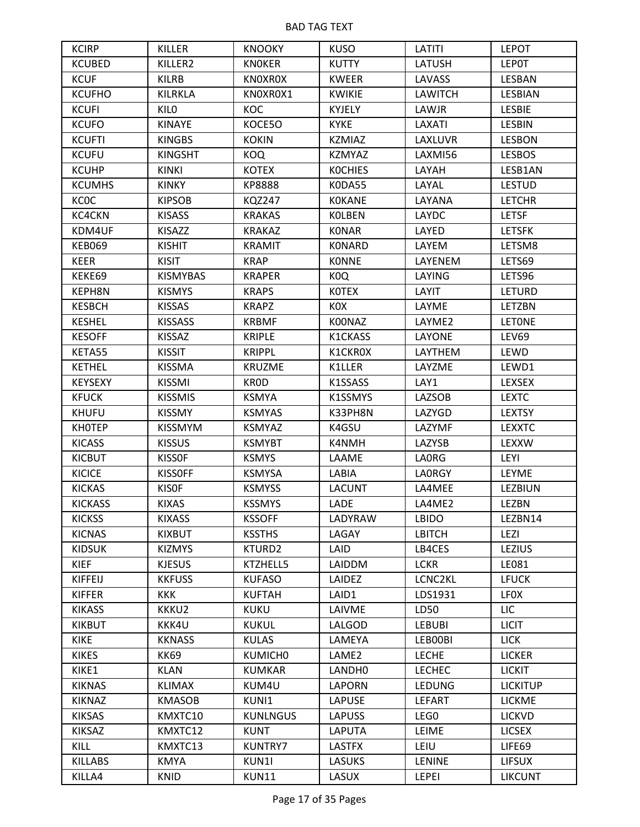| <b>KCIRP</b>   | KILLER          | <b>KNOOKY</b>       | <b>KUSO</b>       | LATITI         | <b>LEPOT</b>    |
|----------------|-----------------|---------------------|-------------------|----------------|-----------------|
| <b>KCUBED</b>  | KILLER2         | <b>KNOKER</b>       | <b>KUTTY</b>      | <b>LATUSH</b>  | <b>LEPOT</b>    |
| <b>KCUF</b>    | <b>KILRB</b>    | <b>KNOXROX</b>      | <b>KWEER</b>      | <b>LAVASS</b>  | LESBAN          |
| <b>KCUFHO</b>  | <b>KILRKLA</b>  | KNOXROX1            | <b>KWIKIE</b>     | <b>LAWITCH</b> | LESBIAN         |
| <b>KCUFI</b>   | <b>KILO</b>     | KOC                 | KYJELY            | LAWJR          | <b>LESBIE</b>   |
| <b>KCUFO</b>   | <b>KINAYE</b>   | KOCE50              | <b>KYKE</b>       | LAXATI         | LESBIN          |
| <b>KCUFTI</b>  | <b>KINGBS</b>   | <b>KOKIN</b>        | <b>KZMIAZ</b>     | LAXLUVR        | <b>LESBON</b>   |
| <b>KCUFU</b>   | <b>KINGSHT</b>  | <b>KOQ</b>          | <b>KZMYAZ</b>     | LAXMI56        | <b>LESBOS</b>   |
| <b>KCUHP</b>   | <b>KINKI</b>    | <b>KOTEX</b>        | <b>KOCHIES</b>    | LAYAH          | LESB1AN         |
| <b>KCUMHS</b>  | <b>KINKY</b>    | <b>KP8888</b>       | K0DA55            | LAYAL          | <b>LESTUD</b>   |
| <b>KCOC</b>    | <b>KIPSOB</b>   | <b>KQZ247</b>       | <b>KOKANE</b>     | LAYANA         | <b>LETCHR</b>   |
| KC4CKN         | <b>KISASS</b>   | <b>KRAKAS</b>       | <b>KOLBEN</b>     | LAYDC          | <b>LETSF</b>    |
| KDM4UF         | KISAZZ          | <b>KRAKAZ</b>       | <b>KONAR</b>      | LAYED          | <b>LETSFK</b>   |
| <b>KEB069</b>  | <b>KISHIT</b>   | <b>KRAMIT</b>       | KONARD            | LAYEM          | LETSM8          |
| <b>KEER</b>    | <b>KISIT</b>    | <b>KRAP</b>         | <b>KONNE</b>      | LAYENEM        | LETS69          |
| KEKE69         | <b>KISMYBAS</b> | <b>KRAPER</b>       | K <sub>0</sub> Q  | LAYING         | LETS96          |
| KEPH8N         | <b>KISMYS</b>   | <b>KRAPS</b>        | <b>KOTEX</b>      | LAYIT          | <b>LETURD</b>   |
| <b>KESBCH</b>  | <b>KISSAS</b>   | <b>KRAPZ</b>        | KOX               | LAYME          | LETZBN          |
| <b>KESHEL</b>  | <b>KISSASS</b>  | <b>KRBMF</b>        | K00NAZ            | LAYME2         | <b>LETONE</b>   |
| <b>KESOFF</b>  | <b>KISSAZ</b>   | <b>KRIPLE</b>       | K1CKASS           | LAYONE         | LEV69           |
| KETA55         | <b>KISSIT</b>   | <b>KRIPPL</b>       | K1CKR0X           | LAYTHEM        | LEWD            |
| <b>KETHEL</b>  | <b>KISSMA</b>   | <b>KRUZME</b>       | K1LLER            | LAYZME         | LEWD1           |
| <b>KEYSEXY</b> | <b>KISSMI</b>   | KR0D                | K1SSASS           | LAY1           | LEXSEX          |
| <b>KFUCK</b>   | <b>KISSMIS</b>  | <b>KSMYA</b>        | K1SSMYS           | <b>LAZSOB</b>  | <b>LEXTC</b>    |
| <b>KHUFU</b>   | <b>KISSMY</b>   | <b>KSMYAS</b>       | K33PH8N           | LAZYGD         | <b>LEXTSY</b>   |
| <b>KHOTEP</b>  | <b>KISSMYM</b>  | <b>KSMYAZ</b>       | K4GSU             | LAZYMF         | <b>LEXXTC</b>   |
| <b>KICASS</b>  | <b>KISSUS</b>   | <b>KSMYBT</b>       | K4NMH             | <b>LAZYSB</b>  | LEXXW           |
| <b>KICBUT</b>  | <b>KISSOF</b>   | <b>KSMYS</b>        | LAAME             | <b>LAORG</b>   | LEYI            |
| <b>KICICE</b>  | <b>KISSOFF</b>  | <b>KSMYSA</b>       | LABIA             | <b>LAORGY</b>  | LEYME           |
| <b>KICKAS</b>  | <b>KISOF</b>    | <b>KSMYSS</b>       | <b>LACUNT</b>     | LA4MEE         | LEZBIUN         |
| <b>KICKASS</b> | <b>KIXAS</b>    | <b>KSSMYS</b>       | <b>LADE</b>       | LA4ME2         | <b>LEZBN</b>    |
| <b>KICKSS</b>  | <b>KIXASS</b>   | <b>KSSOFF</b>       | LADYRAW           | <b>LBIDO</b>   | LEZBN14         |
| <b>KICNAS</b>  | <b>KIXBUT</b>   | <b>KSSTHS</b>       | LAGAY             | <b>LBITCH</b>  | <b>LEZI</b>     |
| <b>KIDSUK</b>  | <b>KIZMYS</b>   | KTURD2              | LAID              | LB4CES         | <b>LEZIUS</b>   |
| <b>KIEF</b>    | <b>KJESUS</b>   | KTZHELL5            | LAIDDM            | <b>LCKR</b>    | LE081           |
| <b>KIFFEIJ</b> | <b>KKFUSS</b>   | <b>KUFASO</b>       | LAIDEZ            | LCNC2KL        | <b>LFUCK</b>    |
| <b>KIFFER</b>  | <b>KKK</b>      | <b>KUFTAH</b>       | LAID1             | LDS1931        | <b>LFOX</b>     |
| <b>KIKASS</b>  | KKKU2           | <b>KUKU</b>         | LAIVME            | LD50           | LIC             |
| <b>KIKBUT</b>  | KKK4U           | <b>KUKUL</b>        | LALGOD            | <b>LEBUBI</b>  | <b>LICIT</b>    |
| <b>KIKE</b>    | <b>KKNASS</b>   | <b>KULAS</b>        | LAMEYA            | LEB00BI        | <b>LICK</b>     |
| <b>KIKES</b>   | <b>KK69</b>     | KUMICH <sub>0</sub> | LAME <sub>2</sub> | <b>LECHE</b>   | <b>LICKER</b>   |
| KIKE1          | <b>KLAN</b>     | <b>KUMKAR</b>       | LANDH0            | <b>LECHEC</b>  | <b>LICKIT</b>   |
| <b>KIKNAS</b>  | <b>KLIMAX</b>   | KUM4U               | LAPORN            | LEDUNG         | <b>LICKITUP</b> |
| <b>KIKNAZ</b>  | <b>KMASOB</b>   | KUNI1               | <b>LAPUSE</b>     | <b>LEFART</b>  | <b>LICKME</b>   |
| <b>KIKSAS</b>  | KMXTC10         | <b>KUNLNGUS</b>     | <b>LAPUSS</b>     | LEG0           | <b>LICKVD</b>   |
| <b>KIKSAZ</b>  | KMXTC12         | <b>KUNT</b>         | <b>LAPUTA</b>     | LEIME          | <b>LICSEX</b>   |
| KILL           | KMXTC13         | <b>KUNTRY7</b>      | <b>LASTFX</b>     | LEIU           | LIFE69          |
| <b>KILLABS</b> | <b>KMYA</b>     | KUN1I               | <b>LASUKS</b>     | <b>LENINE</b>  | <b>LIFSUX</b>   |
| KILLA4         | <b>KNID</b>     | KUN11               | LASUX             | LEPEI          | <b>LIKCUNT</b>  |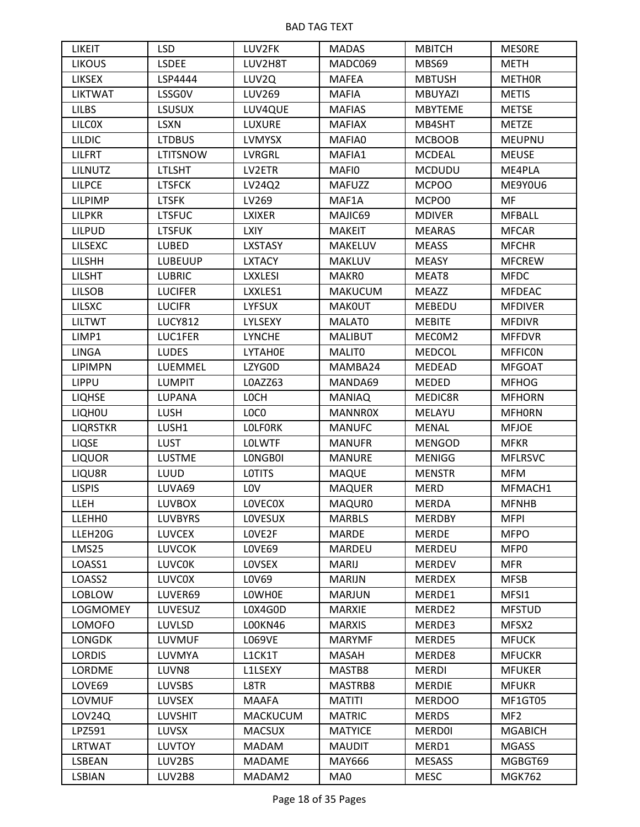| <b>LIKEIT</b>   | <b>LSD</b>      | LUV2FK          | <b>MADAS</b>   | <b>MBITCH</b>  | <b>MESORE</b>   |
|-----------------|-----------------|-----------------|----------------|----------------|-----------------|
| <b>LIKOUS</b>   | <b>LSDEE</b>    | LUV2H8T         | MADC069        | MBS69          | <b>METH</b>     |
| <b>LIKSEX</b>   | LSP4444         | LUV2Q           | <b>MAFEA</b>   | <b>MBTUSH</b>  | <b>METHOR</b>   |
| <b>LIKTWAT</b>  | LSSG0V          | LUV269          | <b>MAFIA</b>   | <b>MBUYAZI</b> | <b>METIS</b>    |
| <b>LILBS</b>    | <b>LSUSUX</b>   | LUV4QUE         | <b>MAFIAS</b>  | <b>MBYTEME</b> | <b>METSE</b>    |
| <b>LILCOX</b>   | <b>LSXN</b>     | <b>LUXURE</b>   | <b>MAFIAX</b>  | MB4SHT         | <b>METZE</b>    |
| <b>LILDIC</b>   | <b>LTDBUS</b>   | <b>LVMYSX</b>   | MAFIA0         | <b>MCBOOB</b>  | <b>MEUPNU</b>   |
| <b>LILFRT</b>   | <b>LTITSNOW</b> | LVRGRL          | MAFIA1         | <b>MCDEAL</b>  | <b>MEUSE</b>    |
| <b>LILNUTZ</b>  | <b>LTLSHT</b>   | LV2ETR          | MAFI0          | <b>MCDUDU</b>  | ME4PLA          |
| <b>LILPCE</b>   | <b>LTSFCK</b>   | LV24Q2          | <b>MAFUZZ</b>  | <b>MCPOO</b>   | ME9Y0U6         |
| <b>LILPIMP</b>  | <b>LTSFK</b>    | LV269           | MAF1A          | MCPO0          | MF              |
| <b>LILPKR</b>   | <b>LTSFUC</b>   | <b>LXIXER</b>   | MAJIC69        | <b>MDIVER</b>  | <b>MFBALL</b>   |
| <b>LILPUD</b>   | <b>LTSFUK</b>   | <b>LXIY</b>     | <b>MAKEIT</b>  | <b>MEARAS</b>  | <b>MFCAR</b>    |
| LILSEXC         | <b>LUBED</b>    | <b>LXSTASY</b>  | <b>MAKELUV</b> | <b>MEASS</b>   | <b>MFCHR</b>    |
| <b>LILSHH</b>   | <b>LUBEUUP</b>  | <b>LXTACY</b>   | <b>MAKLUV</b>  | <b>MEASY</b>   | <b>MFCREW</b>   |
| <b>LILSHT</b>   | <b>LUBRIC</b>   | <b>LXXLESI</b>  | <b>MAKRO</b>   | MEAT8          | <b>MFDC</b>     |
| <b>LILSOB</b>   | <b>LUCIFER</b>  | LXXLES1         | <b>MAKUCUM</b> | <b>MEAZZ</b>   | <b>MFDEAC</b>   |
| <b>LILSXC</b>   | <b>LUCIFR</b>   | <b>LYFSUX</b>   | <b>MAKOUT</b>  | <b>MEBEDU</b>  | <b>MFDIVER</b>  |
| <b>LILTWT</b>   | <b>LUCY812</b>  | LYLSEXY         | MALAT0         | <b>MEBITE</b>  | <b>MFDIVR</b>   |
| LIMP1           | LUC1FER         | <b>LYNCHE</b>   | <b>MALIBUT</b> | MECOM2         | <b>MFFDVR</b>   |
| <b>LINGA</b>    | <b>LUDES</b>    | LYTAH0E         | MALIT0         | <b>MEDCOL</b>  | <b>MFFICON</b>  |
| <b>LIPIMPN</b>  | LUEMMEL         | LZYG0D          | MAMBA24        | MEDEAD         | <b>MFGOAT</b>   |
| <b>LIPPU</b>    | <b>LUMPIT</b>   | LOAZZ63         | MANDA69        | <b>MEDED</b>   | <b>MFHOG</b>    |
| <b>LIQHSE</b>   | <b>LUPANA</b>   | <b>LOCH</b>     | <b>MANIAQ</b>  | MEDIC8R        | <b>MFHORN</b>   |
| <b>LIQHOU</b>   | <b>LUSH</b>     | LOCO            | <b>MANNR0X</b> | MELAYU         | <b>MFHORN</b>   |
| <b>LIQRSTKR</b> | LUSH1           | <b>LOLFORK</b>  | <b>MANUFC</b>  | <b>MENAL</b>   | <b>MFJOE</b>    |
| <b>LIQSE</b>    | <b>LUST</b>     | <b>LOLWTF</b>   | <b>MANUFR</b>  | <b>MENGOD</b>  | <b>MFKR</b>     |
| <b>LIQUOR</b>   | <b>LUSTME</b>   | LONGB0I         | <b>MANURE</b>  | <b>MENIGG</b>  | <b>MFLRSVC</b>  |
| LIQU8R          | LUUD            | <b>LOTITS</b>   | <b>MAQUE</b>   | <b>MENSTR</b>  | <b>MFM</b>      |
| <b>LISPIS</b>   | LUVA69          | <b>LOV</b>      | <b>MAQUER</b>  | <b>MERD</b>    | MFMACH1         |
| <b>LLEH</b>     | <b>LUVBOX</b>   | <b>LOVECOX</b>  | MAQUR0         | <b>MERDA</b>   | <b>MFNHB</b>    |
| <b>LLEHHO</b>   | <b>LUVBYRS</b>  | LOVESUX         | <b>MARBLS</b>  | <b>MERDBY</b>  | <b>MFPI</b>     |
| LLEH20G         | <b>LUVCEX</b>   | LOVE2F          | <b>MARDE</b>   | <b>MERDE</b>   | <b>MFPO</b>     |
| LMS25           | <b>LUVCOK</b>   | LOVE69          | <b>MARDEU</b>  | <b>MERDEU</b>  | MFP0            |
| LOASS1          | <b>LUVCOK</b>   | LOVSEX          | <b>MARIJ</b>   | <b>MERDEV</b>  | <b>MFR</b>      |
| LOASS2          | <b>LUVCOX</b>   | L0V69           | <b>MARIJN</b>  | <b>MERDEX</b>  | <b>MFSB</b>     |
| <b>LOBLOW</b>   | LUVER69         | <b>LOWHOE</b>   | <b>MARJUN</b>  | MERDE1         | MFSI1           |
| <b>LOGMOMEY</b> | LUVESUZ         | L0X4G0D         | <b>MARXIE</b>  | MERDE2         | <b>MFSTUD</b>   |
| <b>LOMOFO</b>   | <b>LUVLSD</b>   | L00KN46         | <b>MARXIS</b>  | MERDE3         | MFSX2           |
| <b>LONGDK</b>   | <b>LUVMUF</b>   | <b>LO69VE</b>   | <b>MARYMF</b>  | MERDE5         | <b>MFUCK</b>    |
| <b>LORDIS</b>   | LUVMYA          | L1CK1T          | MASAH          | MERDE8         | <b>MFUCKR</b>   |
| <b>LORDME</b>   | LUVN8           | L1LSEXY         | MASTB8         | <b>MERDI</b>   | <b>MFUKER</b>   |
| LOVE69          | <b>LUVSBS</b>   | L8TR            | MASTRB8        | <b>MERDIE</b>  | <b>MFUKR</b>    |
| LOVMUF          | <b>LUVSEX</b>   | <b>MAAFA</b>    | <b>MATITI</b>  | <b>MERDOO</b>  | MF1GT05         |
| LOV24Q          | <b>LUVSHIT</b>  | <b>MACKUCUM</b> | <b>MATRIC</b>  | <b>MERDS</b>   | MF <sub>2</sub> |
| LPZ591          | LUVSX           | <b>MACSUX</b>   | <b>MATYICE</b> | <b>MERDOI</b>  | <b>MGABICH</b>  |
| <b>LRTWAT</b>   | <b>LUVTOY</b>   | MADAM           | <b>MAUDIT</b>  | MERD1          | <b>MGASS</b>    |
| LSBEAN          | LUV2BS          | MADAME          | MAY666         | <b>MESASS</b>  | MGBGT69         |
| <b>LSBIAN</b>   | LUV2B8          | MADAM2          | MA0            | <b>MESC</b>    | <b>MGK762</b>   |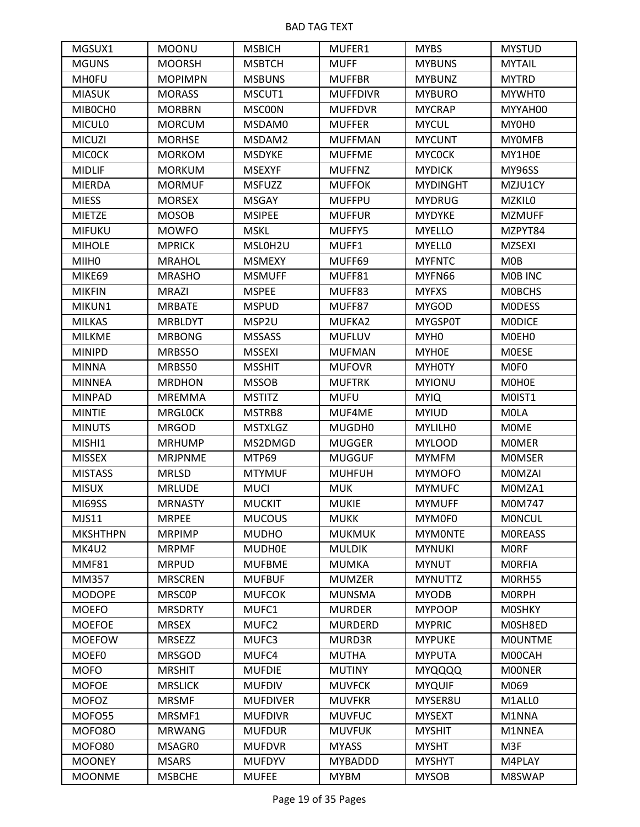| MGSUX1            | <b>MOONU</b>   | <b>MSBICH</b>   | MUFER1          | <b>MYBS</b>      | <b>MYSTUD</b>     |
|-------------------|----------------|-----------------|-----------------|------------------|-------------------|
| <b>MGUNS</b>      | <b>MOORSH</b>  | <b>MSBTCH</b>   | <b>MUFF</b>     | <b>MYBUNS</b>    | <b>MYTAIL</b>     |
| <b>MHOFU</b>      | <b>MOPIMPN</b> | <b>MSBUNS</b>   | <b>MUFFBR</b>   | <b>MYBUNZ</b>    | <b>MYTRD</b>      |
| <b>MIASUK</b>     | <b>MORASS</b>  | MSCUT1          | <b>MUFFDIVR</b> | <b>MYBURO</b>    | MYWHT0            |
| MIBOCHO           | <b>MORBRN</b>  | MSC00N          | <b>MUFFDVR</b>  | <b>MYCRAP</b>    | MYYAH00           |
| <b>MICULO</b>     | <b>MORCUM</b>  | MSDAM0          | <b>MUFFER</b>   | <b>MYCUL</b>     | MY0H0             |
| <b>MICUZI</b>     | <b>MORHSE</b>  | MSDAM2          | <b>MUFFMAN</b>  | <b>MYCUNT</b>    | <b>MYOMFB</b>     |
| <b>MICOCK</b>     | <b>MORKOM</b>  | <b>MSDYKE</b>   | <b>MUFFME</b>   | <b>MYCOCK</b>    | MY1H0E            |
| <b>MIDLIF</b>     | <b>MORKUM</b>  | <b>MSEXYF</b>   | <b>MUFFNZ</b>   | <b>MYDICK</b>    | MY96SS            |
| <b>MIERDA</b>     | <b>MORMUF</b>  | <b>MSFUZZ</b>   | <b>MUFFOK</b>   | <b>MYDINGHT</b>  | MZJU1CY           |
| <b>MIESS</b>      | <b>MORSEX</b>  | <b>MSGAY</b>    | <b>MUFFPU</b>   | <b>MYDRUG</b>    | <b>MZKILO</b>     |
| <b>MIETZE</b>     | <b>MOSOB</b>   | <b>MSIPEE</b>   | <b>MUFFUR</b>   | <b>MYDYKE</b>    | <b>MZMUFF</b>     |
| <b>MIFUKU</b>     | <b>MOWFO</b>   | <b>MSKL</b>     | MUFFY5          | <b>MYELLO</b>    | MZPYT84           |
| <b>MIHOLE</b>     | <b>MPRICK</b>  | MSL0H2U         | MUFF1           | <b>MYELLO</b>    | <b>MZSEXI</b>     |
| MIIH <sub>0</sub> | <b>MRAHOL</b>  | <b>MSMEXY</b>   | MUFF69          | <b>MYFNTC</b>    | M0B               |
| MIKE69            | <b>MRASHO</b>  | <b>MSMUFF</b>   | MUFF81          | MYFN66           | M0B INC           |
| <b>MIKFIN</b>     | <b>MRAZI</b>   | <b>MSPEE</b>    | MUFF83          | <b>MYFXS</b>     | <b>MOBCHS</b>     |
| MIKUN1            | <b>MRBATE</b>  | <b>MSPUD</b>    | MUFF87          | <b>MYGOD</b>     | <b>MODESS</b>     |
| <b>MILKAS</b>     | <b>MRBLDYT</b> | MSP2U           | MUFKA2          | <b>MYGSP0T</b>   | <b>MODICE</b>     |
| <b>MILKME</b>     | <b>MRBONG</b>  | <b>MSSASS</b>   | <b>MUFLUV</b>   | MYH <sub>0</sub> | M0EH0             |
| <b>MINIPD</b>     | MRBS50         | <b>MSSEXI</b>   | <b>MUFMAN</b>   | MYH0E            | <b>MOESE</b>      |
| <b>MINNA</b>      | MRBS50         | <b>MSSHIT</b>   | <b>MUFOVR</b>   | MYH0TY           | M <sub>OF</sub> O |
| <b>MINNEA</b>     | <b>MRDHON</b>  | <b>MSSOB</b>    | <b>MUFTRK</b>   | <b>MYIONU</b>    | M0H0E             |
| <b>MINPAD</b>     | <b>MREMMA</b>  | <b>MSTITZ</b>   | <b>MUFU</b>     | <b>MYIQ</b>      | M0IST1            |
| <b>MINTIE</b>     | <b>MRGLOCK</b> | MSTRB8          | MUF4ME          | <b>MYIUD</b>     | <b>MOLA</b>       |
| <b>MINUTS</b>     | <b>MRGOD</b>   | <b>MSTXLGZ</b>  | MUGDH0          | MYLILH0          | <b>MOME</b>       |
| MISHI1            | <b>MRHUMP</b>  | MS2DMGD         | <b>MUGGER</b>   | <b>MYLOOD</b>    | <b>MOMER</b>      |
| <b>MISSEX</b>     | <b>MRJPNME</b> | MTP69           | <b>MUGGUF</b>   | <b>MYMFM</b>     | <b>MOMSER</b>     |
| <b>MISTASS</b>    | <b>MRLSD</b>   | <b>MTYMUF</b>   | <b>MUHFUH</b>   | <b>MYMOFO</b>    | <b>MOMZAI</b>     |
| <b>MISUX</b>      | <b>MRLUDE</b>  | <b>MUCI</b>     | <b>MUK</b>      | <b>MYMUFC</b>    | M0MZA1            |
| <b>MI69SS</b>     | <b>MRNASTY</b> | <b>MUCKIT</b>   | <b>MUKIE</b>    | <b>MYMUFF</b>    | M0M747            |
| MJS11             | <b>MRPEE</b>   | <b>MUCOUS</b>   | <b>MUKK</b>     | MYM0F0           | <b>MONCUL</b>     |
| <b>MKSHTHPN</b>   | <b>MRPIMP</b>  | <b>MUDHO</b>    | <b>MUKMUK</b>   | <b>MYMONTE</b>   | <b>MOREASS</b>    |
| MK4U2             | <b>MRPMF</b>   | <b>MUDH0E</b>   | <b>MULDIK</b>   | <b>MYNUKI</b>    | <b>MORF</b>       |
| MMF81             | <b>MRPUD</b>   | <b>MUFBME</b>   | <b>MUMKA</b>    | <b>MYNUT</b>     | <b>MORFIA</b>     |
| MM357             | <b>MRSCREN</b> | <b>MUFBUF</b>   | <b>MUMZER</b>   | <b>MYNUTTZ</b>   | MORH55            |
| <b>MODOPE</b>     | <b>MRSCOP</b>  | <b>MUFCOK</b>   | <b>MUNSMA</b>   | <b>MYODB</b>     | <b>MORPH</b>      |
| <b>MOEFO</b>      | <b>MRSDRTY</b> | MUFC1           | <b>MURDER</b>   | <b>MYPOOP</b>    | <b>MOSHKY</b>     |
| <b>MOEFOE</b>     | <b>MRSEX</b>   | MUFC2           | <b>MURDERD</b>  | <b>MYPRIC</b>    | M0SH8ED           |
| <b>MOEFOW</b>     | <b>MRSEZZ</b>  | MUFC3           | MURD3R          | <b>MYPUKE</b>    | <b>MOUNTME</b>    |
| <b>MOEFO</b>      | <b>MRSGOD</b>  | MUFC4           | <b>MUTHA</b>    | <b>MYPUTA</b>    | M00CAH            |
| <b>MOFO</b>       | <b>MRSHIT</b>  | <b>MUFDIE</b>   | <b>MUTINY</b>   | <b>MYQQQQ</b>    | <b>MOONER</b>     |
| <b>MOFOE</b>      | <b>MRSLICK</b> | <b>MUFDIV</b>   | <b>MUVFCK</b>   | <b>MYQUIF</b>    | M069              |
| <b>MOFOZ</b>      | <b>MRSMF</b>   | <b>MUFDIVER</b> | <b>MUVFKR</b>   | MYSER8U          | M1ALL0            |
| MOFO55            | MRSMF1         | <b>MUFDIVR</b>  | <b>MUVFUC</b>   | <b>MYSEXT</b>    | M1NNA             |
| MOFO80            | <b>MRWANG</b>  | <b>MUFDUR</b>   | <b>MUVFUK</b>   | <b>MYSHIT</b>    | M1NNEA            |
| MOFO80            | MSAGR0         | <b>MUFDVR</b>   | <b>MYASS</b>    | <b>MYSHT</b>     | M3F               |
| <b>MOONEY</b>     | <b>MSARS</b>   | <b>MUFDYV</b>   | <b>MYBADDD</b>  | <b>MYSHYT</b>    | M4PLAY            |
| <b>MOONME</b>     | <b>MSBCHE</b>  | <b>MUFEE</b>    | <b>MYBM</b>     | <b>MYSOB</b>     | M8SWAP            |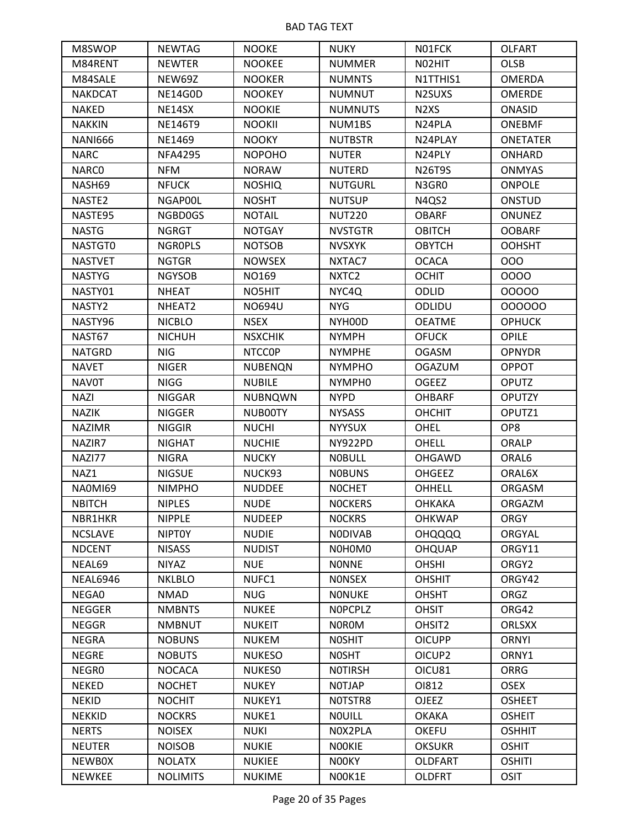| M8SWOP             | <b>NEWTAG</b>   | <b>NOOKE</b>   | <b>NUKY</b>        | N01FCK                        | <b>OLFART</b>   |
|--------------------|-----------------|----------------|--------------------|-------------------------------|-----------------|
| M84RENT            | <b>NEWTER</b>   | <b>NOOKEE</b>  | <b>NUMMER</b>      | N02HIT                        | <b>OLSB</b>     |
| M84SALE            | NEW69Z          | <b>NOOKER</b>  | <b>NUMNTS</b>      | N1TTHIS1                      | <b>OMERDA</b>   |
| <b>NAKDCAT</b>     | NE14G0D         | <b>NOOKEY</b>  | <b>NUMNUT</b>      | N2SUXS                        | <b>OMERDE</b>   |
| <b>NAKED</b>       | NE14SX          | <b>NOOKIE</b>  | <b>NUMNUTS</b>     | N <sub>2</sub> X <sub>S</sub> | <b>ONASID</b>   |
| <b>NAKKIN</b>      | NE146T9         | <b>NOOKII</b>  | NUM1BS             | N24PLA                        | <b>ONEBMF</b>   |
| <b>NANI666</b>     | <b>NE1469</b>   | <b>NOOKY</b>   | <b>NUTBSTR</b>     | N24PLAY                       | <b>ONETATER</b> |
| <b>NARC</b>        | <b>NFA4295</b>  | <b>NOPOHO</b>  | <b>NUTER</b>       | N24PLY                        | ONHARD          |
| <b>NARCO</b>       | <b>NFM</b>      | <b>NORAW</b>   | <b>NUTERD</b>      | <b>N26T9S</b>                 | <b>ONMYAS</b>   |
| NASH69             | <b>NFUCK</b>    | <b>NOSHIQ</b>  | <b>NUTGURL</b>     | N3GR0                         | <b>ONPOLE</b>   |
| NASTE <sub>2</sub> | NGAP00L         | <b>NOSHT</b>   | <b>NUTSUP</b>      | N4QS2                         | ONSTUD          |
| NASTE95            | NGBD0GS         | <b>NOTAIL</b>  | <b>NUT220</b>      | <b>OBARF</b>                  | <b>ONUNEZ</b>   |
| <b>NASTG</b>       | <b>NGRGT</b>    | <b>NOTGAY</b>  | <b>NVSTGTR</b>     | <b>OBITCH</b>                 | <b>OOBARF</b>   |
| NASTGT0            | <b>NGROPLS</b>  | <b>NOTSOB</b>  | <b>NVSXYK</b>      | <b>OBYTCH</b>                 | <b>OOHSHT</b>   |
| <b>NASTVET</b>     | <b>NGTGR</b>    | <b>NOWSEX</b>  | NXTAC7             | <b>OCACA</b>                  | 000             |
| <b>NASTYG</b>      | <b>NGYSOB</b>   | NO169          | NXTC <sub>2</sub>  | <b>OCHIT</b>                  | 0000            |
| NASTY01            | <b>NHEAT</b>    | NO5HIT         | NYC4Q              | ODLID                         | 00000           |
| NASTY2             | NHEAT2          | <b>NO694U</b>  | <b>NYG</b>         | ODLIDU                        | 000000          |
| NASTY96            | <b>NICBLO</b>   | <b>NSEX</b>    | NYH00D             | <b>OEATME</b>                 | <b>OPHUCK</b>   |
| NAST67             | <b>NICHUH</b>   | <b>NSXCHIK</b> | <b>NYMPH</b>       | <b>OFUCK</b>                  | <b>OPILE</b>    |
| <b>NATGRD</b>      | <b>NIG</b>      | <b>NTCCOP</b>  | <b>NYMPHE</b>      | <b>OGASM</b>                  | <b>OPNYDR</b>   |
| <b>NAVET</b>       | <b>NIGER</b>    | <b>NUBENQN</b> | <b>NYMPHO</b>      | <b>OGAZUM</b>                 | <b>OPPOT</b>    |
| <b>NAVOT</b>       | <b>NIGG</b>     | <b>NUBILE</b>  | NYMPH <sub>0</sub> | <b>OGEEZ</b>                  | <b>OPUTZ</b>    |
| <b>NAZI</b>        | <b>NIGGAR</b>   | <b>NUBNQWN</b> | <b>NYPD</b>        | <b>OHBARF</b>                 | <b>OPUTZY</b>   |
| <b>NAZIK</b>       | <b>NIGGER</b>   | NUB00TY        | <b>NYSASS</b>      | <b>OHCHIT</b>                 | OPUTZ1          |
| <b>NAZIMR</b>      | <b>NIGGIR</b>   | <b>NUCHI</b>   | <b>NYYSUX</b>      | OHEL                          | OP8             |
| NAZIR7             | <b>NIGHAT</b>   | <b>NUCHIE</b>  | NY922PD            | <b>OHELL</b>                  | ORALP           |
| NAZI77             | <b>NIGRA</b>    | <b>NUCKY</b>   | <b>NOBULL</b>      | OHGAWD                        | ORAL6           |
| NAZ1               | <b>NIGSUE</b>   | NUCK93         | <b>NOBUNS</b>      | <b>OHGEEZ</b>                 | ORAL6X          |
| <b>NA0MI69</b>     | <b>NIMPHO</b>   | <b>NUDDEE</b>  | <b>NOCHET</b>      | <b>OHHELL</b>                 | ORGASM          |
| <b>NBITCH</b>      | <b>NIPLES</b>   | <b>NUDE</b>    | <b>NOCKERS</b>     | <b>OHKAKA</b>                 | ORGAZM          |
| NBR1HKR            | <b>NIPPLE</b>   | <b>NUDEEP</b>  | <b>NOCKRS</b>      | <b>OHKWAP</b>                 | <b>ORGY</b>     |
| <b>NCSLAVE</b>     | <b>NIPTOY</b>   | <b>NUDIE</b>   | <b>NODIVAB</b>     | <b>OHQQQQ</b>                 | ORGYAL          |
| <b>NDCENT</b>      | <b>NISASS</b>   | <b>NUDIST</b>  | NOHOMO             | <b>OHQUAP</b>                 | ORGY11          |
| NEAL69             | <b>NIYAZ</b>    | <b>NUE</b>     | <b>NONNE</b>       | <b>OHSHI</b>                  | ORGY2           |
| <b>NEAL6946</b>    | <b>NKLBLO</b>   | NUFC1          | <b>NONSEX</b>      | <b>OHSHIT</b>                 | ORGY42          |
| NEGA0              | <b>NMAD</b>     | <b>NUG</b>     | <b>NONUKE</b>      | <b>OHSHT</b>                  | ORGZ            |
| <b>NEGGER</b>      | <b>NMBNTS</b>   | <b>NUKEE</b>   | <b>NOPCPLZ</b>     | <b>OHSIT</b>                  | ORG42           |
| <b>NEGGR</b>       | <b>NMBNUT</b>   | <b>NUKEIT</b>  | <b>NOROM</b>       | OHSIT <sub>2</sub>            | <b>ORLSXX</b>   |
| <b>NEGRA</b>       | <b>NOBUNS</b>   | <b>NUKEM</b>   | <b>NOSHIT</b>      | <b>OICUPP</b>                 | <b>ORNYI</b>    |
| <b>NEGRE</b>       | <b>NOBUTS</b>   | <b>NUKESO</b>  | <b>NOSHT</b>       | OICUP2                        | ORNY1           |
| NEGR0              | <b>NOCACA</b>   | <b>NUKESO</b>  | <b>NOTIRSH</b>     | OICU81                        | ORRG            |
| <b>NEKED</b>       | <b>NOCHET</b>   | <b>NUKEY</b>   | <b>NOTJAP</b>      | OI812                         | <b>OSEX</b>     |
| <b>NEKID</b>       | <b>NOCHIT</b>   | NUKEY1         | NOTSTR8            | <b>OJEEZ</b>                  | <b>OSHEET</b>   |
| <b>NEKKID</b>      | <b>NOCKRS</b>   | NUKE1          | <b>NOUILL</b>      | <b>OKAKA</b>                  | <b>OSHEIT</b>   |
| <b>NERTS</b>       | <b>NOISEX</b>   | <b>NUKI</b>    | NOX2PLA            | <b>OKEFU</b>                  | <b>OSHHIT</b>   |
| <b>NEUTER</b>      | <b>NOISOB</b>   | <b>NUKIE</b>   | <b>NOOKIE</b>      | <b>OKSUKR</b>                 | <b>OSHIT</b>    |
| <b>NEWBOX</b>      | <b>NOLATX</b>   | <b>NUKIEE</b>  | NOOKY              | <b>OLDFART</b>                | <b>OSHITI</b>   |
| <b>NEWKEE</b>      | <b>NOLIMITS</b> | <b>NUKIME</b>  | NOOK1E             | <b>OLDFRT</b>                 | <b>OSIT</b>     |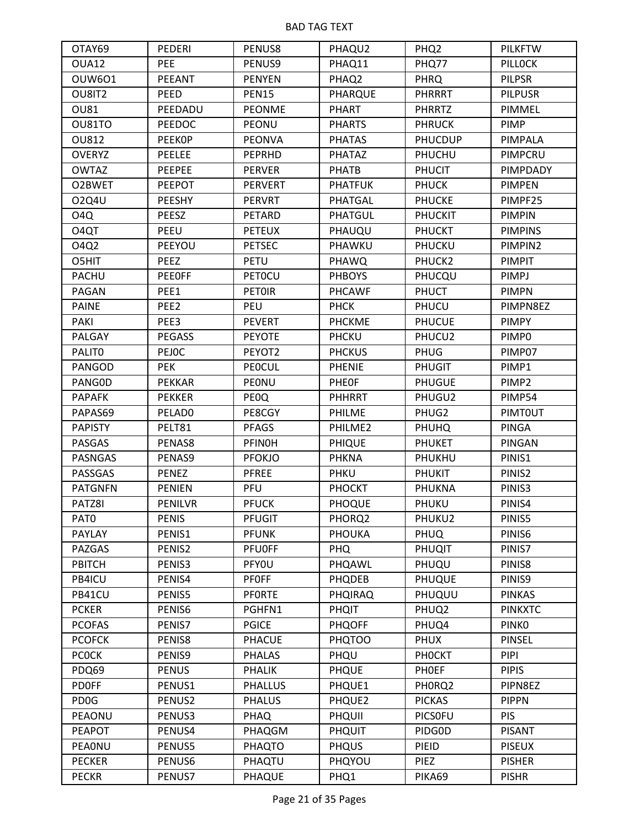| OTAY69            | PEDERI         | PENUS8         | PHAQU2         | PHQ <sub>2</sub> | <b>PILKFTW</b> |
|-------------------|----------------|----------------|----------------|------------------|----------------|
| OUA12             | PEE            | PENUS9         | PHAQ11         | PHQ77            | <b>PILLOCK</b> |
| <b>OUW601</b>     | PEEANT         | <b>PENYEN</b>  | PHAQ2          | <b>PHRQ</b>      | <b>PILPSR</b>  |
| OU8IT2            | PEED           | <b>PEN15</b>   | PHARQUE        | <b>PHRRRT</b>    | <b>PILPUSR</b> |
| <b>OU81</b>       | PEEDADU        | <b>PEONME</b>  | PHART          | <b>PHRRTZ</b>    | PIMMEL         |
| OU81TO            | <b>PEEDOC</b>  | PEONU          | <b>PHARTS</b>  | <b>PHRUCK</b>    | PIMP           |
| <b>OU812</b>      | <b>PEEKOP</b>  | <b>PEONVA</b>  | <b>PHATAS</b>  | <b>PHUCDUP</b>   | PIMPALA        |
| <b>OVERYZ</b>     | <b>PEELEE</b>  | <b>PEPRHD</b>  | <b>PHATAZ</b>  | PHUCHU           | PIMPCRU        |
| <b>OWTAZ</b>      | PEEPEE         | <b>PERVER</b>  | <b>PHATB</b>   | <b>PHUCIT</b>    | PIMPDADY       |
| O2BWET            | <b>PEEPOT</b>  | <b>PERVERT</b> | <b>PHATFUK</b> | <b>PHUCK</b>     | <b>PIMPEN</b>  |
| 02Q4U             | PEESHY         | <b>PERVRT</b>  | PHATGAL        | <b>PHUCKE</b>    | PIMPF25        |
| O4Q               | PEESZ          | <b>PETARD</b>  | PHATGUL        | <b>PHUCKIT</b>   | <b>PIMPIN</b>  |
| O <sub>4</sub> QT | PEEU           | <b>PETEUX</b>  | PHAUQU         | <b>PHUCKT</b>    | <b>PIMPINS</b> |
| <b>04Q2</b>       | PEEYOU         | <b>PETSEC</b>  | PHAWKU         | PHUCKU           | PIMPIN2        |
| O5HIT             | PEEZ           | PETU           | <b>PHAWQ</b>   | PHUCK2           | <b>PIMPIT</b>  |
| <b>PACHU</b>      | <b>PEEOFF</b>  | <b>PETOCU</b>  | <b>PHBOYS</b>  | PHUCQU           | <b>PIMPJ</b>   |
| PAGAN             | PEE1           | <b>PETOIR</b>  | <b>PHCAWF</b>  | <b>PHUCT</b>     | <b>PIMPN</b>   |
| <b>PAINE</b>      | PEE2           | PEU            | <b>PHCK</b>    | PHUCU            | PIMPN8EZ       |
| PAKI              | PEE3           | <b>PEVERT</b>  | <b>PHCKME</b>  | <b>PHUCUE</b>    | <b>PIMPY</b>   |
| <b>PALGAY</b>     | <b>PEGASS</b>  | <b>PEYOTE</b>  | <b>PHCKU</b>   | PHUCU2           | PIMP0          |
| <b>PALITO</b>     | <b>PEJOC</b>   | PEYOT2         | <b>PHCKUS</b>  | PHUG             | PIMP07         |
| PANGOD            | <b>PEK</b>     | <b>PEOCUL</b>  | <b>PHENIE</b>  | <b>PHUGIT</b>    | PIMP1          |
| PANGOD            | <b>PEKKAR</b>  | PEONU          | <b>PHEOF</b>   | <b>PHUGUE</b>    | PIMP2          |
| <b>PAPAFK</b>     | <b>PEKKER</b>  | <b>PEOQ</b>    | <b>PHHRRT</b>  | PHUGU2           | PIMP54         |
| PAPAS69           | PELADO         | PE8CGY         | <b>PHILME</b>  | PHUG2            | PIMTOUT        |
| <b>PAPISTY</b>    | PELT81         | PFAGS          | PHILME2        | <b>PHUHQ</b>     | <b>PINGA</b>   |
| PASGAS            | PENAS8         | <b>PFINOH</b>  | <b>PHIQUE</b>  | <b>PHUKET</b>    | PINGAN         |
| <b>PASNGAS</b>    | PENAS9         | <b>PFOKJO</b>  | <b>PHKNA</b>   | PHUKHU           | PINIS1         |
| PASSGAS           | PENEZ          | <b>PFREE</b>   | PHKU           | <b>PHUKIT</b>    | PINIS2         |
| <b>PATGNFN</b>    | <b>PENIEN</b>  | PFU            | <b>PHOCKT</b>  | PHUKNA           | PINIS3         |
| PATZ8I            | <b>PENILVR</b> | <b>PFUCK</b>   | PHOQUE         | PHUKU            | PINIS4         |
| PAT <sub>0</sub>  | <b>PENIS</b>   | <b>PFUGIT</b>  | PHORQ2         | PHUKU2           | PINIS5         |
| <b>PAYLAY</b>     | PENIS1         | <b>PFUNK</b>   | <b>PHOUKA</b>  | PHUQ             | PINIS6         |
| PAZGAS            | PENIS2         | <b>PFUOFF</b>  | <b>PHQ</b>     | PHUQIT           | PINIS7         |
| PBITCH            | PENIS3         | PFY0U          | PHQAWL         | PHUQU            | PINIS8         |
| PB4ICU            | PENIS4         | <b>PFOFF</b>   | <b>PHQDEB</b>  | PHUQUE           | PINIS9         |
| PB41CU            | PENIS5         | PFORTE         | <b>PHQIRAQ</b> | PHUQUU           | <b>PINKAS</b>  |
| <b>PCKER</b>      | PENIS6         | PGHFN1         | <b>PHQIT</b>   | PHUQ2            | <b>PINKXTC</b> |
| <b>PCOFAS</b>     | PENIS7         | <b>PGICE</b>   | <b>PHQOFF</b>  | PHUQ4            | <b>PINKO</b>   |
| <b>PCOFCK</b>     | PENIS8         | <b>PHACUE</b>  | <b>PHQTOO</b>  | <b>PHUX</b>      | <b>PINSEL</b>  |
| <b>PCOCK</b>      | PENIS9         | <b>PHALAS</b>  | PHQU           | <b>PHOCKT</b>    | <b>PIPI</b>    |
| PDQ69             | <b>PENUS</b>   | PHALIK         | PHQUE          | PHOEF            | <b>PIPIS</b>   |
| <b>PDOFF</b>      | PENUS1         | <b>PHALLUS</b> | PHQUE1         | PHORQ2           | PIPN8EZ        |
| PD <sub>0</sub> G | PENUS2         | <b>PHALUS</b>  | PHQUE2         | <b>PICKAS</b>    | <b>PIPPN</b>   |
| PEAONU            | PENUS3         | PHAQ           | PHQUII         | <b>PICSOFU</b>   | <b>PIS</b>     |
| <b>PEAPOT</b>     | PENUS4         | PHAQGM         | PHQUIT         | PIDG0D           | <b>PISANT</b>  |
| PEAONU            | PENUS5         | PHAQTO         | <b>PHQUS</b>   | PIEID            | <b>PISEUX</b>  |
| <b>PECKER</b>     | PENUS6         | PHAQTU         | PHQYOU         | <b>PIEZ</b>      | <b>PISHER</b>  |
| <b>PECKR</b>      | PENUS7         | PHAQUE         | PHQ1           | PIKA69           | <b>PISHR</b>   |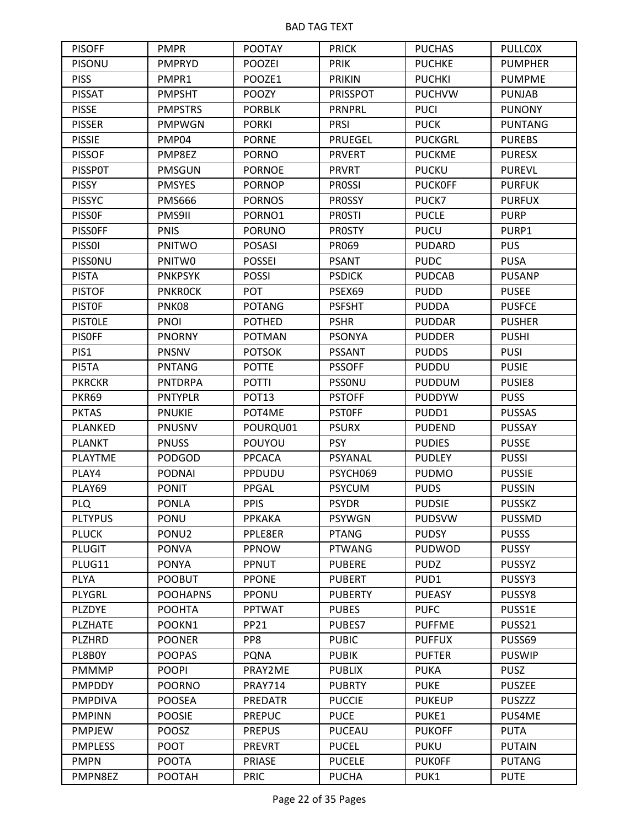| <b>PISOFF</b>  | <b>PMPR</b>     | <b>POOTAY</b>     | <b>PRICK</b>    | <b>PUCHAS</b>  | <b>PULLCOX</b> |
|----------------|-----------------|-------------------|-----------------|----------------|----------------|
| <b>PISONU</b>  | <b>PMPRYD</b>   | <b>POOZEI</b>     | <b>PRIK</b>     | <b>PUCHKE</b>  | <b>PUMPHER</b> |
| <b>PISS</b>    | PMPR1           | POOZE1            | <b>PRIKIN</b>   | <b>PUCHKI</b>  | <b>PUMPME</b>  |
| <b>PISSAT</b>  | <b>PMPSHT</b>   | <b>POOZY</b>      | <b>PRISSPOT</b> | <b>PUCHVW</b>  | <b>PUNJAB</b>  |
| <b>PISSE</b>   | <b>PMPSTRS</b>  | <b>PORBLK</b>     | <b>PRNPRL</b>   | <b>PUCI</b>    | <b>PUNONY</b>  |
| <b>PISSER</b>  | <b>PMPWGN</b>   | <b>PORKI</b>      | <b>PRSI</b>     | <b>PUCK</b>    | <b>PUNTANG</b> |
| <b>PISSIE</b>  | PMP04           | <b>PORNE</b>      | <b>PRUEGEL</b>  | <b>PUCKGRL</b> | <b>PUREBS</b>  |
| <b>PISSOF</b>  | PMP8EZ          | <b>PORNO</b>      | <b>PRVERT</b>   | <b>PUCKME</b>  | <b>PURESX</b>  |
| <b>PISSPOT</b> | <b>PMSGUN</b>   | <b>PORNOE</b>     | <b>PRVRT</b>    | <b>PUCKU</b>   | <b>PUREVL</b>  |
| <b>PISSY</b>   | <b>PMSYES</b>   | <b>PORNOP</b>     | <b>PROSSI</b>   | <b>PUCKOFF</b> | <b>PURFUK</b>  |
| <b>PISSYC</b>  | <b>PMS666</b>   | <b>PORNOS</b>     | PROSSY          | PUCK7          | <b>PURFUX</b>  |
| <b>PISSOF</b>  | PMS9II          | PORNO1            | <b>PROSTI</b>   | <b>PUCLE</b>   | <b>PURP</b>    |
| <b>PISSOFF</b> | <b>PNIS</b>     | <b>PORUNO</b>     | <b>PROSTY</b>   | <b>PUCU</b>    | PURP1          |
| <b>PISSOI</b>  | PNITWO          | <b>POSASI</b>     | PR069           | <b>PUDARD</b>  | <b>PUS</b>     |
| PISSONU        | PNITW0          | <b>POSSEI</b>     | <b>PSANT</b>    | <b>PUDC</b>    | <b>PUSA</b>    |
| <b>PISTA</b>   | <b>PNKPSYK</b>  | <b>POSSI</b>      | <b>PSDICK</b>   | <b>PUDCAB</b>  | <b>PUSANP</b>  |
| <b>PISTOF</b>  | <b>PNKROCK</b>  | POT               | PSEX69          | <b>PUDD</b>    | <b>PUSEE</b>   |
| <b>PISTOF</b>  | PNK08           | <b>POTANG</b>     | <b>PSFSHT</b>   | <b>PUDDA</b>   | <b>PUSFCE</b>  |
| <b>PISTOLE</b> | <b>PNOI</b>     | <b>POTHED</b>     | <b>PSHR</b>     | <b>PUDDAR</b>  | <b>PUSHER</b>  |
| <b>PISOFF</b>  | <b>PNORNY</b>   | <b>POTMAN</b>     | <b>PSONYA</b>   | <b>PUDDER</b>  | <b>PUSHI</b>   |
| PIS1           | <b>PNSNV</b>    | <b>POTSOK</b>     | <b>PSSANT</b>   | <b>PUDDS</b>   | <b>PUSI</b>    |
| PI5TA          | PNTANG          | <b>POTTE</b>      | <b>PSSOFF</b>   | <b>PUDDU</b>   | <b>PUSIE</b>   |
| <b>PKRCKR</b>  | <b>PNTDRPA</b>  | <b>POTTI</b>      | PSSONU          | <b>PUDDUM</b>  | PUSIE8         |
| PKR69          | <b>PNTYPLR</b>  | POT <sub>13</sub> | <b>PSTOFF</b>   | <b>PUDDYW</b>  | <b>PUSS</b>    |
| <b>PKTAS</b>   | <b>PNUKIE</b>   | POT4ME            | <b>PSTOFF</b>   | PUDD1          | <b>PUSSAS</b>  |
| PLANKED        | PNUSNV          | POURQU01          | <b>PSURX</b>    | <b>PUDEND</b>  | <b>PUSSAY</b>  |
| <b>PLANKT</b>  | <b>PNUSS</b>    | POUYOU            | <b>PSY</b>      | <b>PUDIES</b>  | <b>PUSSE</b>   |
| <b>PLAYTME</b> | PODGOD          | <b>PPCACA</b>     | PSYANAL         | <b>PUDLEY</b>  | <b>PUSSI</b>   |
| PLAY4          | PODNAI          | PPDUDU            | PSYCH069        | <b>PUDMO</b>   | <b>PUSSIE</b>  |
| PLAY69         | <b>PONIT</b>    | PPGAL             | <b>PSYCUM</b>   | <b>PUDS</b>    | <b>PUSSIN</b>  |
| <b>PLQ</b>     | <b>PONLA</b>    | <b>PPIS</b>       | <b>PSYDR</b>    | <b>PUDSIE</b>  | <b>PUSSKZ</b>  |
| <b>PLTYPUS</b> | PONU            | PPKAKA            | <b>PSYWGN</b>   | <b>PUDSVW</b>  | <b>PUSSMD</b>  |
| <b>PLUCK</b>   | PONU2           | PPLE8ER           | <b>PTANG</b>    | <b>PUDSY</b>   | <b>PUSSS</b>   |
| <b>PLUGIT</b>  | <b>PONVA</b>    | PPNOW             | <b>PTWANG</b>   | <b>PUDWOD</b>  | <b>PUSSY</b>   |
| PLUG11         | <b>PONYA</b>    | PPNUT             | <b>PUBERE</b>   | <b>PUDZ</b>    | <b>PUSSYZ</b>  |
| <b>PLYA</b>    | <b>POOBUT</b>   | <b>PPONE</b>      | <b>PUBERT</b>   | PUD1           | PUSSY3         |
| PLYGRL         | <b>POOHAPNS</b> | PPONU             | <b>PUBERTY</b>  | <b>PUEASY</b>  | PUSSY8         |
| <b>PLZDYE</b>  | <b>POOHTA</b>   | <b>PPTWAT</b>     | <b>PUBES</b>    | <b>PUFC</b>    | PUSS1E         |
| <b>PLZHATE</b> | POOKN1          | <b>PP21</b>       | PUBES7          | <b>PUFFME</b>  | PUSS21         |
| <b>PLZHRD</b>  | <b>POONER</b>   | PP8               | <b>PUBIC</b>    | <b>PUFFUX</b>  | PUSS69         |
| PL8B0Y         | <b>POOPAS</b>   | <b>PQNA</b>       | <b>PUBIK</b>    | <b>PUFTER</b>  | <b>PUSWIP</b>  |
| <b>PMMMP</b>   | <b>POOPI</b>    | PRAY2ME           | <b>PUBLIX</b>   | <b>PUKA</b>    | <b>PUSZ</b>    |
| <b>PMPDDY</b>  | <b>POORNO</b>   | <b>PRAY714</b>    | <b>PUBRTY</b>   | <b>PUKE</b>    | <b>PUSZEE</b>  |
| <b>PMPDIVA</b> | <b>POOSEA</b>   | <b>PREDATR</b>    | <b>PUCCIE</b>   | <b>PUKEUP</b>  | <b>PUSZZZ</b>  |
| <b>PMPINN</b>  | <b>POOSIE</b>   | <b>PREPUC</b>     | <b>PUCE</b>     | PUKE1          | PUS4ME         |
| <b>PMPJEW</b>  | POOSZ           | <b>PREPUS</b>     | <b>PUCEAU</b>   | <b>PUKOFF</b>  | <b>PUTA</b>    |
| <b>PMPLESS</b> | <b>POOT</b>     | <b>PREVRT</b>     | <b>PUCEL</b>    | <b>PUKU</b>    | <b>PUTAIN</b>  |
| <b>PMPN</b>    | <b>POOTA</b>    | PRIASE            | <b>PUCELE</b>   | <b>PUKOFF</b>  | <b>PUTANG</b>  |
| PMPN8EZ        | POOTAH          | <b>PRIC</b>       | <b>PUCHA</b>    | PUK1           | <b>PUTE</b>    |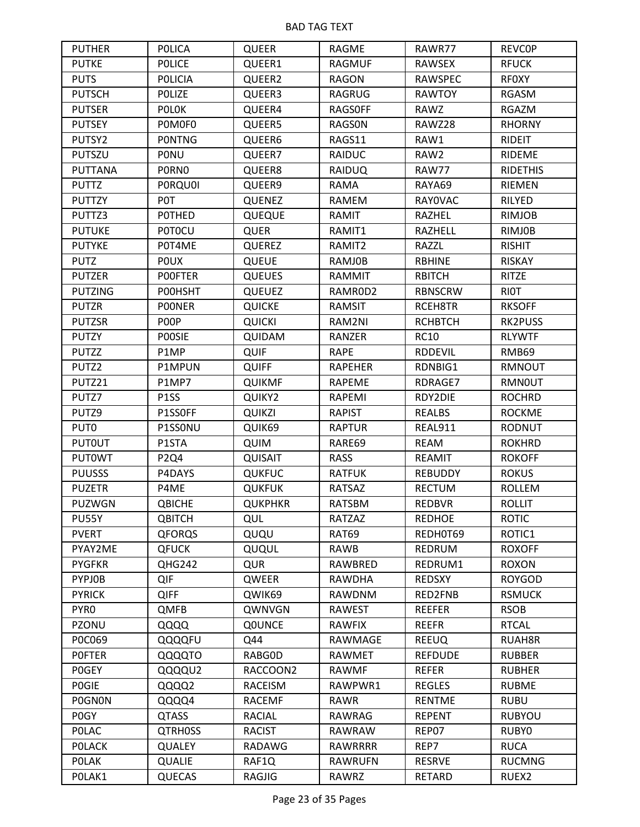| <b>PUTHER</b>     | <b>POLICA</b>     | QUEER          | RAGME          | RAWR77         | <b>REVCOP</b>   |
|-------------------|-------------------|----------------|----------------|----------------|-----------------|
| <b>PUTKE</b>      | <b>POLICE</b>     | QUEER1         | <b>RAGMUF</b>  | <b>RAWSEX</b>  | <b>RFUCK</b>    |
| <b>PUTS</b>       | <b>POLICIA</b>    | QUEER2         | <b>RAGON</b>   | <b>RAWSPEC</b> | <b>RFOXY</b>    |
| <b>PUTSCH</b>     | POLIZE            | QUEER3         | <b>RAGRUG</b>  | <b>RAWTOY</b>  | RGASM           |
| <b>PUTSER</b>     | <b>POLOK</b>      | QUEER4         | <b>RAGSOFF</b> | RAWZ           | RGAZM           |
| <b>PUTSEY</b>     | POMOFO            | QUEER5         | <b>RAGSON</b>  | RAWZ28         | <b>RHORNY</b>   |
| PUTSY2            | <b>PONTNG</b>     | QUEER6         | RAGS11         | RAW1           | RIDEIT          |
| PUTSZU            | PONU              | QUEER7         | <b>RAIDUC</b>  | RAW2           | <b>RIDEME</b>   |
| <b>PUTTANA</b>    | <b>PORNO</b>      | QUEER8         | <b>RAIDUQ</b>  | RAW77          | <b>RIDETHIS</b> |
| <b>PUTTZ</b>      | <b>PORQUOI</b>    | QUEER9         | <b>RAMA</b>    | RAYA69         | RIEMEN          |
| <b>PUTTZY</b>     | P0T               | <b>QUENEZ</b>  | RAMEM          | <b>RAYOVAC</b> | RILYED          |
| PUTTZ3            | POTHED            | QUEQUE         | RAMIT          | RAZHEL         | <b>RIMJOB</b>   |
| <b>PUTUKE</b>     | <b>POTOCU</b>     | <b>QUER</b>    | RAMIT1         | RAZHELL        | <b>RIMJOB</b>   |
| <b>PUTYKE</b>     | P0T4ME            | <b>QUEREZ</b>  | RAMIT2         | RAZZL          | <b>RISHIT</b>   |
| <b>PUTZ</b>       | <b>POUX</b>       | QUEUE          | <b>RAMJOB</b>  | <b>RBHINE</b>  | <b>RISKAY</b>   |
| <b>PUTZER</b>     | <b>POOFTER</b>    | <b>QUEUES</b>  | <b>RAMMIT</b>  | <b>RBITCH</b>  | RITZE           |
| <b>PUTZING</b>    | POOHSHT           | <b>QUEUEZ</b>  | RAMROD2        | <b>RBNSCRW</b> | <b>RIOT</b>     |
| <b>PUTZR</b>      | <b>POONER</b>     | <b>QUICKE</b>  | <b>RAMSIT</b>  | RCEH8TR        | <b>RKSOFF</b>   |
| <b>PUTZSR</b>     | POOP              | <b>QUICKI</b>  | RAM2NI         | <b>RCHBTCH</b> | RK2PUSS         |
| <b>PUTZY</b>      | <b>POOSIE</b>     | QUIDAM         | RANZER         | <b>RC10</b>    | <b>RLYWTF</b>   |
| <b>PUTZZ</b>      | P1MP              | <b>QUIF</b>    | <b>RAPE</b>    | <b>RDDEVIL</b> | RMB69           |
| PUTZ2             | P1MPUN            | <b>QUIFF</b>   | <b>RAPEHER</b> | RDNBIG1        | RMNOUT          |
| PUTZ21            | P1MP7             | <b>QUIKMF</b>  | RAPEME         | RDRAGE7        | <b>RMNOUT</b>   |
| PUTZ7             | P <sub>1</sub> SS | QUIKY2         | RAPEMI         | RDY2DIE        | <b>ROCHRD</b>   |
| PUTZ9             | P1SSOFF           | <b>QUIKZI</b>  | <b>RAPIST</b>  | REALBS         | <b>ROCKME</b>   |
| PUT <sub>0</sub>  | P1SSONU           | QUIK69         | <b>RAPTUR</b>  | REAL911        | <b>RODNUT</b>   |
| <b>PUTOUT</b>     | P1STA             | <b>QUIM</b>    | RARE69         | <b>REAM</b>    | <b>ROKHRD</b>   |
| <b>PUTOWT</b>     | P <sub>2Q4</sub>  | <b>QUISAIT</b> | <b>RASS</b>    | <b>REAMIT</b>  | <b>ROKOFF</b>   |
| <b>PUUSSS</b>     | P4DAYS            | <b>QUKFUC</b>  | <b>RATFUK</b>  | <b>REBUDDY</b> | <b>ROKUS</b>    |
| <b>PUZETR</b>     | P4ME              | <b>QUKFUK</b>  | <b>RATSAZ</b>  | <b>RECTUM</b>  | <b>ROLLEM</b>   |
| <b>PUZWGN</b>     | QBICHE            | <b>QUKPHKR</b> | <b>RATSBM</b>  | <b>REDBVR</b>  | <b>ROLLIT</b>   |
| PU55Y             | <b>QBITCH</b>     | <b>QUL</b>     | RATZAZ         | <b>REDHOE</b>  | <b>ROTIC</b>    |
| <b>PVERT</b>      | <b>QFORQS</b>     | QUQU           | RAT69          | REDH0T69       | ROTIC1          |
| PYAY2ME           | <b>QFUCK</b>      | QUQUL          | <b>RAWB</b>    | <b>REDRUM</b>  | <b>ROXOFF</b>   |
| <b>PYGFKR</b>     | QHG242            | <b>QUR</b>     | <b>RAWBRED</b> | REDRUM1        | <b>ROXON</b>    |
| PYPJ0B            | <b>QIF</b>        | QWEER          | <b>RAWDHA</b>  | <b>REDSXY</b>  | <b>ROYGOD</b>   |
| <b>PYRICK</b>     | <b>QIFF</b>       | QWIK69         | <b>RAWDNM</b>  | RED2FNB        | <b>RSMUCK</b>   |
| PYR <sub>0</sub>  | QMFB              | QWNVGN         | <b>RAWEST</b>  | REEFER         | <b>RSOB</b>     |
| <b>PZONU</b>      | QQQQ              | Q0UNCE         | <b>RAWFIX</b>  | <b>REEFR</b>   | <b>RTCAL</b>    |
| P0C069            | QQQQFU            | Q44            | RAWMAGE        | <b>REEUQ</b>   | RUAH8R          |
| <b>POFTER</b>     | QQQQTO            | RABG0D         | RAWMET         | <b>REFDUDE</b> | <b>RUBBER</b>   |
| <b>POGEY</b>      | QQQQU2            | RACCOON2       | <b>RAWMF</b>   | <b>REFER</b>   | <b>RUBHER</b>   |
| <b>POGIE</b>      | QQQQ2             | RACEISM        | RAWPWR1        | <b>REGLES</b>  | <b>RUBME</b>    |
| <b>POGNON</b>     | QQQQ4             | <b>RACEMF</b>  | <b>RAWR</b>    | <b>RENTME</b>  | <b>RUBU</b>     |
| P <sub>0</sub> GY | <b>QTASS</b>      | <b>RACIAL</b>  | <b>RAWRAG</b>  | <b>REPENT</b>  | <b>RUBYOU</b>   |
| <b>POLAC</b>      | <b>QTRHOSS</b>    | <b>RACIST</b>  | RAWRAW         | REP07          | RUBY0           |
| POLACK            | <b>QUALEY</b>     | RADAWG         | RAWRRRR        | REP7           | <b>RUCA</b>     |
| <b>POLAK</b>      | QUALIE            | RAF1Q          | <b>RAWRUFN</b> | <b>RESRVE</b>  | <b>RUCMNG</b>   |
| POLAK1            | <b>QUECAS</b>     | RAGJIG         | RAWRZ          | RETARD         | RUEX2           |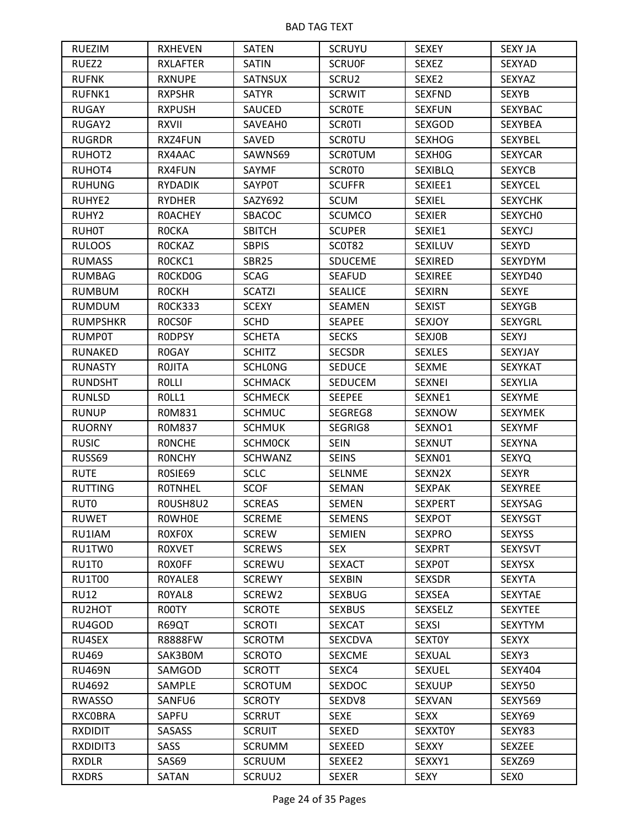| <b>RUEZIM</b>    | <b>RXHEVEN</b>  | <b>SATEN</b>   | <b>SCRUYU</b>  | <b>SEXEY</b>   | <b>SEXY JA</b>   |
|------------------|-----------------|----------------|----------------|----------------|------------------|
| RUEZ2            | <b>RXLAFTER</b> | <b>SATIN</b>   | <b>SCRUOF</b>  | <b>SEXEZ</b>   | SEXYAD           |
| <b>RUFNK</b>     | <b>RXNUPE</b>   | <b>SATNSUX</b> | SCRU2          | SEXE2          | <b>SEXYAZ</b>    |
| RUFNK1           | <b>RXPSHR</b>   | <b>SATYR</b>   | <b>SCRWIT</b>  | <b>SEXFND</b>  | <b>SEXYB</b>     |
| <b>RUGAY</b>     | <b>RXPUSH</b>   | SAUCED         | <b>SCROTE</b>  | <b>SEXFUN</b>  | <b>SEXYBAC</b>   |
| RUGAY2           | <b>RXVII</b>    | SAVEAH0        | <b>SCROTI</b>  | SEXGOD         | <b>SEXYBEA</b>   |
| <b>RUGRDR</b>    | RXZ4FUN         | SAVED          | <b>SCROTU</b>  | <b>SEXHOG</b>  | SEXYBEL          |
| RUHOT2           | RX4AAC          | SAWNS69        | <b>SCROTUM</b> | SEXH0G         | <b>SEXYCAR</b>   |
| RUHOT4           | RX4FUN          | SAYMF          | SCROTO         | <b>SEXIBLQ</b> | <b>SEXYCB</b>    |
| <b>RUHUNG</b>    | <b>RYDADIK</b>  | <b>SAYPOT</b>  | <b>SCUFFR</b>  | SEXIEE1        | <b>SEXYCEL</b>   |
| RUHYE2           | <b>RYDHER</b>   | SAZY692        | <b>SCUM</b>    | <b>SEXIEL</b>  | <b>SEXYCHK</b>   |
| RUHY2            | <b>ROACHEY</b>  | SBACOC         | <b>SCUMCO</b>  | <b>SEXIER</b>  | SEXYCHO          |
| <b>RUH0T</b>     | <b>ROCKA</b>    | <b>SBITCH</b>  | <b>SCUPER</b>  | SEXIE1         | <b>SEXYCJ</b>    |
| <b>RULOOS</b>    | <b>ROCKAZ</b>   | <b>SBPIS</b>   | <b>SCOT82</b>  | SEXILUV        | SEXYD            |
| <b>RUMASS</b>    | ROCKC1          | SBR25          | <b>SDUCEME</b> | <b>SEXIRED</b> | SEXYDYM          |
| <b>RUMBAG</b>    | ROCKDOG         | <b>SCAG</b>    | <b>SEAFUD</b>  | <b>SEXIREE</b> | SEXYD40          |
| <b>RUMBUM</b>    | <b>ROCKH</b>    | <b>SCATZI</b>  | <b>SEALICE</b> | <b>SEXIRN</b>  | <b>SEXYE</b>     |
| <b>RUMDUM</b>    | <b>ROCK333</b>  | <b>SCEXY</b>   | SEAMEN         | <b>SEXIST</b>  | <b>SEXYGB</b>    |
| <b>RUMPSHKR</b>  | <b>ROCSOF</b>   | <b>SCHD</b>    | <b>SEAPEE</b>  | <b>SEXJOY</b>  | <b>SEXYGRL</b>   |
| <b>RUMP0T</b>    | <b>RODPSY</b>   | <b>SCHETA</b>  | <b>SECKS</b>   | <b>SEXJOB</b>  | SEXYJ            |
| RUNAKED          | R0GAY           | <b>SCHITZ</b>  | <b>SECSDR</b>  | <b>SEXLES</b>  | SEXYJAY          |
| <b>RUNASTY</b>   | <b>ROJITA</b>   | <b>SCHLONG</b> | <b>SEDUCE</b>  | <b>SEXME</b>   | <b>SEXYKAT</b>   |
| <b>RUNDSHT</b>   | <b>ROLLI</b>    | <b>SCHMACK</b> | <b>SEDUCEM</b> | <b>SEXNEI</b>  | <b>SEXYLIA</b>   |
| <b>RUNLSD</b>    | ROLL1           | <b>SCHMECK</b> | <b>SEEPEE</b>  | SEXNE1         | <b>SEXYME</b>    |
| <b>RUNUP</b>     | R0M831          | <b>SCHMUC</b>  | SEGREG8        | SEXNOW         | <b>SEXYMEK</b>   |
| <b>RUORNY</b>    | R0M837          | <b>SCHMUK</b>  | SEGRIG8        | SEXNO1         | <b>SEXYMF</b>    |
| <b>RUSIC</b>     | <b>RONCHE</b>   | <b>SCHMOCK</b> | <b>SEIN</b>    | <b>SEXNUT</b>  | <b>SEXYNA</b>    |
| RUSS69           | <b>RONCHY</b>   | <b>SCHWANZ</b> | <b>SEINS</b>   | SEXN01         | <b>SEXYQ</b>     |
| <b>RUTE</b>      | ROSIE69         | <b>SCLC</b>    | <b>SELNME</b>  | SEXN2X         | <b>SEXYR</b>     |
| <b>RUTTING</b>   | <b>ROTNHEL</b>  | <b>SCOF</b>    | <b>SEMAN</b>   | <b>SEXPAK</b>  | <b>SEXYREE</b>   |
| RUT <sub>0</sub> | ROUSH8U2        | <b>SCREAS</b>  | <b>SEMEN</b>   | <b>SEXPERT</b> | <b>SEXYSAG</b>   |
| <b>RUWET</b>     | <b>ROWHOE</b>   | <b>SCREME</b>  | <b>SEMENS</b>  | <b>SEXPOT</b>  | <b>SEXYSGT</b>   |
| RU1IAM           | <b>ROXFOX</b>   | <b>SCREW</b>   | <b>SEMIEN</b>  | <b>SEXPRO</b>  | <b>SEXYSS</b>    |
| RU1TW0           | <b>ROXVET</b>   | <b>SCREWS</b>  | <b>SEX</b>     | <b>SEXPRT</b>  | <b>SEXYSVT</b>   |
| RU1T0            | ROXOFF          | <b>SCREWU</b>  | <b>SEXACT</b>  | <b>SEXPOT</b>  | <b>SEXYSX</b>    |
| <b>RU1T00</b>    | ROYALE8         | <b>SCREWY</b>  | SEXBIN         | <b>SEXSDR</b>  | <b>SEXYTA</b>    |
| <b>RU12</b>      | ROYAL8          | SCREW2         | <b>SEXBUG</b>  | <b>SEXSEA</b>  | SEXYTAE          |
| RU2HOT           | R00TY           | <b>SCROTE</b>  | <b>SEXBUS</b>  | <b>SEXSELZ</b> | <b>SEXYTEE</b>   |
| RU4GOD           | R69QT           | <b>SCROTI</b>  | <b>SEXCAT</b>  | <b>SEXSI</b>   | <b>SEXYTYM</b>   |
| RU4SEX           | <b>R8888FW</b>  | <b>SCROTM</b>  | <b>SEXCDVA</b> | <b>SEXTOY</b>  | <b>SEXYX</b>     |
| RU469            | SAK3B0M         | <b>SCROTO</b>  | <b>SEXCME</b>  | <b>SEXUAL</b>  | SEXY3            |
| <b>RU469N</b>    | SAMGOD          | <b>SCROTT</b>  | SEXC4          | <b>SEXUEL</b>  | SEXY404          |
| RU4692           | SAMPLE          | <b>SCROTUM</b> | <b>SEXDOC</b>  | <b>SEXUUP</b>  | SEXY50           |
| <b>RWASSO</b>    | SANFU6          | <b>SCROTY</b>  | SEXDV8         | SEXVAN         | <b>SEXY569</b>   |
| <b>RXCOBRA</b>   | SAPFU           | <b>SCRRUT</b>  | <b>SEXE</b>    | <b>SEXX</b>    | SEXY69           |
| <b>RXDIDIT</b>   | SASASS          | <b>SCRUIT</b>  | SEXED          | <b>SEXXTOY</b> | SEXY83           |
| RXDIDIT3         | SASS            | <b>SCRUMM</b>  | SEXEED         | <b>SEXXY</b>   | SEXZEE           |
| <b>RXDLR</b>     | SAS69           | <b>SCRUUM</b>  | SEXEE2         | SEXXY1         | SEXZ69           |
| <b>RXDRS</b>     | SATAN           | SCRUU2         | <b>SEXER</b>   | <b>SEXY</b>    | SEX <sub>0</sub> |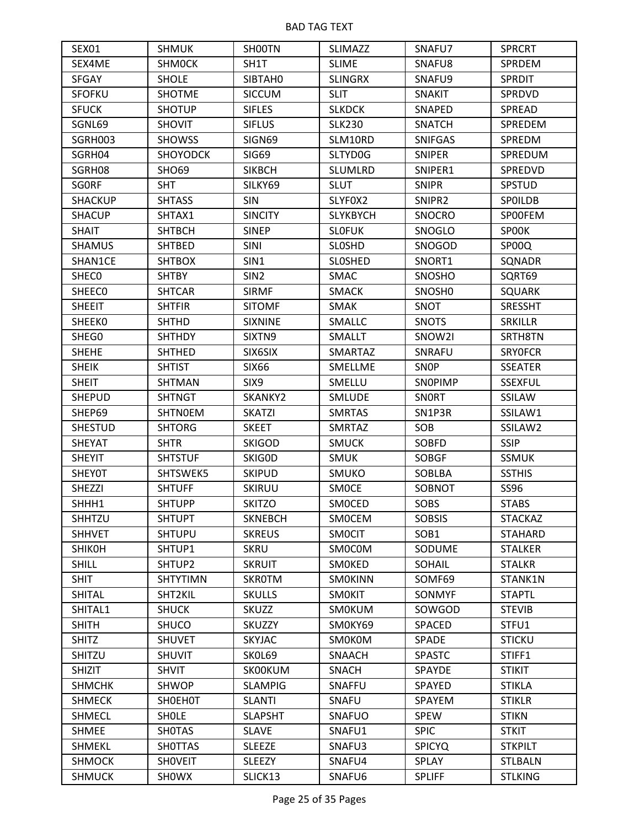| SEX <sub>01</sub> | <b>SHMUK</b>    | SHOOTN           | <b>SLIMAZZ</b>  | SNAFU7             | <b>SPRCRT</b>  |
|-------------------|-----------------|------------------|-----------------|--------------------|----------------|
| SEX4ME            | <b>SHMOCK</b>   | SH1T             | <b>SLIME</b>    | SNAFU8             | SPRDEM         |
| <b>SFGAY</b>      | <b>SHOLE</b>    | SIBTAH0          | <b>SLINGRX</b>  | SNAFU9             | <b>SPRDIT</b>  |
| <b>SFOFKU</b>     | <b>SHOTME</b>   | <b>SICCUM</b>    | <b>SLIT</b>     | <b>SNAKIT</b>      | SPRDVD         |
| <b>SFUCK</b>      | <b>SHOTUP</b>   | <b>SIFLES</b>    | <b>SLKDCK</b>   | SNAPED             | SPREAD         |
| SGNL69            | <b>SHOVIT</b>   | <b>SIFLUS</b>    | <b>SLK230</b>   | <b>SNATCH</b>      | SPREDEM        |
| SGRH003           | <b>SHOWSS</b>   | SIGN69           | SLM10RD         | <b>SNIFGAS</b>     | SPREDM         |
| SGRH04            | <b>SHOYODCK</b> | <b>SIG69</b>     | SLTYD0G         | <b>SNIPER</b>      | SPREDUM        |
| SGRH08            | <b>SHO69</b>    | <b>SIKBCH</b>    | <b>SLUMLRD</b>  | SNIPER1            | SPREDVD        |
| <b>SGORF</b>      | <b>SHT</b>      | SILKY69          | <b>SLUT</b>     | <b>SNIPR</b>       | <b>SPSTUD</b>  |
| <b>SHACKUP</b>    | <b>SHTASS</b>   | <b>SIN</b>       | SLYFOX2         | SNIPR2             | <b>SPOILDB</b> |
| <b>SHACUP</b>     | SHTAX1          | <b>SINCITY</b>   | <b>SLYKBYCH</b> | <b>SNOCRO</b>      | SPOOFEM        |
| <b>SHAIT</b>      | <b>SHTBCH</b>   | <b>SINEP</b>     | <b>SLOFUK</b>   | SNOGLO             | SPOOK          |
| <b>SHAMUS</b>     | <b>SHTBED</b>   | SINI             | <b>SLOSHD</b>   | SNOGOD             | SP00Q          |
| SHAN1CE           | <b>SHTBOX</b>   | SIN1             | <b>SLOSHED</b>  | SNORT1             | SQNADR         |
| SHEC <sub>0</sub> | <b>SHTBY</b>    | SIN <sub>2</sub> | SMAC            | SNOSHO             | SQRT69         |
| <b>SHEECO</b>     | SHTCAR          | <b>SIRMF</b>     | <b>SMACK</b>    | SNOSH <sub>0</sub> | <b>SQUARK</b>  |
| <b>SHEEIT</b>     | <b>SHTFIR</b>   | <b>SITOMF</b>    | <b>SMAK</b>     | <b>SNOT</b>        | <b>SRESSHT</b> |
| <b>SHEEKO</b>     | <b>SHTHD</b>    | <b>SIXNINE</b>   | <b>SMALLC</b>   | <b>SNOTS</b>       | <b>SRKILLR</b> |
| SHEG0             | <b>SHTHDY</b>   | SIXTN9           | <b>SMALLT</b>   | SNOW2I             | SRTH8TN        |
| <b>SHEHE</b>      | <b>SHTHED</b>   | SIX6SIX          | SMARTAZ         | SNRAFU             | <b>SRYOFCR</b> |
| <b>SHEIK</b>      | <b>SHTIST</b>   | <b>SIX66</b>     | SMELLME         | SNOP               | <b>SSEATER</b> |
| <b>SHEIT</b>      | <b>SHTMAN</b>   | SIX <sub>9</sub> | SMELLU          | SNOPIMP            | <b>SSEXFUL</b> |
| <b>SHEPUD</b>     | <b>SHTNGT</b>   | SKANKY2          | <b>SMLUDE</b>   | SNORT              | SSILAW         |
| SHEP69            | <b>SHTNOEM</b>  | <b>SKATZI</b>    | <b>SMRTAS</b>   | SN1P3R             | SSILAW1        |
| <b>SHESTUD</b>    | <b>SHTORG</b>   | <b>SKEET</b>     | <b>SMRTAZ</b>   | SOB                | SSILAW2        |
| <b>SHEYAT</b>     | <b>SHTR</b>     | <b>SKIGOD</b>    | <b>SMUCK</b>    | SOBFD              | <b>SSIP</b>    |
| <b>SHEYIT</b>     | <b>SHTSTUF</b>  | SKIG0D           | <b>SMUK</b>     | <b>SOBGF</b>       | <b>SSMUK</b>   |
| <b>SHEYOT</b>     | SHTSWEK5        | <b>SKIPUD</b>    | <b>SMUKO</b>    | SOBLBA             | <b>SSTHIS</b>  |
| <b>SHEZZI</b>     | <b>SHTUFF</b>   | <b>SKIRUU</b>    | <b>SMOCE</b>    | SOBNOT             | SS96           |
| SHHH1             | <b>SHTUPP</b>   | <b>SKITZO</b>    | <b>SMOCED</b>   | <b>SOBS</b>        | <b>STABS</b>   |
| SHHTZU            | <b>SHTUPT</b>   | <b>SKNEBCH</b>   | <b>SMOCEM</b>   | <b>SOBSIS</b>      | <b>STACKAZ</b> |
| <b>SHHVET</b>     | <b>SHTUPU</b>   | <b>SKREUS</b>    | <b>SMOCIT</b>   | SOB <sub>1</sub>   | <b>STAHARD</b> |
| <b>SHIKOH</b>     | SHTUP1          | <b>SKRU</b>      | SM0C0M          | <b>SODUME</b>      | <b>STALKER</b> |
| <b>SHILL</b>      | SHTUP2          | <b>SKRUIT</b>    | SMOKED          | SOHAIL             | <b>STALKR</b>  |
| <b>SHIT</b>       | <b>SHTYTIMN</b> | SKROTM           | <b>SMOKINN</b>  | SOMF69             | STANK1N        |
| <b>SHITAL</b>     | SHT2KIL         | <b>SKULLS</b>    | <b>SMOKIT</b>   | SONMYF             | <b>STAPTL</b>  |
| SHITAL1           | <b>SHUCK</b>    | SKUZZ            | SMOKUM          | SOWGOD             | <b>STEVIB</b>  |
| <b>SHITH</b>      | <b>SHUCO</b>    | SKUZZY           | SMOKY69         | SPACED             | STFU1          |
| <b>SHITZ</b>      | <b>SHUVET</b>   | <b>SKYJAC</b>    | <b>SMOKOM</b>   | SPADE              | <b>STICKU</b>  |
| SHITZU            | <b>SHUVIT</b>   | SKOL69           | SNAACH          | <b>SPASTC</b>      | STIFF1         |
| <b>SHIZIT</b>     | <b>SHVIT</b>    | <b>SKOOKUM</b>   | <b>SNACH</b>    | SPAYDE             | <b>STIKIT</b>  |
| <b>SHMCHK</b>     | <b>SHWOP</b>    | <b>SLAMPIG</b>   | SNAFFU          | SPAYED             | <b>STIKLA</b>  |
| <b>SHMECK</b>     | <b>SHOEHOT</b>  | <b>SLANTI</b>    | SNAFU           | SPAYEM             | <b>STIKLR</b>  |
| <b>SHMECL</b>     | <b>SHOLE</b>    | <b>SLAPSHT</b>   | <b>SNAFUO</b>   | <b>SPEW</b>        | <b>STIKN</b>   |
| <b>SHMEE</b>      | <b>SHOTAS</b>   | <b>SLAVE</b>     | SNAFU1          | <b>SPIC</b>        | <b>STKIT</b>   |
| <b>SHMEKL</b>     | <b>SHOTTAS</b>  | <b>SLEEZE</b>    | SNAFU3          | <b>SPICYQ</b>      | <b>STKPILT</b> |
| <b>SHMOCK</b>     | <b>SHOVEIT</b>  | <b>SLEEZY</b>    | SNAFU4          | SPLAY              | <b>STLBALN</b> |
| <b>SHMUCK</b>     | <b>SHOWX</b>    | SLICK13          | SNAFU6          | <b>SPLIFF</b>      | <b>STLKING</b> |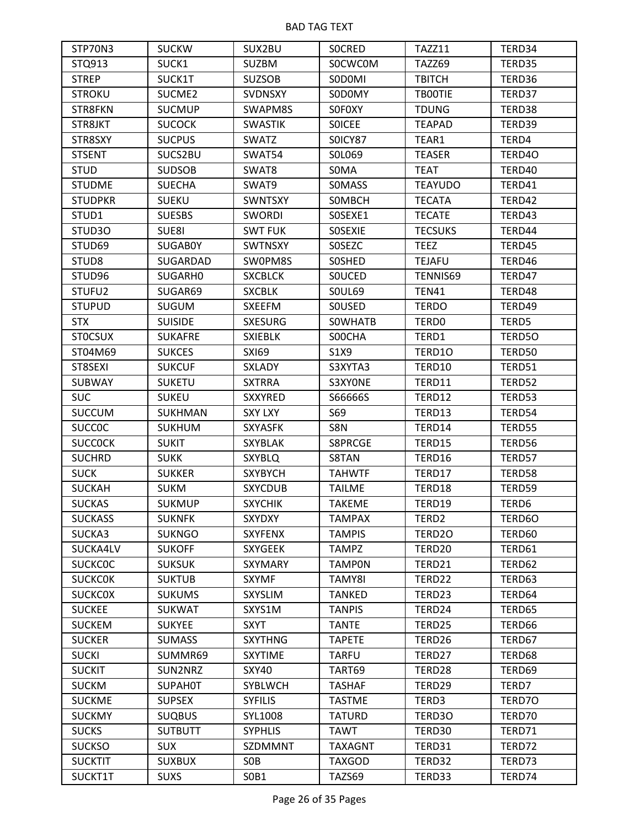| STP70N3           | <b>SUCKW</b>   | SUX2BU          | <b>SOCRED</b>  | TAZZ11            | TERD34 |
|-------------------|----------------|-----------------|----------------|-------------------|--------|
| STQ913            | SUCK1          | <b>SUZBM</b>    | <b>SOCWCOM</b> | <b>TAZZ69</b>     | TERD35 |
| <b>STREP</b>      | SUCK1T         | <b>SUZSOB</b>   | SODOMI         | <b>TBITCH</b>     | TERD36 |
| <b>STROKU</b>     | SUCME2         | <b>SVDNSXY</b>  | SODOMY         | <b>TBOOTIE</b>    | TERD37 |
| STR8FKN           | <b>SUCMUP</b>  | SWAPM8S         | <b>SOFOXY</b>  | <b>TDUNG</b>      | TERD38 |
| STR8JKT           | <b>SUCOCK</b>  | <b>SWASTIK</b>  | <b>SOICEE</b>  | <b>TEAPAD</b>     | TERD39 |
| STR8SXY           | <b>SUCPUS</b>  | <b>SWATZ</b>    | SOICY87        | TEAR1             | TERD4  |
| <b>STSENT</b>     | SUCS2BU        | SWAT54          | SOL069         | <b>TEASER</b>     | TERD4O |
| <b>STUD</b>       | <b>SUDSOB</b>  | SWAT8           | S0MA           | <b>TEAT</b>       | TERD40 |
| <b>STUDME</b>     | <b>SUECHA</b>  | SWAT9           | <b>SOMASS</b>  | <b>TEAYUDO</b>    | TERD41 |
| <b>STUDPKR</b>    | <b>SUEKU</b>   | <b>SWNTSXY</b>  | SOMBCH         | <b>TECATA</b>     | TERD42 |
| STUD1             | <b>SUESBS</b>  | <b>SWORDI</b>   | SOSEXE1        | <b>TECATE</b>     | TERD43 |
| STUD3O            | SUE8I          | <b>SWT FUK</b>  | SOSEXIE        | <b>TECSUKS</b>    | TERD44 |
| STUD69            | <b>SUGABOY</b> | <b>SWTNSXY</b>  | <b>SOSEZC</b>  | <b>TEEZ</b>       | TERD45 |
| STUD <sub>8</sub> | SUGARDAD       | SW0PM8S         | SOSHED         | <b>TEJAFU</b>     | TERD46 |
| STUD96            | SUGARH0        | <b>SXCBLCK</b>  | <b>SOUCED</b>  | TENNIS69          | TERD47 |
| STUFU2            | SUGAR69        | <b>SXCBLK</b>   | <b>SOUL69</b>  | <b>TEN41</b>      | TERD48 |
| <b>STUPUD</b>     | <b>SUGUM</b>   | <b>SXEEFM</b>   | SOUSED         | <b>TERDO</b>      | TERD49 |
| <b>STX</b>        | <b>SUISIDE</b> | <b>SXESURG</b>  | <b>SOWHATB</b> | TERD0             | TERD5  |
| <b>STOCSUX</b>    | <b>SUKAFRE</b> | <b>SXIEBLK</b>  | S00CHA         | TERD1             | TERD50 |
| ST04M69           | <b>SUKCES</b>  | <b>SXI69</b>    | S1X9           | TERD10            | TERD50 |
| ST8SEXI           | <b>SUKCUF</b>  | <b>SXLADY</b>   | S3XYTA3        | TERD10            | TERD51 |
| <b>SUBWAY</b>     | <b>SUKETU</b>  | <b>SXTRRA</b>   | S3XYONE        | TERD11            | TERD52 |
| <b>SUC</b>        | <b>SUKEU</b>   | <b>SXXYRED</b>  | S66666S        | TERD12            | TERD53 |
| <b>SUCCUM</b>     | <b>SUKHMAN</b> | <b>SXY LXY</b>  | S69            | TERD13            | TERD54 |
| <b>SUCCOC</b>     | <b>SUKHUM</b>  | <b>SXYASFK</b>  | S8N            | TERD14            | TERD55 |
| <b>SUCCOCK</b>    | <b>SUKIT</b>   | SXYBLAK         | S8PRCGE        | TERD15            | TERD56 |
| <b>SUCHRD</b>     | <b>SUKK</b>    | <b>SXYBLQ</b>   | S8TAN          | TERD16            | TERD57 |
| <b>SUCK</b>       | <b>SUKKER</b>  | <b>SXYBYCH</b>  | <b>TAHWTF</b>  | TERD17            | TERD58 |
| <b>SUCKAH</b>     | <b>SUKM</b>    | <b>SXYCDUB</b>  | <b>TAILME</b>  | TERD18            | TERD59 |
| <b>SUCKAS</b>     | <b>SUKMUP</b>  | <b>SXYCHIK</b>  | <b>TAKEME</b>  | TERD19            | TERD6  |
| <b>SUCKASS</b>    | <b>SUKNFK</b>  | <b>SXYDXY</b>   | <b>TAMPAX</b>  | TERD <sub>2</sub> | TERD6O |
| SUCKA3            | <b>SUKNGO</b>  | <b>SXYFENX</b>  | <b>TAMPIS</b>  | TERD2O            | TERD60 |
| SUCKA4LV          | <b>SUKOFF</b>  | <b>SXYGEEK</b>  | <b>TAMPZ</b>   | TERD20            | TERD61 |
| <b>SUCKCOC</b>    | <b>SUKSUK</b>  | <b>SXYMARY</b>  | <b>TAMPON</b>  | TERD21            | TERD62 |
| <b>SUCKCOK</b>    | <b>SUKTUB</b>  | <b>SXYMF</b>    | TAMY8I         | TERD22            | TERD63 |
| <b>SUCKCOX</b>    | <b>SUKUMS</b>  | <b>SXYSLIM</b>  | <b>TANKED</b>  | TERD23            | TERD64 |
| <b>SUCKEE</b>     | <b>SUKWAT</b>  | SXYS1M          | <b>TANPIS</b>  | TERD24            | TERD65 |
| <b>SUCKEM</b>     | <b>SUKYEE</b>  | <b>SXYT</b>     | <b>TANTE</b>   | TERD25            | TERD66 |
| <b>SUCKER</b>     | <b>SUMASS</b>  | <b>SXYTHNG</b>  | <b>TAPETE</b>  | TERD26            | TERD67 |
| <b>SUCKI</b>      | SUMMR69        | <b>SXYTIME</b>  | <b>TARFU</b>   | TERD27            | TERD68 |
| <b>SUCKIT</b>     | SUN2NRZ        | <b>SXY40</b>    | TART69         | TERD28            | TERD69 |
| <b>SUCKM</b>      | <b>SUPAHOT</b> | SYBLWCH         | <b>TASHAF</b>  | TERD29            | TERD7  |
| <b>SUCKME</b>     | <b>SUPSEX</b>  | <b>SYFILIS</b>  | <b>TASTME</b>  | TERD3             | TERD70 |
| <b>SUCKMY</b>     | <b>SUQBUS</b>  | SYL1008         | <b>TATURD</b>  | TERD3O            | TERD70 |
| <b>SUCKS</b>      | <b>SUTBUTT</b> | <b>SYPHLIS</b>  | <b>TAWT</b>    | TERD30            | TERD71 |
| <b>SUCKSO</b>     | <b>SUX</b>     | SZDMMNT         | <b>TAXAGNT</b> | TERD31            | TERD72 |
| <b>SUCKTIT</b>    | <b>SUXBUX</b>  | S <sub>OB</sub> | <b>TAXGOD</b>  | TERD32            | TERD73 |
| SUCKT1T           | <b>SUXS</b>    | SOB1            | TAZS69         | TERD33            | TERD74 |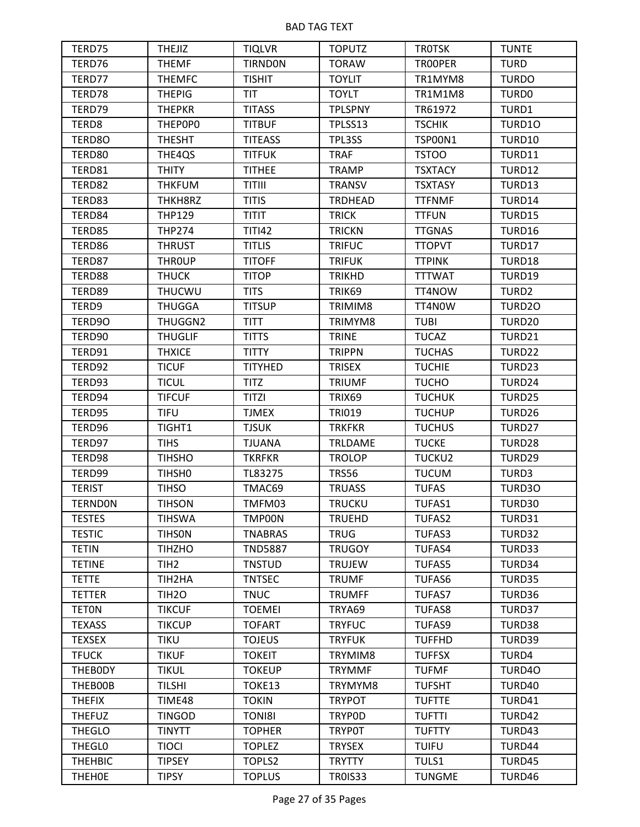| TERD75         | <b>THEJIZ</b>      | <b>TIQLVR</b>  | <b>TOPUTZ</b>  | <b>TROTSK</b>  | <b>TUNTE</b>      |
|----------------|--------------------|----------------|----------------|----------------|-------------------|
| TERD76         | <b>THEMF</b>       | <b>TIRNDON</b> | <b>TORAW</b>   | TROOPER        | <b>TURD</b>       |
| TERD77         | <b>THEMFC</b>      | <b>TISHIT</b>  | <b>TOYLIT</b>  | TR1MYM8        | <b>TURDO</b>      |
| TERD78         | <b>THEPIG</b>      | <b>TIT</b>     | <b>TOYLT</b>   | <b>TR1M1M8</b> | TURD0             |
| TERD79         | <b>THEPKR</b>      | <b>TITASS</b>  | <b>TPLSPNY</b> | TR61972        | TURD1             |
| TERD8          | THEP0P0            | <b>TITBUF</b>  | TPLSS13        | <b>TSCHIK</b>  | TURD10            |
| TERD8O         | <b>THESHT</b>      | <b>TITEASS</b> | TPL3SS         | <b>TSP00N1</b> | TURD10            |
| TERD80         | THE4QS             | <b>TITFUK</b>  | <b>TRAF</b>    | <b>TSTOO</b>   | <b>TURD11</b>     |
| TERD81         | <b>THITY</b>       | <b>TITHEE</b>  | <b>TRAMP</b>   | <b>TSXTACY</b> | TURD12            |
| TERD82         | <b>THKFUM</b>      | <b>TITIII</b>  | <b>TRANSV</b>  | <b>TSXTASY</b> | TURD13            |
| TERD83         | THKH8RZ            | <b>TITIS</b>   | <b>TRDHEAD</b> | <b>TTFNMF</b>  | TURD14            |
| TERD84         | <b>THP129</b>      | <b>TITIT</b>   | <b>TRICK</b>   | <b>TTFUN</b>   | TURD15            |
| TERD85         | <b>THP274</b>      | <b>TITI42</b>  | <b>TRICKN</b>  | <b>TTGNAS</b>  | TURD16            |
| TERD86         | <b>THRUST</b>      | <b>TITLIS</b>  | <b>TRIFUC</b>  | <b>TTOPVT</b>  | TURD17            |
| TERD87         | <b>THROUP</b>      | <b>TITOFF</b>  | <b>TRIFUK</b>  | <b>TTPINK</b>  | TURD18            |
| TERD88         | <b>THUCK</b>       | <b>TITOP</b>   | <b>TRIKHD</b>  | <b>TTTWAT</b>  | TURD19            |
| TERD89         | <b>THUCWU</b>      | <b>TITS</b>    | TRIK69         | TT4NOW         | TURD <sub>2</sub> |
| TERD9          | <b>THUGGA</b>      | <b>TITSUP</b>  | TRIMIM8        | TT4N0W         | TURD20            |
| TERD90         | THUGGN2            | <b>TITT</b>    | TRIMYM8        | <b>TUBI</b>    | TURD20            |
| TERD90         | <b>THUGLIF</b>     | <b>TITTS</b>   | <b>TRINE</b>   | <b>TUCAZ</b>   | TURD21            |
| TERD91         | <b>THXICE</b>      | <b>TITTY</b>   | <b>TRIPPN</b>  | <b>TUCHAS</b>  | TURD22            |
| TERD92         | <b>TICUF</b>       | <b>TITYHED</b> | <b>TRISEX</b>  | <b>TUCHIE</b>  | TURD23            |
| TERD93         | <b>TICUL</b>       | <b>TITZ</b>    | <b>TRIUMF</b>  | <b>TUCHO</b>   | TURD24            |
| TERD94         | <b>TIFCUF</b>      | <b>TITZI</b>   | TRIX69         | <b>TUCHUK</b>  | TURD25            |
| TERD95         | <b>TIFU</b>        | <b>TJMEX</b>   | <b>TRI019</b>  | <b>TUCHUP</b>  | TURD26            |
| TERD96         | TIGHT1             | <b>TJSUK</b>   | <b>TRKFKR</b>  | <b>TUCHUS</b>  | TURD27            |
| TERD97         | <b>TIHS</b>        | <b>TJUANA</b>  | <b>TRLDAME</b> | <b>TUCKE</b>   | TURD28            |
| TERD98         | <b>TIHSHO</b>      | <b>TKRFKR</b>  | <b>TROLOP</b>  | TUCKU2         | TURD29            |
| TERD99         | TIHSH <sub>0</sub> | TL83275        | <b>TRS56</b>   | <b>TUCUM</b>   | TURD3             |
| <b>TERIST</b>  | <b>TIHSO</b>       | TMAC69         | <b>TRUASS</b>  | <b>TUFAS</b>   | TURD30            |
| <b>TERNDON</b> | <b>TIHSON</b>      | TMFM03         | <b>TRUCKU</b>  | <b>TUFAS1</b>  | TURD30            |
| <b>TESTES</b>  | <b>TIHSWA</b>      | TMP00N         | <b>TRUEHD</b>  | <b>TUFAS2</b>  | TURD31            |
| <b>TESTIC</b>  | <b>TIHSON</b>      | <b>TNABRAS</b> | <b>TRUG</b>    | TUFAS3         | TURD32            |
| <b>TETIN</b>   | <b>TIHZHO</b>      | <b>TND5887</b> | <b>TRUGOY</b>  | <b>TUFAS4</b>  | TURD33            |
| <b>TETINE</b>  | TIH <sub>2</sub>   | <b>TNSTUD</b>  | <b>TRUJEW</b>  | <b>TUFAS5</b>  | TURD34            |
| <b>TETTE</b>   | TIH2HA             | <b>TNTSEC</b>  | <b>TRUMF</b>   | <b>TUFAS6</b>  | TURD35            |
| <b>TETTER</b>  | TIH <sub>20</sub>  | <b>TNUC</b>    | <b>TRUMFF</b>  | <b>TUFAS7</b>  | TURD36            |
| <b>TETON</b>   | <b>TIKCUF</b>      | <b>TOEMEI</b>  | TRYA69         | <b>TUFAS8</b>  | TURD37            |
| <b>TEXASS</b>  | <b>TIKCUP</b>      | <b>TOFART</b>  | <b>TRYFUC</b>  | <b>TUFAS9</b>  | TURD38            |
| <b>TEXSEX</b>  | <b>TIKU</b>        | <b>TOJEUS</b>  | <b>TRYFUK</b>  | <b>TUFFHD</b>  | TURD39            |
| <b>TFUCK</b>   | <b>TIKUF</b>       | <b>TOKEIT</b>  | TRYMIM8        | <b>TUFFSX</b>  | TURD4             |
| <b>THEBODY</b> | <b>TIKUL</b>       | <b>TOKEUP</b>  | <b>TRYMMF</b>  | <b>TUFMF</b>   | TURD40            |
| THEB00B        | <b>TILSHI</b>      | TOKE13         | TRYMYM8        | <b>TUFSHT</b>  | TURD40            |
| <b>THEFIX</b>  | TIME48             | <b>TOKIN</b>   | <b>TRYPOT</b>  | <b>TUFTTE</b>  | TURD41            |
| <b>THEFUZ</b>  | <b>TINGOD</b>      | <b>TONI8I</b>  | <b>TRYPOD</b>  | <b>TUFTTI</b>  | TURD42            |
| <b>THEGLO</b>  | <b>TINYTT</b>      | <b>TOPHER</b>  | <b>TRYPOT</b>  | <b>TUFTTY</b>  | TURD43            |
| THEGL0         | <b>TIOCI</b>       | <b>TOPLEZ</b>  | <b>TRYSEX</b>  | <b>TUIFU</b>   | TURD44            |
| <b>THEHBIC</b> | <b>TIPSEY</b>      | TOPLS2         | <b>TRYTTY</b>  | TULS1          | TURD45            |
| <b>THEHOE</b>  | <b>TIPSY</b>       | <b>TOPLUS</b>  | <b>TROIS33</b> | <b>TUNGME</b>  | TURD46            |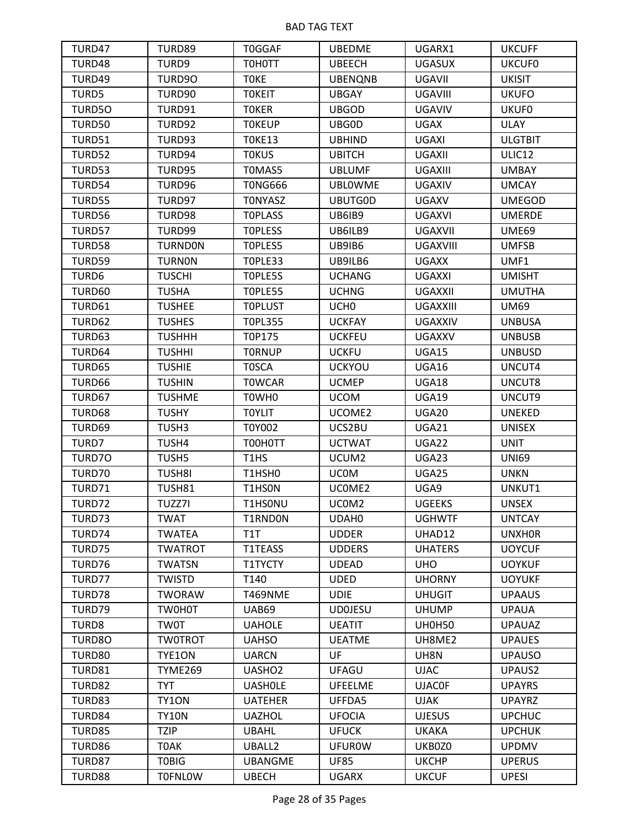| TURD47        | TURD89            | <b>T0GGAF</b>      | <b>UBEDME</b>     | UGARX1          | <b>UKCUFF</b>  |
|---------------|-------------------|--------------------|-------------------|-----------------|----------------|
| TURD48        | TURD9             | T0H0TT             | <b>UBEECH</b>     | <b>UGASUX</b>   | <b>UKCUF0</b>  |
| TURD49        | TURD90            | <b>TOKE</b>        | <b>UBENQNB</b>    | <b>UGAVII</b>   | <b>UKISIT</b>  |
| TURD5         | TURD90            | <b>TOKEIT</b>      | <b>UBGAY</b>      | UGAVIII         | <b>UKUFO</b>   |
| TURD50        | TURD91            | <b>TOKER</b>       | <b>UBGOD</b>      | <b>UGAVIV</b>   | <b>UKUF0</b>   |
| TURD50        | TURD92            | <b>TOKEUP</b>      | UBG0D             | <b>UGAX</b>     | <b>ULAY</b>    |
| <b>TURD51</b> | TURD93            | <b>TOKE13</b>      | <b>UBHIND</b>     | <b>UGAXI</b>    | <b>ULGTBIT</b> |
| TURD52        | TURD94            | <b>TOKUS</b>       | <b>UBITCH</b>     | <b>UGAXII</b>   | ULIC12         |
| TURD53        | TURD95            | T0MAS5             | <b>UBLUMF</b>     | UGAXIII         | <b>UMBAY</b>   |
| TURD54        | TURD96            | <b>TONG666</b>     | <b>UBLOWME</b>    | <b>UGAXIV</b>   | <b>UMCAY</b>   |
| TURD55        | TURD97            | <b>TONYASZ</b>     | <b>UBUTGOD</b>    | <b>UGAXV</b>    | <b>UMEGOD</b>  |
| TURD56        | TURD98            | <b>TOPLASS</b>     | UB6IB9            | <b>UGAXVI</b>   | <b>UMERDE</b>  |
| TURD57        | TURD99            | <b>TOPLESS</b>     | UB6ILB9           | <b>UGAXVII</b>  | <b>UME69</b>   |
| <b>TURD58</b> | <b>TURNDON</b>    | TOPLES5            | UB9IB6            | <b>UGAXVIII</b> | <b>UMFSB</b>   |
| TURD59        | <b>TURNON</b>     | TOPLE33            | UB9ILB6           | <b>UGAXX</b>    | UMF1           |
| TURD6         | <b>TUSCHI</b>     | TOPLE5S            | <b>UCHANG</b>     | <b>UGAXXI</b>   | <b>UMISHT</b>  |
| TURD60        | <b>TUSHA</b>      | TOPLE55            | <b>UCHNG</b>      | <b>UGAXXII</b>  | <b>UMUTHA</b>  |
| TURD61        | <b>TUSHEE</b>     | <b>TOPLUST</b>     | UCH <sub>0</sub>  | UGAXXIII        | <b>UM69</b>    |
| TURD62        | <b>TUSHES</b>     | <b>TOPL355</b>     | <b>UCKFAY</b>     | <b>UGAXXIV</b>  | <b>UNBUSA</b>  |
| TURD63        | <b>TUSHHH</b>     | T0P175             | <b>UCKFEU</b>     | <b>UGAXXV</b>   | <b>UNBUSB</b>  |
| TURD64        | <b>TUSHHI</b>     | <b>TORNUP</b>      | <b>UCKFU</b>      | UGA15           | <b>UNBUSD</b>  |
| TURD65        | <b>TUSHIE</b>     | <b>TOSCA</b>       | <b>UCKYOU</b>     | UGA16           | UNCUT4         |
| TURD66        | <b>TUSHIN</b>     | <b>TOWCAR</b>      | <b>UCMEP</b>      | <b>UGA18</b>    | UNCUT8         |
| TURD67        | <b>TUSHME</b>     | T0WH0              | <b>UCOM</b>       | <b>UGA19</b>    | UNCUT9         |
| TURD68        | <b>TUSHY</b>      | <b>TOYLIT</b>      | UCOME2            | UGA20           | <b>UNEKED</b>  |
| TURD69        | TUSH3             | T0Y002             | UCS2BU            | UGA21           | <b>UNISEX</b>  |
| TURD7         | TUSH4             | T00H0TT            | <b>UCTWAT</b>     | UGA22           | <b>UNIT</b>    |
| TURD70        | TUSH <sub>5</sub> | T1HS               | UCUM2             | UGA23           | <b>UNI69</b>   |
| TURD70        | TUSH8I            | T1HSH0             | <b>UCOM</b>       | UGA25           | <b>UNKN</b>    |
| TURD71        | TUSH81            | T1HS0N             | UCOME2            | UGA9            | UNKUT1         |
| TURD72        | TUZZ7I            | T1HS0NU            | UCOM <sub>2</sub> | <b>UGEEKS</b>   | <b>UNSEX</b>   |
| TURD73        | <b>TWAT</b>       | T1RND0N            | UDAH0             | <b>UGHWTF</b>   | <b>UNTCAY</b>  |
| TURD74        | <b>TWATEA</b>     | T1T                | <b>UDDER</b>      | UHAD12          | <b>UNXHOR</b>  |
| TURD75        | <b>TWATROT</b>    | T1TEASS            | <b>UDDERS</b>     | <b>UHATERS</b>  | <b>UOYCUF</b>  |
| TURD76        | <b>TWATSN</b>     | T1TYCTY            | <b>UDEAD</b>      | <b>UHO</b>      | <b>UOYKUF</b>  |
| TURD77        | <b>TWISTD</b>     | T140               | <b>UDED</b>       | <b>UHORNY</b>   | <b>UOYUKF</b>  |
| TURD78        | <b>TWORAW</b>     | <b>T469NME</b>     | <b>UDIE</b>       | <b>UHUGIT</b>   | <b>UPAAUS</b>  |
| TURD79        | TW0H0T            | <b>UAB69</b>       | <b>UDOJESU</b>    | <b>UHUMP</b>    | <b>UPAUA</b>   |
| TURD8         | <b>TW0T</b>       | <b>UAHOLE</b>      | <b>UEATIT</b>     | <b>UH0H50</b>   | <b>UPAUAZ</b>  |
| TURD80        | <b>TWOTROT</b>    | <b>UAHSO</b>       | <b>UEATME</b>     | UH8ME2          | <b>UPAUES</b>  |
| TURD80        | TYE1ON            | <b>UARCN</b>       | UF                | UH8N            | <b>UPAUSO</b>  |
| TURD81        | TYME269           | UASHO <sub>2</sub> | UFAGU             | <b>UJAC</b>     | UPAUS2         |
| TURD82        | <b>TYT</b>        | <b>UASHOLE</b>     | <b>UFEELME</b>    | <b>UJAC0F</b>   | <b>UPAYRS</b>  |
| TURD83        | TY1ON             | <b>UATEHER</b>     | UFFDA5            | UJAK            | <b>UPAYRZ</b>  |
| TURD84        | <b>TY10N</b>      | <b>UAZHOL</b>      | <b>UFOCIA</b>     | <b>UJESUS</b>   | <b>UPCHUC</b>  |
| TURD85        | <b>TZIP</b>       | <b>UBAHL</b>       | <b>UFUCK</b>      | <b>UKAKA</b>    | <b>UPCHUK</b>  |
| TURD86        | <b>TOAK</b>       | UBALL2             | <b>UFUROW</b>     | UKB0Z0          | <b>UPDMV</b>   |
| TURD87        | <b>TOBIG</b>      | <b>UBANGME</b>     | <b>UF85</b>       | <b>UKCHP</b>    | <b>UPERUS</b>  |
| TURD88        | <b>TOFNLOW</b>    | <b>UBECH</b>       | <b>UGARX</b>      | <b>UKCUF</b>    | <b>UPESI</b>   |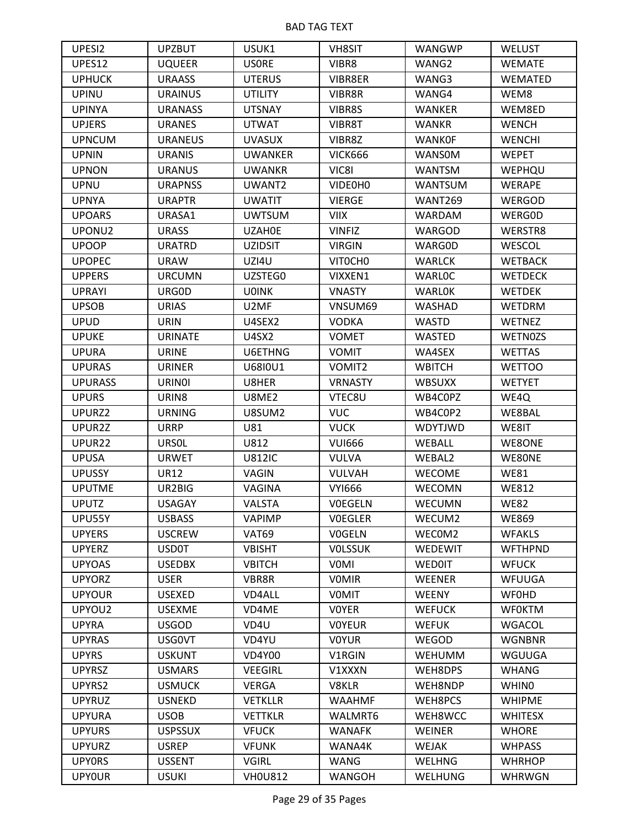| UPESI2         | <b>UPZBUT</b>     | USUK1          | <b>VH8SIT</b>  | WANGWP         | <b>WELUST</b>  |
|----------------|-------------------|----------------|----------------|----------------|----------------|
| UPES12         | <b>UQUEER</b>     | <b>USORE</b>   | VIBR8          | WANG2          | <b>WEMATE</b>  |
| <b>UPHUCK</b>  | <b>URAASS</b>     | <b>UTERUS</b>  | VIBR8ER        | WANG3          | <b>WEMATED</b> |
| <b>UPINU</b>   | <b>URAINUS</b>    | <b>UTILITY</b> | VIBR8R         | WANG4          | WEM8           |
| <b>UPINYA</b>  | <b>URANASS</b>    | <b>UTSNAY</b>  | VIBR8S         | WANKER         | WEM8ED         |
| <b>UPJERS</b>  | <b>URANES</b>     | <b>UTWAT</b>   | VIBR8T         | <b>WANKR</b>   | <b>WENCH</b>   |
| <b>UPNCUM</b>  | <b>URANEUS</b>    | <b>UVASUX</b>  | VIBR8Z         | <b>WANKOF</b>  | <b>WENCHI</b>  |
| <b>UPNIN</b>   | <b>URANIS</b>     | <b>UWANKER</b> | <b>VICK666</b> | <b>WANSOM</b>  | <b>WEPET</b>   |
| <b>UPNON</b>   | <b>URANUS</b>     | <b>UWANKR</b>  | VIC81          | <b>WANTSM</b>  | WEPHQU         |
| <b>UPNU</b>    | <b>URAPNSS</b>    | UWANT2         | VIDE0H0        | <b>WANTSUM</b> | WERAPE         |
| <b>UPNYA</b>   | <b>URAPTR</b>     | <b>UWATIT</b>  | <b>VIERGE</b>  | <b>WANT269</b> | <b>WERGOD</b>  |
| <b>UPOARS</b>  | URASA1            | <b>UWTSUM</b>  | <b>VIIX</b>    | <b>WARDAM</b>  | <b>WERGOD</b>  |
| UPONU2         | <b>URASS</b>      | <b>UZAHOE</b>  | <b>VINFIZ</b>  | <b>WARGOD</b>  | WERSTR8        |
| <b>UPOOP</b>   | <b>URATRD</b>     | <b>UZIDSIT</b> | <b>VIRGIN</b>  | <b>WARGOD</b>  | WESCOL         |
| <b>UPOPEC</b>  | <b>URAW</b>       | UZI4U          | VIT0CH0        | <b>WARLCK</b>  | <b>WETBACK</b> |
| <b>UPPERS</b>  | <b>URCUMN</b>     | UZSTEG0        | VIXXEN1        | <b>WARLOC</b>  | <b>WETDECK</b> |
| <b>UPRAYI</b>  | URG0D             | <b>U0INK</b>   | <b>VNASTY</b>  | <b>WARLOK</b>  | <b>WETDEK</b>  |
| <b>UPSOB</b>   | <b>URIAS</b>      | U2MF           | VNSUM69        | <b>WASHAD</b>  | <b>WETDRM</b>  |
| <b>UPUD</b>    | <b>URIN</b>       | U4SEX2         | <b>VODKA</b>   | <b>WASTD</b>   | WETNEZ         |
| <b>UPUKE</b>   | <b>URINATE</b>    | <b>U4SX2</b>   | <b>VOMET</b>   | WASTED         | <b>WETNOZS</b> |
| <b>UPURA</b>   | <b>URINE</b>      | U6ETHNG        | <b>VOMIT</b>   | WA4SEX         | <b>WETTAS</b>  |
| <b>UPURAS</b>  | <b>URINER</b>     | U6810U1        | VOMIT2         | <b>WBITCH</b>  | <b>WETTOO</b>  |
| <b>UPURASS</b> | <b>URINOI</b>     | U8HER          | <b>VRNASTY</b> | <b>WBSUXX</b>  | <b>WETYET</b>  |
| <b>UPURS</b>   | URIN <sub>8</sub> | U8ME2          | VTEC8U         | WB4C0PZ        | WE4Q           |
| UPURZ2         | <b>URNING</b>     | U8SUM2         | <b>VUC</b>     | WB4C0P2        | WE8BAL         |
| UPUR2Z         | <b>URRP</b>       | U81            | <b>VUCK</b>    | <b>WDYTJWD</b> | WE8IT          |
| UPUR22         | <b>URSOL</b>      | U812           | <b>VUI666</b>  | WEBALL         | WE8ONE         |
| <b>UPUSA</b>   | <b>URWET</b>      | <b>U812IC</b>  | <b>VULVA</b>   | WEBAL2         | WE80NE         |
| <b>UPUSSY</b>  | <b>UR12</b>       | VAGIN          | <b>VULVAH</b>  | <b>WECOME</b>  | <b>WE81</b>    |
| <b>UPUTME</b>  | UR2BIG            | VAGINA         | <b>VYI666</b>  | WECOMN         | <b>WE812</b>   |
| <b>UPUTZ</b>   | <b>USAGAY</b>     | <b>VALSTA</b>  | <b>VOEGELN</b> | <b>WECUMN</b>  | <b>WE82</b>    |
| UPU55Y         | <b>USBASS</b>     | <b>VAPIMP</b>  | <b>VOEGLER</b> | WECUM2         | <b>WE869</b>   |
| <b>UPYERS</b>  | <b>USCREW</b>     | VAT69          | <b>VOGELN</b>  | WECOM2         | <b>WFAKLS</b>  |
| <b>UPYERZ</b>  | <b>USD0T</b>      | <b>VBISHT</b>  | <b>VOLSSUK</b> | <b>WEDEWIT</b> | <b>WFTHPND</b> |
| <b>UPYOAS</b>  | <b>USEDBX</b>     | <b>VBITCH</b>  | <b>VOMI</b>    | <b>WEDOIT</b>  | <b>WFUCK</b>   |
| <b>UPYORZ</b>  | <b>USER</b>       | VBR8R          | <b>VOMIR</b>   | <b>WEENER</b>  | <b>WFUUGA</b>  |
| <b>UPYOUR</b>  | <b>USEXED</b>     | VD4ALL         | <b>VOMIT</b>   | <b>WEENY</b>   | <b>WFOHD</b>   |
| UPYOU2         | <b>USEXME</b>     | VD4ME          | <b>VOYER</b>   | <b>WEFUCK</b>  | <b>WFOKTM</b>  |
| <b>UPYRA</b>   | <b>USGOD</b>      | VD4U           | <b>VOYEUR</b>  | <b>WEFUK</b>   | <b>WGACOL</b>  |
| <b>UPYRAS</b>  | <b>USGOVT</b>     | VD4YU          | <b>VOYUR</b>   | WEGOD          | <b>WGNBNR</b>  |
| <b>UPYRS</b>   | <b>USKUNT</b>     | <b>VD4Y00</b>  | V1RGIN         | <b>WEHUMM</b>  | WGUUGA         |
| <b>UPYRSZ</b>  | <b>USMARS</b>     | <b>VEEGIRL</b> | V1XXXN         | WEH8DPS        | <b>WHANG</b>   |
| UPYRS2         | <b>USMUCK</b>     | <b>VERGA</b>   | V8KLR          | WEH8NDP        | <b>WHINO</b>   |
| <b>UPYRUZ</b>  | <b>USNEKD</b>     | <b>VETKLLR</b> | <b>WAAHMF</b>  | WEH8PCS        | <b>WHIPME</b>  |
| <b>UPYURA</b>  | <b>USOB</b>       | <b>VETTKLR</b> | WALMRT6        | WEH8WCC        | <b>WHITESX</b> |
| <b>UPYURS</b>  | <b>USPSSUX</b>    | <b>VFUCK</b>   | <b>WANAFK</b>  | <b>WEINER</b>  | <b>WHORE</b>   |
| <b>UPYURZ</b>  | <b>USREP</b>      | <b>VFUNK</b>   | WANA4K         | WEJAK          | <b>WHPASS</b>  |
| <b>UPYORS</b>  | <b>USSENT</b>     | <b>VGIRL</b>   | WANG           | <b>WELHNG</b>  | <b>WHRHOP</b>  |
| <b>UPYOUR</b>  | <b>USUKI</b>      | <b>VH0U812</b> | <b>WANGOH</b>  | <b>WELHUNG</b> | <b>WHRWGN</b>  |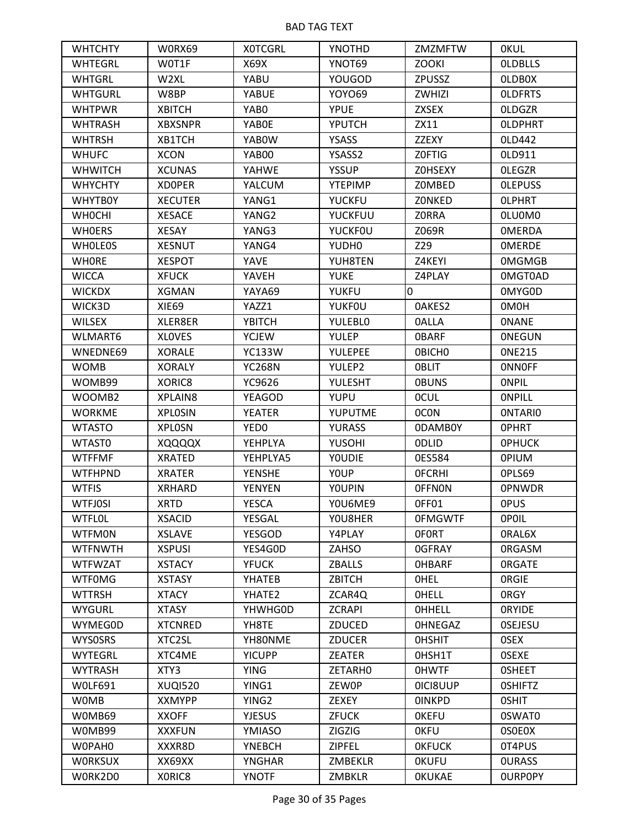| <b>WHTCHTY</b> | W0RX69           | <b>XOTCGRL</b>    | YNOTHD         | ZMZMFTW        | <b>OKUL</b>    |
|----------------|------------------|-------------------|----------------|----------------|----------------|
| <b>WHTEGRL</b> | W0T1F            | X69X              | YNOT69         | <b>ZOOKI</b>   | <b>OLDBLLS</b> |
| <b>WHTGRL</b>  | W <sub>2XL</sub> | YABU              | YOUGOD         | <b>ZPUSSZ</b>  | <b>OLDBOX</b>  |
| <b>WHTGURL</b> | W8BP             | <b>YABUE</b>      | <b>YOYO69</b>  | ZWHIZI         | <b>OLDFRTS</b> |
| <b>WHTPWR</b>  | <b>XBITCH</b>    | YAB0              | <b>YPUE</b>    | <b>ZXSEX</b>   | <b>OLDGZR</b>  |
| <b>WHTRASH</b> | <b>XBXSNPR</b>   | YAB0E             | YPUTCH         | ZX11           | <b>OLDPHRT</b> |
| <b>WHTRSH</b>  | XB1TCH           | YAB0W             | YSASS          | ZZEXY          | 0LD442         |
| <b>WHUFC</b>   | <b>XCON</b>      | YAB00             | YSASS2         | Z0FTIG         | 0LD911         |
| <b>WHWITCH</b> | <b>XCUNAS</b>    | YAHWE             | <b>YSSUP</b>   | <b>ZOHSEXY</b> | <b>OLEGZR</b>  |
| <b>WHYCHTY</b> | <b>XDOPER</b>    | <b>YALCUM</b>     | <b>YTEPIMP</b> | Z0MBED         | <b>OLEPUSS</b> |
| <b>WHYTBOY</b> | <b>XECUTER</b>   | YANG1             | <b>YUCKFU</b>  | <b>ZONKED</b>  | <b>OLPHRT</b>  |
| <b>WHOCHI</b>  | <b>XESACE</b>    | YANG2             | <b>YUCKFUU</b> | Z0RRA          | OLU0M0         |
| <b>WHOERS</b>  | <b>XESAY</b>     | YANG3             | <b>YUCKFOU</b> | Z069R          | <b>OMERDA</b>  |
| <b>WHOLEOS</b> | <b>XESNUT</b>    | YANG4             | YUDH0          | Z29            | <b>OMERDE</b>  |
| <b>WHORE</b>   | <b>XESPOT</b>    | <b>YAVE</b>       | YUH8TEN        | Z4KEYI         | <b>OMGMGB</b>  |
| <b>WICCA</b>   | <b>XFUCK</b>     | YAVEH             | <b>YUKE</b>    | Z4PLAY         | <b>OMGTOAD</b> |
| <b>WICKDX</b>  | XGMAN            | YAYA69            | <b>YUKFU</b>   | 0              | 0MYG0D         |
| WICK3D         | XIE69            | YAZZ1             | <b>YUKFOU</b>  | OAKES2         | 0M0H           |
| <b>WILSEX</b>  | XLER8ER          | <b>YBITCH</b>     | <b>YULEBLO</b> | <b>OALLA</b>   | <b>ONANE</b>   |
| WLMART6        | <b>XLOVES</b>    | <b>YCJEW</b>      | <b>YULEP</b>   | <b>OBARF</b>   | <b>ONEGUN</b>  |
| WNEDNE69       | <b>XORALE</b>    | <b>YC133W</b>     | <b>YULEPEE</b> | <b>OBICHO</b>  | <b>ONE215</b>  |
| <b>WOMB</b>    | <b>XORALY</b>    | <b>YC268N</b>     | YULEP2         | <b>OBLIT</b>   | <b>ONNOFF</b>  |
| WOMB99         | XORIC8           | YC9626            | <b>YULESHT</b> | <b>OBUNS</b>   | <b>ONPIL</b>   |
| WOOMB2         | XPLAIN8          | <b>YEAGOD</b>     | <b>YUPU</b>    | <b>OCUL</b>    | <b>ONPILL</b>  |
| <b>WORKME</b>  | <b>XPLOSIN</b>   | <b>YEATER</b>     | <b>YUPUTME</b> | 0CON           | <b>ONTARIO</b> |
| <b>WTASTO</b>  | <b>XPLOSN</b>    | YED0              | <b>YURASS</b>  | <b>ODAMBOY</b> | <b>OPHRT</b>   |
| WTAST0         | XQQQQX           | <b>YEHPLYA</b>    | YUSOHI         | 0DLID          | <b>OPHUCK</b>  |
| <b>WTFFMF</b>  | <b>XRATED</b>    | YEHPLYA5          | <b>YOUDIE</b>  | 0ES584         | <b>OPIUM</b>   |
| <b>WTFHPND</b> | <b>XRATER</b>    | <b>YENSHE</b>     | YOUP           | <b>OFCRHI</b>  | OPLS69         |
| <b>WTFIS</b>   | <b>XRHARD</b>    | <b>YENYEN</b>     | <b>YOUPIN</b>  | <b>OFFNON</b>  | <b>OPNWDR</b>  |
| <b>WTFJOSI</b> | <b>XRTD</b>      | <b>YESCA</b>      | YOU6ME9        | OFF01          | <b>OPUS</b>    |
| <b>WTFLOL</b>  | <b>XSACID</b>    | YESGAL            | YOU8HER        | <b>OFMGWTF</b> | <b>OPOIL</b>   |
| <b>WTFMON</b>  | <b>XSLAVE</b>    | <b>YESGOD</b>     | Y4PLAY         | <b>OFORT</b>   | ORAL6X         |
| <b>WTFNWTH</b> | <b>XSPUSI</b>    | YES4G0D           | ZAHSO          | <b>OGFRAY</b>  | <b>ORGASM</b>  |
| <b>WTFWZAT</b> | <b>XSTACY</b>    | <b>YFUCK</b>      | <b>ZBALLS</b>  | <b>OHBARF</b>  | <b>ORGATE</b>  |
| <b>WTFOMG</b>  | <b>XSTASY</b>    | YHATEB            | ZBITCH         | <b>OHEL</b>    | <b>ORGIE</b>   |
| <b>WTTRSH</b>  | <b>XTACY</b>     | YHATE2            | ZCAR4Q         | <b>OHELL</b>   | <b>ORGY</b>    |
| <b>WYGURL</b>  | <b>XTASY</b>     | YHWHG0D           | <b>ZCRAPI</b>  | <b>OHHELL</b>  | <b>ORYIDE</b>  |
| <b>WYMEGOD</b> | <b>XTCNRED</b>   | YH8TE             | ZDUCED         | <b>OHNEGAZ</b> | <b>OSEJESU</b> |
| <b>WYSOSRS</b> | XTC2SL           | YH80NME           | <b>ZDUCER</b>  | <b>OHSHIT</b>  | <b>OSEX</b>    |
| <b>WYTEGRL</b> | XTC4ME           | <b>YICUPP</b>     | <b>ZEATER</b>  | OHSH1T         | <b>OSEXE</b>   |
| <b>WYTRASH</b> | XTY3             | <b>YING</b>       | ZETARHO        | <b>OHWTF</b>   | <b>OSHEET</b>  |
| <b>WOLF691</b> | <b>XUQI520</b>   | YING1             | ZEW0P          | OICI8UUP       | <b>OSHIFTZ</b> |
| <b>WOMB</b>    | <b>XXMYPP</b>    | YING <sub>2</sub> | ZEXEY          | <b>OINKPD</b>  | <b>OSHIT</b>   |
| W0MB69         | <b>XXOFF</b>     | <b>YJESUS</b>     | <b>ZFUCK</b>   | <b>OKEFU</b>   | 0SWAT0         |
| W0MB99         | <b>XXXFUN</b>    | YMIASO            | <b>ZIGZIG</b>  | <b>OKFU</b>    | 0S0E0X         |
| W0PAH0         | XXXR8D           | <b>YNEBCH</b>     | ZIPFEL         | <b>OKFUCK</b>  | 0T4PUS         |
| <b>WORKSUX</b> | XX69XX           | <b>YNGHAR</b>     | <b>ZMBEKLR</b> | <b>OKUFU</b>   | <b>OURASS</b>  |
| W0RK2D0        | XORIC8           | <b>YNOTF</b>      | <b>ZMBKLR</b>  | <b>OKUKAE</b>  | <b>OURPOPY</b> |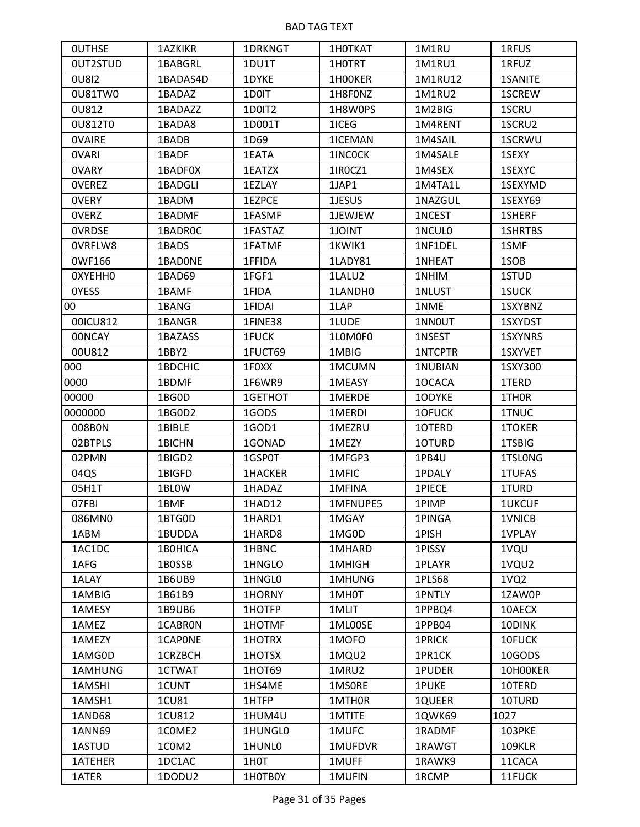| <b>OUTHSE</b> | <b>1AZKIKR</b> | 1DRKNGT           | 1H0TKAT  | 1M1RU          | 1RFUS            |
|---------------|----------------|-------------------|----------|----------------|------------------|
| OUT2STUD      | 1BABGRL        | 1DU1T             | 1HOTRT   | 1M1RU1         | 1RFUZ            |
| <b>0U8I2</b>  | 1BADAS4D       | 1DYKE             | 1H00KER  | 1M1RU12        | <b>1SANITE</b>   |
| 0U81TW0       | 1BADAZ         | 1D0IT             | 1H8F0NZ  | 1M1RU2         | 1SCREW           |
| 0U812         | 1BADAZZ        | 1D0IT2            | 1H8W0PS  | 1M2BIG         | 1SCRU            |
| 0U812T0       | 1BADA8         | 1D001T            | 1ICEG    | 1M4RENT        | 1SCRU2           |
| <b>OVAIRE</b> | 1BADB          | 1D69              | 1ICEMAN  | 1M4SAIL        | 1SCRWU           |
| <b>OVARI</b>  | 1BADF          | 1EATA             | 1INCOCK  | 1M4SALE        | 1SEXY            |
| <b>OVARY</b>  | 1BADF0X        | 1EATZX            | 1IROCZ1  | 1M4SEX         | 1SEXYC           |
| <b>OVEREZ</b> | 1BADGLI        | 1EZLAY            | 1JAP1    | 1M4TA1L        | 1SEXYMD          |
| <b>OVERY</b>  | 1BADM          | 1EZPCE            | 1JESUS   | 1NAZGUL        | 1SEXY69          |
| <b>OVERZ</b>  | 1BADMF         | 1FASMF            | 1JEWJEW  | 1NCEST         | 1SHERF           |
| <b>OVRDSE</b> | 1BADR0C        | 1FASTAZ           | 1JOINT   | 1NCUL0         | <b>1SHRTBS</b>   |
| OVRFLW8       | 1BADS          | 1FATMF            | 1KWIK1   | 1NF1DEL        | 1SMF             |
| 0WF166        | 1BAD0NE        | 1FFIDA            | 1LADY81  | 1NHEAT         | 1SOB             |
| OXYEHHO       | 1BAD69         | 1FGF1             | 1LALU2   | 1NHIM          | 1STUD            |
| <b>OYESS</b>  | 1BAMF          | 1FIDA             | 1LANDH0  | 1NLUST         | 1SUCK            |
| 00            | 1BANG          | 1FIDAI            | 1LAP     | 1NME           | 1SXYBNZ          |
| 00ICU812      | 1BANGR         | 1FINE38           | 1LUDE    | 1NN0UT         | 1SXYDST          |
| <b>OONCAY</b> | 1BAZASS        | 1FUCK             | 1LOMOFO  | 1NSEST         | 1SXYNRS          |
| 00U812        | 1BBY2          | 1FUCT69           | 1MBIG    | <b>1NTCPTR</b> | 1SXYVET          |
| 000           | 1BDCHIC        | 1F0XX             | 1MCUMN   | 1NUBIAN        | 1SXY300          |
| 0000          | 1BDMF          | 1F6WR9            | 1MEASY   | 10CACA         | 1TERD            |
| 00000         | 1BG0D          | 1GETHOT           | 1MERDE   | 10DYKE         | 1THOR            |
| 0000000       | 1BG0D2         | 1GODS             | 1MERDI   | 10FUCK         | 1TNUC            |
| 008B0N        | 1BIBLE         | 1GOD1             | 1MEZRU   | 1OTERD         | 1TOKER           |
| 02BTPLS       | 1BICHN         | 1GONAD            | 1MEZY    | 10TURD         | 1TSBIG           |
| 02PMN         | 1BIGD2         | 1GSP0T            | 1MFGP3   | 1PB4U          | 1TSLONG          |
| 04QS          | 1BIGFD         | <b>1HACKER</b>    | 1MFIC    | 1PDALY         | 1TUFAS           |
| 05H1T         | 1BLOW          | 1HADAZ            | 1MFINA   | 1PIECE         | 1TURD            |
| 07FBI         | 1BMF           | 1HAD12            | 1MFNUPE5 | 1PIMP          | <b>1UKCUF</b>    |
| 086MN0        | 1BTG0D         | 1HARD1            | 1MGAY    | 1PINGA         | 1VNICB           |
| 1ABM          | 1BUDDA         | 1HARD8            | 1MG0D    | 1PISH          | 1VPLAY           |
| 1AC1DC        | 1B0HICA        | 1HBNC             | 1MHARD   | 1PISSY         | 1VQU             |
| 1AFG          | 1B0SSB         | 1HNGLO            | 1MHIGH   | 1PLAYR         | 1VQU2            |
| 1ALAY         | 1B6UB9         | 1HNGL0            | 1MHUNG   | 1PLS68         | 1VQ <sub>2</sub> |
| 1AMBIG        | 1B61B9         | 1HORNY            | 1MH0T    | 1PNTLY         | 1ZAW0P           |
| 1AMESY        | 1B9UB6         | 1HOTFP            | 1MLIT    | 1PPBQ4         | 10AECX           |
| 1AMEZ         | 1CABRON        | 1HOTMF            | 1ML00SE  | 1PPB04         | 10DINK           |
| 1AMEZY        | 1CAPONE        | 1HOTRX            | 1MOFO    | 1PRICK         | 10FUCK           |
| 1AMG0D        | 1CRZBCH        | 1HOTSX            | 1MQU2    | 1PR1CK         | 10GODS           |
| 1AMHUNG       | 1CTWAT         | 1HOT69            | 1MRU2    | 1PUDER         | 10H00KER         |
| 1AMSHI        | 1CUNT          | 1HS4ME            | 1MSORE   | 1PUKE          | 10TERD           |
| 1AMSH1        | 1CU81          | 1HTFP             | 1MTH0R   | 1QUEER         | 10TURD           |
| 1AND68        | 1CU812         | 1HUM4U            | 1MTITE   | 1QWK69         | 1027             |
| <b>1ANN69</b> | 1COME2         | 1HUNGL0           | 1MUFC    | 1RADMF         | 103PKE           |
| 1ASTUD        | 1COM2          | 1HUNL0            | 1MUFDVR  | 1RAWGT         | 109KLR           |
| 1ATEHER       | 1DC1AC         | 1H <sub>0</sub> T | 1MUFF    | 1RAWK9         | 11CACA           |
| 1ATER         | 1DODU2         | 1H0TB0Y           | 1MUFIN   | 1RCMP          | 11FUCK           |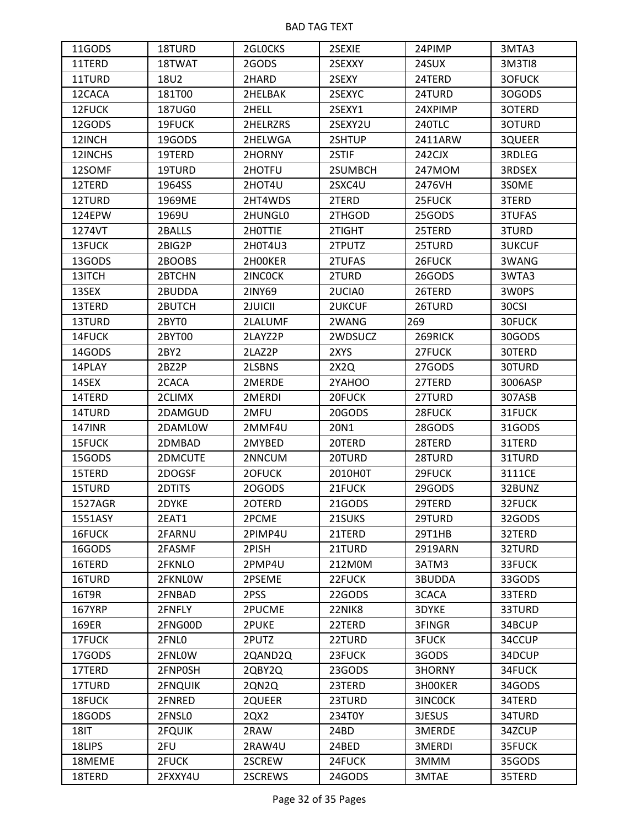| 11GODS        | 18TURD  | 2GLOCKS  | 2SEXIE        | 24PIMP        | 3MTA3         |
|---------------|---------|----------|---------------|---------------|---------------|
| 11TERD        | 18TWAT  | 2GODS    | 2SEXXY        | 24SUX         | 3M3TI8        |
| 11TURD        | 18U2    | 2HARD    | 2SEXY         | 24TERD        | 3OFUCK        |
| 12CACA        | 181T00  | 2HELBAK  | 2SEXYC        | 24TURD        | 30GODS        |
| 12FUCK        | 187UG0  | 2HELL    | 2SEXY1        | 24XPIMP       | 3OTERD        |
| 12GODS        | 19FUCK  | 2HELRZRS | 2SEXY2U       | <b>240TLC</b> | 3OTURD        |
| 12INCH        | 19GODS  | 2HELWGA  | 2SHTUP        | 2411ARW       | 3QUEER        |
| 12INCHS       | 19TERD  | 2HORNY   | 2STIF         | 242CJX        | 3RDLEG        |
| 12SOMF        | 19TURD  | 2HOTFU   | 2SUMBCH       | 247MOM        | 3RDSEX        |
| 12TERD        | 1964SS  | 2HOT4U   | 2SXC4U        | 2476VH        | 3SOME         |
| 12TURD        | 1969ME  | 2HT4WDS  | 2TERD         | 25FUCK        | 3TERD         |
| 124EPW        | 1969U   | 2HUNGL0  | 2THGOD        | 25GODS        | 3TUFAS        |
| 1274VT        | 2BALLS  | 2H0TTIE  | 2TIGHT        | 25TERD        | 3TURD         |
| 13FUCK        | 2BIG2P  | 2H0T4U3  | 2TPUTZ        | 25TURD        | <b>3UKCUF</b> |
| 13GODS        | 2BOOBS  | 2H00KER  | 2TUFAS        | 26FUCK        | 3WANG         |
| 13ITCH        | 2BTCHN  | 2INCOCK  | 2TURD         | 26GODS        | 3WTA3         |
| 13SEX         | 2BUDDA  | 2INY69   | 2UCIA0        | 26TERD        | 3W0PS         |
| 13TERD        | 2BUTCH  | 2JUICII  | <b>2UKCUF</b> | 26TURD        | 30CSI         |
| 13TURD        | 2BYT0   | 2LALUMF  | 2WANG         | 269           | 30FUCK        |
| 14FUCK        | 2BYT00  | 2LAYZ2P  | 2WDSUCZ       | 269RICK       | 30GODS        |
| 14GODS        | 2BY2    | 2LAZ2P   | 2XYS          | 27FUCK        | 30TERD        |
| 14PLAY        | 2BZ2P   | 2LSBNS   | 2X2Q          | 27GODS        | 30TURD        |
| 14SEX         | 2CACA   | 2MERDE   | 2YAHOO        | 27TERD        | 3006ASP       |
| 14TERD        | 2CLIMX  | 2MERDI   | 20FUCK        | 27TURD        | 307ASB        |
| 14TURD        | 2DAMGUD | 2MFU     | 20GODS        | 28FUCK        | 31FUCK        |
| <b>147INR</b> | 2DAML0W | 2MMF4U   | 20N1          | 28GODS        | 31GODS        |
| 15FUCK        | 2DMBAD  | 2MYBED   | 20TERD        | 28TERD        | 31TERD        |
| 15GODS        | 2DMCUTE | 2NNCUM   | 20TURD        | 28TURD        | 31TURD        |
| 15TERD        | 2DOGSF  | 2OFUCK   | 2010H0T       | 29FUCK        | 3111CE        |
| 15TURD        | 2DTITS  | 20GODS   | 21FUCK        | 29GODS        | 32BUNZ        |
| 1527AGR       | 2DYKE   | 20TERD   | 21GODS        | 29TERD        | 32FUCK        |
| 1551ASY       | 2EAT1   | 2PCME    | 21SUKS        | 29TURD        | 32GODS        |
| 16FUCK        | 2FARNU  | 2PIMP4U  | 21TERD        | 29T1HB        | 32TERD        |
| 16GODS        | 2FASMF  | 2PISH    | 21TURD        | 2919ARN       | 32TURD        |
| 16TERD        | 2FKNLO  | 2PMP4U   | 212M0M        | 3ATM3         | 33FUCK        |
| 16TURD        | 2FKNLOW | 2PSEME   | 22FUCK        | 3BUDDA        | 33GODS        |
| 16T9R         | 2FNBAD  | 2PSS     | 22GODS        | 3CACA         | 33TERD        |
| <b>167YRP</b> | 2FNFLY  | 2PUCME   | 22NIK8        | 3DYKE         | 33TURD        |
| 169ER         | 2FNG00D | 2PUKE    | 22TERD        | 3FINGR        | 34BCUP        |
| 17FUCK        | 2FNL0   | 2PUTZ    | 22TURD        | <b>3FUCK</b>  | 34CCUP        |
| 17GODS        | 2FNLOW  | 2QAND2Q  | 23FUCK        | 3GODS         | 34DCUP        |
| 17TERD        | 2FNP0SH | 2QBY2Q   | 23GODS        | 3HORNY        | 34FUCK        |
| 17TURD        | 2FNQUIK | 2QN2Q    | 23TERD        | 3H00KER       | 34GODS        |
| 18FUCK        | 2FNRED  | 2QUEER   | 23TURD        | 3INCOCK       | 34TERD        |
| 18GODS        | 2FNSL0  | 2QX2     | 234T0Y        | 3JESUS        | 34TURD        |
| <b>18IT</b>   | 2FQUIK  | 2RAW     | 24BD          | 3MERDE        | 34ZCUP        |
| 18LIPS        | 2FU     | 2RAW4U   | 24BED         | 3MERDI        | 35FUCK        |
| 18MEME        | 2FUCK   | 2SCREW   | 24FUCK        | 3MMM          | 35GODS        |
| 18TERD        | 2FXXY4U | 2SCREWS  | 24GODS        | 3MTAE         | 35TERD        |
|               |         |          |               |               |               |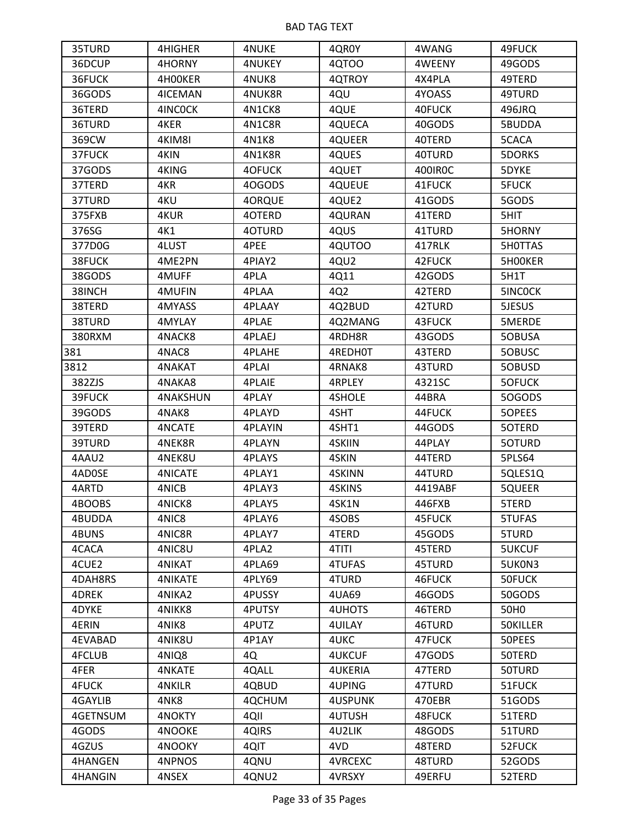| 35TURD         | 4HIGHER         | <b>4NUKE</b>  | 4QR0Y          | 4WANG   | 49FUCK           |
|----------------|-----------------|---------------|----------------|---------|------------------|
| 36DCUP         | 4HORNY          | <b>4NUKEY</b> | 4QTOO          | 4WEENY  | 49GODS           |
| 36FUCK         | 4H00KER         | 4NUK8         | 4QTROY         | 4X4PLA  | 49TERD           |
| 36GODS         | 4ICEMAN         | 4NUK8R        | 4QU            | 4YOASS  | 49TURD           |
| 36TERD         | 4INCOCK         | 4N1CK8        | 4QUE           | 40FUCK  | 496JRQ           |
| 36TURD         | 4KER            | 4N1C8R        | 4QUECA         | 40GODS  | 5BUDDA           |
| 369CW          | 4KIM8I          | 4N1K8         | 4QUEER         | 40TERD  | 5CACA            |
| 37FUCK         | 4KIN            | 4N1K8R        | 4QUES          | 40TURD  | 5DORKS           |
| 37GODS         | 4KING           | 4OFUCK        | 4QUET          | 400IR0C | 5DYKE            |
| 37TERD         | 4KR             | 40GODS        | <b>4QUEUE</b>  | 41FUCK  | <b>5FUCK</b>     |
| 37TURD         | 4KU             | 4ORQUE        | 4QUE2          | 41GODS  | 5GODS            |
| 375FXB         | 4KUR            | 4OTERD        | 4QURAN         | 41TERD  | 5HIT             |
| 376SG          | 4K1             | 40TURD        | 4QUS           | 41TURD  | 5HORNY           |
| 377D0G         | 4LUST           | 4PEE          | 4QUTOO         | 417RLK  | 5H0TTAS          |
| 38FUCK         | 4ME2PN          | 4PIAY2        | 4QU2           | 42FUCK  | 5H00KER          |
| 38GODS         | 4MUFF           | 4PLA          | 4Q11           | 42GODS  | 5H1T             |
| 38INCH         | 4MUFIN          | 4PLAA         | 4Q2            | 42TERD  | 5INCOCK          |
| 38TERD         | 4MYASS          | 4PLAAY        | 4Q2BUD         | 42TURD  | 5JESUS           |
| 38TURD         | 4MYLAY          | 4PLAE         | 4Q2MANG        | 43FUCK  | 5MERDE           |
| 380RXM         | 4NACK8          | 4PLAEJ        | 4RDH8R         | 43GODS  | 50BUSA           |
| 381            | 4NAC8           | <b>4PLAHE</b> | 4REDH0T        | 43TERD  | 50BUSC           |
| 3812           | 4NAKAT          | 4PLAI         | 4RNAK8         | 43TURD  | 5OBUSD           |
| 382ZJS         | 4NAKA8          | <b>4PLAIE</b> | 4RPLEY         | 4321SC  | 5OFUCK           |
| 39FUCK         | <b>4NAKSHUN</b> | 4PLAY         | 4SHOLE         | 44BRA   | 50GODS           |
| 39GODS         | 4NAK8           | 4PLAYD        | 4SHT           | 44FUCK  | 5OPEES           |
| 39TERD         | 4NCATE          | 4PLAYIN       | 4SHT1          | 44GODS  | 5OTERD           |
| 39TURD         | 4NEK8R          | 4PLAYN        | 4SKIIN         | 44PLAY  | 5OTURD           |
| 4AAU2          | 4NEK8U          | 4PLAYS        | 4SKIN          | 44TERD  | 5PLS64           |
| 4AD0SE         | <b>4NICATE</b>  | 4PLAY1        | 4SKINN         | 44TURD  | 5QLES1Q          |
| 4ARTD          | 4NICB           | 4PLAY3        | 4SKINS         | 4419ABF | 5QUEER           |
| 4BOOBS         | 4NICK8          | 4PLAY5        | 4SK1N          | 446FXB  | 5TERD            |
| 4BUDDA         | 4NIC8           | 4PLAY6        | 4SOBS          | 45FUCK  | 5TUFAS           |
| 4BUNS          | 4NIC8R          | 4PLAY7        | 4TERD          | 45GODS  | 5TURD            |
| 4CACA          | 4NIC8U          | 4PLA2         | 4TITI          | 45TERD  | <b>5UKCUF</b>    |
| 4CUE2          | <b>4NIKAT</b>   | 4PLA69        | <b>4TUFAS</b>  | 45TURD  | 5UK0N3           |
| 4DAH8RS        | <b>4NIKATE</b>  | 4PLY69        | 4TURD          | 46FUCK  | 50FUCK           |
| 4DREK          | 4NIKA2          | 4PUSSY        | 4UA69          | 46GODS  | 50GODS           |
| 4DYKE          | 4NIKK8          | 4PUTSY        | 4UHOTS         | 46TERD  | 50H <sub>0</sub> |
| 4ERIN          | 4NIK8           | 4PUTZ         | <b>4UILAY</b>  | 46TURD  | 50KILLER         |
| <b>4EVABAD</b> | 4NIK8U          | 4P1AY         | 4UKC           | 47FUCK  | 50PEES           |
| 4FCLUB         | 4NIQ8           | 4Q            | <b>4UKCUF</b>  | 47GODS  | 50TERD           |
| 4FER           | <b>4NKATE</b>   | 4QALL         | <b>4UKERIA</b> | 47TERD  | 50TURD           |
| 4FUCK          | <b>4NKILR</b>   | 4QBUD         | 4UPING         | 47TURD  | 51FUCK           |
| 4GAYLIB        | 4NK8            | 4QCHUM        | <b>4USPUNK</b> | 470EBR  | 51GODS           |
| 4GETNSUM       | 4NOKTY          | 4QII          | 4UTUSH         | 48FUCK  | 51TERD           |
| 4GODS          | 4NOOKE          | 4QIRS         | 4U2LIK         | 48GODS  | 51TURD           |
| 4GZUS          | 4NOOKY          | 4QIT          | 4VD            | 48TERD  | 52FUCK           |
| 4HANGEN        | 4NPNOS          | 4QNU          | <b>4VRCEXC</b> | 48TURD  | 52GODS           |
| 4HANGIN        | 4NSEX           | 4QNU2         | 4VRSXY         | 49ERFU  | 52TERD           |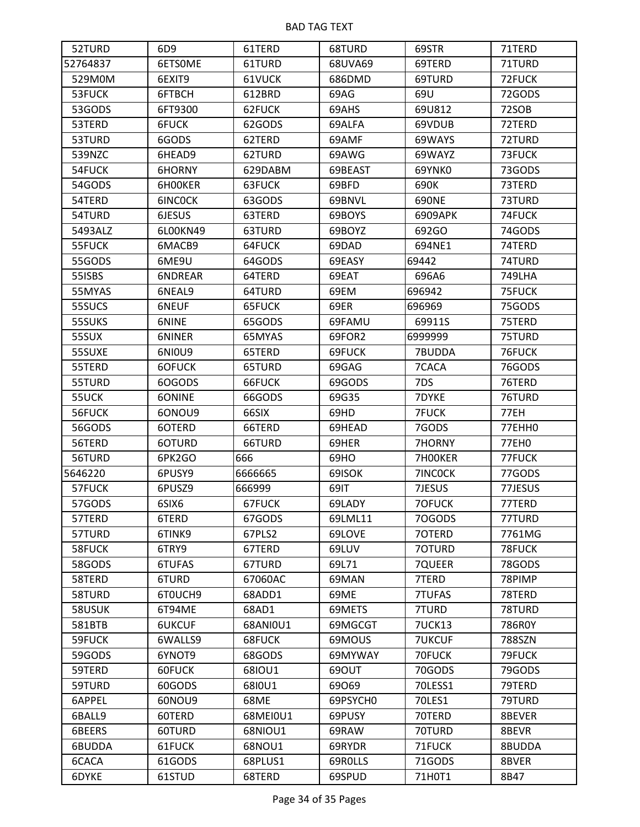| 52TURD   | 6D9      | 61TERD   | 68TURD   | 69STR         | 71TERD        |
|----------|----------|----------|----------|---------------|---------------|
| 52764837 | 6ETSOME  | 61TURD   | 68UVA69  | 69TERD        | 71TURD        |
| 529M0M   | 6EXIT9   | 61VUCK   | 686DMD   | 69TURD        | 72FUCK        |
| 53FUCK   | 6FTBCH   | 612BRD   | 69AG     | 69U           | 72GODS        |
| 53GODS   | 6FT9300  | 62FUCK   | 69AHS    | 69U812        | 72SOB         |
| 53TERD   | 6FUCK    | 62GODS   | 69ALFA   | 69VDUB        | 72TERD        |
| 53TURD   | 6GODS    | 62TERD   | 69AMF    | 69WAYS        | 72TURD        |
| 539NZC   | 6HEAD9   | 62TURD   | 69AWG    | 69WAYZ        | 73FUCK        |
| 54FUCK   | 6HORNY   | 629DABM  | 69BEAST  | 69YNK0        | 73GODS        |
| 54GODS   | 6HOOKER  | 63FUCK   | 69BFD    | 690K          | 73TERD        |
| 54TERD   | 6INCOCK  | 63GODS   | 69BNVL   | 690NE         | 73TURD        |
| 54TURD   | 6JESUS   | 63TERD   | 69BOYS   | 6909APK       | 74FUCK        |
| 5493ALZ  | 6L00KN49 | 63TURD   | 69BOYZ   | 692GO         | 74GODS        |
| 55FUCK   | 6MACB9   | 64FUCK   | 69DAD    | 694NE1        | 74TERD        |
| 55GODS   | 6ME9U    | 64GODS   | 69EASY   | 69442         | 74TURD        |
| 55ISBS   | 6NDREAR  | 64TERD   | 69EAT    | 696A6         | <b>749LHA</b> |
| 55MYAS   | 6NEAL9   | 64TURD   | 69EM     | 696942        | 75FUCK        |
| 55SUCS   | 6NEUF    | 65FUCK   | 69ER     | 696969        | 75GODS        |
| 55SUKS   | 6NINE    | 65GODS   | 69FAMU   | 69911S        | 75TERD        |
| 55SUX    | 6NINER   | 65MYAS   | 69FOR2   | 6999999       | 75TURD        |
| 55SUXE   | 6N10U9   | 65TERD   | 69FUCK   | 7BUDDA        | 76FUCK        |
| 55TERD   | 6OFUCK   | 65TURD   | 69GAG    | 7CACA         | 76GODS        |
| 55TURD   | 6OGODS   | 66FUCK   | 69GODS   | 7DS           | 76TERD        |
| 55UCK    | 6ONINE   | 66GODS   | 69G35    | 7DYKE         | 76TURD        |
| 56FUCK   | 6ONOU9   | 66SIX    | 69HD     | <b>7FUCK</b>  | 77EH          |
| 56GODS   | 6OTERD   | 66TERD   | 69HEAD   | 7GODS         | 77EHH0        |
| 56TERD   | 6OTURD   | 66TURD   | 69HER    | 7HORNY        | 77EH0         |
| 56TURD   | 6PK2GO   | 666      | 69HO     | 7H00KER       | 77FUCK        |
| 5646220  | 6PUSY9   | 6666665  | 69ISOK   | 7INCOCK       | 77GODS        |
| 57FUCK   | 6PUSZ9   | 666999   | 69IT     | 7JESUS        | 77JESUS       |
| 57GODS   | 6SIX6    | 67FUCK   | 69LADY   | 70FUCK        | 77TERD        |
| 57TERD   | 6TERD    | 67GODS   | 69LML11  | 70GODS        | 77TURD        |
| 57TURD   | 6TINK9   | 67PLS2   | 69LOVE   | 70TERD        | 7761MG        |
| 58FUCK   | 6TRY9    | 67TERD   | 69LUV    | 70TURD        | 78FUCK        |
| 58GODS   | 6TUFAS   | 67TURD   | 69L71    | 7QUEER        | 78GODS        |
| 58TERD   | 6TURD    | 67060AC  | 69MAN    | 7TERD         | 78PIMP        |
| 58TURD   | 6T0UCH9  | 68ADD1   | 69ME     | 7TUFAS        | 78TERD        |
| 58USUK   | 6T94ME   | 68AD1    | 69METS   | 7TURD         | 78TURD        |
| 581BTB   | 6UKCUF   | 68ANI0U1 | 69MGCGT  | <b>7UCK13</b> | 786R0Y        |
| 59FUCK   | 6WALLS9  | 68FUCK   | 69MOUS   | <b>7UKCUF</b> | 788SZN        |
| 59GODS   | 6YNOT9   | 68GODS   | 69MYWAY  | 70FUCK        | 79FUCK        |
| 59TERD   | 60FUCK   | 68IOU1   | 690UT    | 70GODS        | 79GODS        |
| 59TURD   | 60GODS   | 6810U1   | 69069    | 70LESS1       | 79TERD        |
| 6APPEL   | 60NOU9   | 68ME     | 69PSYCH0 | 70LES1        | 79TURD        |
| 6BALL9   | 60TERD   | 68MEI0U1 | 69PUSY   | 70TERD        | 8BEVER        |
| 6BEERS   | 60TURD   | 68NIOU1  | 69RAW    | 70TURD        | 8BEVR         |
| 6BUDDA   | 61FUCK   | 68NOU1   | 69RYDR   | 71FUCK        | 8BUDDA        |
| 6CACA    | 61GODS   | 68PLUS1  | 69ROLLS  | 71GODS        | 8BVER         |
| 6DYKE    | 61STUD   | 68TERD   | 69SPUD   | 71H0T1        | 8B47          |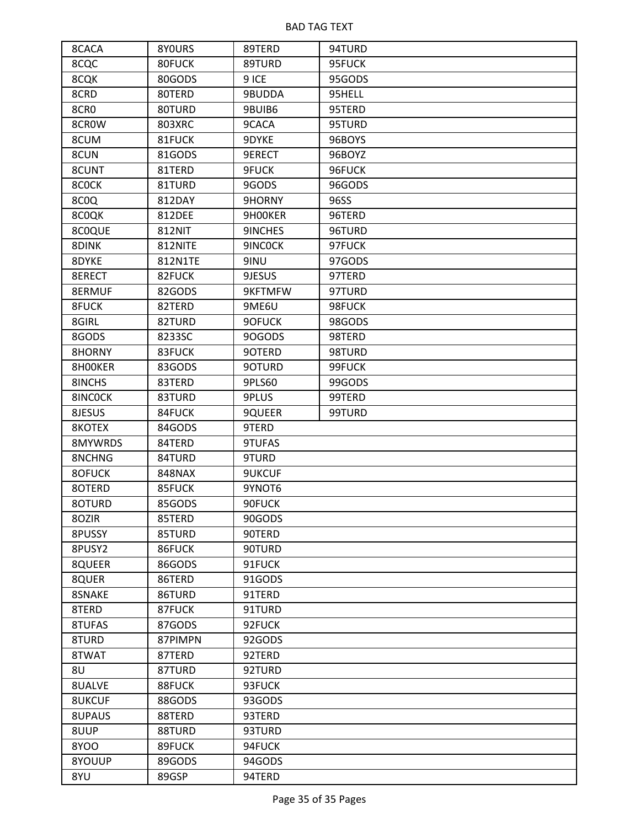| 8CACA            | 8YOURS  | 89TERD        | 94TURD |
|------------------|---------|---------------|--------|
| 8CQC             | 80FUCK  | 89TURD        | 95FUCK |
| 8CQK             | 80GODS  | 9 ICE         | 95GODS |
| 8CRD             | 80TERD  | 9BUDDA        | 95HELL |
| 8CR <sub>0</sub> | 80TURD  | 9BUIB6        | 95TERD |
| 8CROW            | 803XRC  | 9CACA         | 95TURD |
| 8CUM             | 81FUCK  | 9DYKE         | 96BOYS |
| 8CUN             | 81GODS  | 9ERECT        | 96BOYZ |
| 8CUNT            | 81TERD  | 9FUCK         | 96FUCK |
| 8COCK            | 81TURD  | 9GODS         | 96GODS |
| 8COQ             | 812DAY  | 9HORNY        | 96SS   |
| 8COQK            | 812DEE  | 9H00KER       | 96TERD |
| 8C0QUE           | 812NIT  | 9INCHES       | 96TURD |
| 8DINK            | 812NITE | 9INCOCK       | 97FUCK |
| 8DYKE            | 812N1TE | 9INU          | 97GODS |
| 8ERECT           | 82FUCK  | 9JESUS        | 97TERD |
| 8ERMUF           | 82GODS  | 9KFTMFW       | 97TURD |
| 8FUCK            | 82TERD  | 9ME6U         | 98FUCK |
| 8GIRL            | 82TURD  | 9OFUCK        | 98GODS |
| 8GODS            | 8233SC  | 90GODS        | 98TERD |
| 8HORNY           | 83FUCK  | 9OTERD        | 98TURD |
| 8HOOKER          | 83GODS  | 90TURD        | 99FUCK |
| 8INCHS           | 83TERD  | 9PLS60        | 99GODS |
| 8INCOCK          | 83TURD  | 9PLUS         | 99TERD |
| 8JESUS           | 84FUCK  | 9QUEER        | 99TURD |
| 8KOTEX           | 84GODS  | 9TERD         |        |
| 8MYWRDS          | 84TERD  | 9TUFAS        |        |
| 8NCHNG           | 84TURD  | 9TURD         |        |
| 80FUCK           | 848NAX  | <b>9UKCUF</b> |        |
| 8OTERD           | 85FUCK  | 9YNOT6        |        |
| 80TURD           | 85GODS  | 90FUCK        |        |
| 80ZIR            | 85TERD  | 90GODS        |        |
| 8PUSSY           | 85TURD  | 90TERD        |        |
| 8PUSY2           | 86FUCK  | 90TURD        |        |
| 8QUEER           | 86GODS  | 91FUCK        |        |
| 8QUER            | 86TERD  | 91GODS        |        |
| 8SNAKE           | 86TURD  | 91TERD        |        |
| 8TERD            | 87FUCK  | 91TURD        |        |
| 8TUFAS           | 87GODS  | 92FUCK        |        |
| 8TURD            | 87PIMPN | 92GODS        |        |
| 8TWAT            | 87TERD  | 92TERD        |        |
| 8U               | 87TURD  | 92TURD        |        |
| 8UALVE           | 88FUCK  | 93FUCK        |        |
| <b>8UKCUF</b>    | 88GODS  | 93GODS        |        |
| 8UPAUS           | 88TERD  | 93TERD        |        |
| 8UUP             | 88TURD  | 93TURD        |        |
| 8YOO             | 89FUCK  | 94FUCK        |        |
| 8YOUUP           | 89GODS  | 94GODS        |        |
| 8YU              | 89GSP   | 94TERD        |        |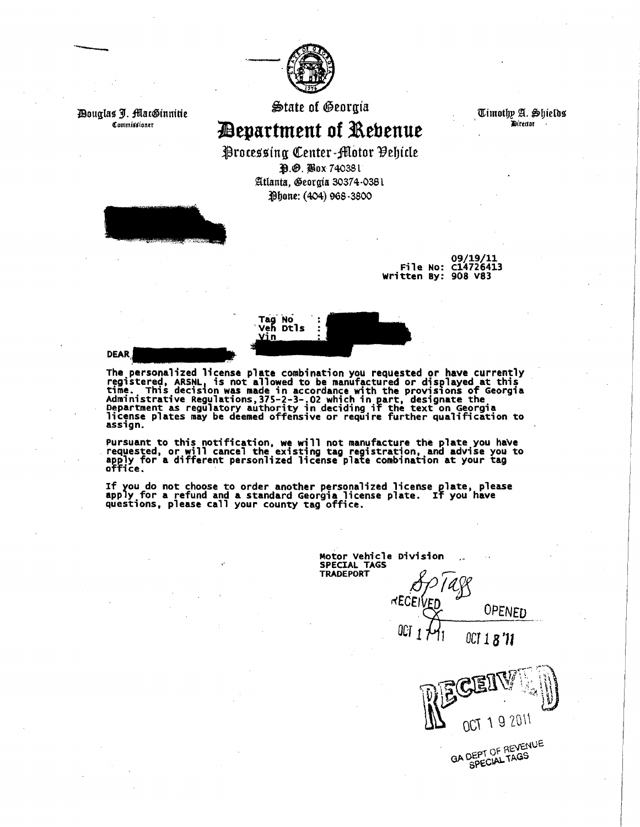

*Pouglas J. MacGinnitie* Commissioner

·--

 $\bigcirc$ tate of Oeorgia $^-$ 

~epartment **of l\ebenue** 

Timothy A. Shields ' JHrrctor ·

Processing Center-Motor Pehicle ~.e. jiox 74038 t

Atlanta, Georgia 30374-0381 Phone: (404) 968-3800



09/19/11 File No: C14726413 written By: 908 V83

Tag No<br>Veh Dtls Vin

**DEAR** 

The personalized license plate combination you requested or have currently registered, ARSNL, is not allowed to be manufactured or displayed at this registered, ARSNL, is not allowed to be manufactured or displayed at this time. This decision was made in accordance with the provisions of Georgia<br>Administrative Regulations, 375-2-3-.02 which in part, designate the Administrative Regulations, 3/5-2-3-.02 which in part, designate the<br>Department as regulatory authority in deciding if the text on Georgia license plates may be deemed offensive or require further qualification to<br>assign.

Pursuant to this notification, we will not manufacture the plate you have requested, or will cancel the existing tag registration, and advise you to apply for a different personlized license plate combination at your tag office.

If you do not choose to order another personalized license plate, please<br>apply for a refund and a standard Georgia license plate. If you have<br>questions, please call your county tag office.

Motor vehicle Division SPECIAL TAGS

 $REC$ 

TRADEPORT *APTASS* OPENED

*OCT 1* 1 *OCT 1 8* '11

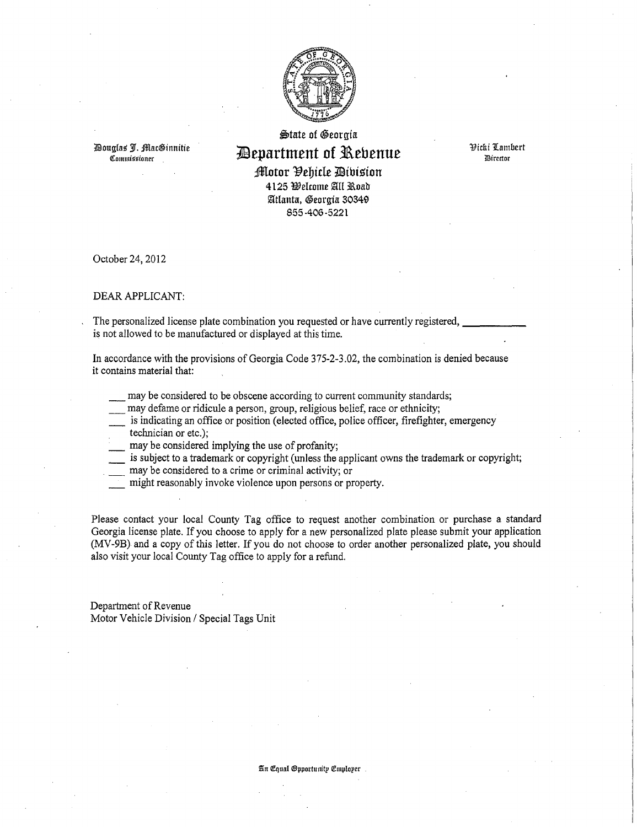

llouglas' 3{. :fflac©innitie Qi:ommiititioner

## $\bigoplus$ tate of Georgia **11Bepartment of 31\ebenue**

Yichi 1Lambcrt lJDircctor

;lflllotor Yebide llibi~ion 4125 Welcome All Road Atlanta, Georgia 30349 855-406-5221

October 24, 2012

#### DEAR APPLICANT:

The personalized license plate combination you requested or have currently registered, is not allowed to be manufactured or displayed at this time.

In accordance with the provisions of Georgia Code 375-2-3.02, the combination is denied because it contains material that:

- may be considered to be obscene according to current community standards;
- may defame or ridicule a person, group, religious belief, race or ethnicity;

is indicating an office or position (elected office, police officer, firefighter, emergency

- technician or etc.);
- may be considered implying the use of profanity;
- is subject to a trademark or copyright (unless the applicant owns the trademark or copyright;
- may be considered to a crime or criminal activity; or
- might reasonably invoke violence upon persons or property.

Please contact your local County Tag office to request another combination or purchase a standard Georgia license plate. If you choose to apply for a new personalized plate please submit your application (MV-9B) and a copy of this letter. If you do not choose to order another personalized plate, you should also visit your local County Tag office to apply for a refund.

Department of Revenue Motor Vehicle Division / Special Tags Unit

#### i&n Qf:qual @ppol'tunitp <!Cmplopcr .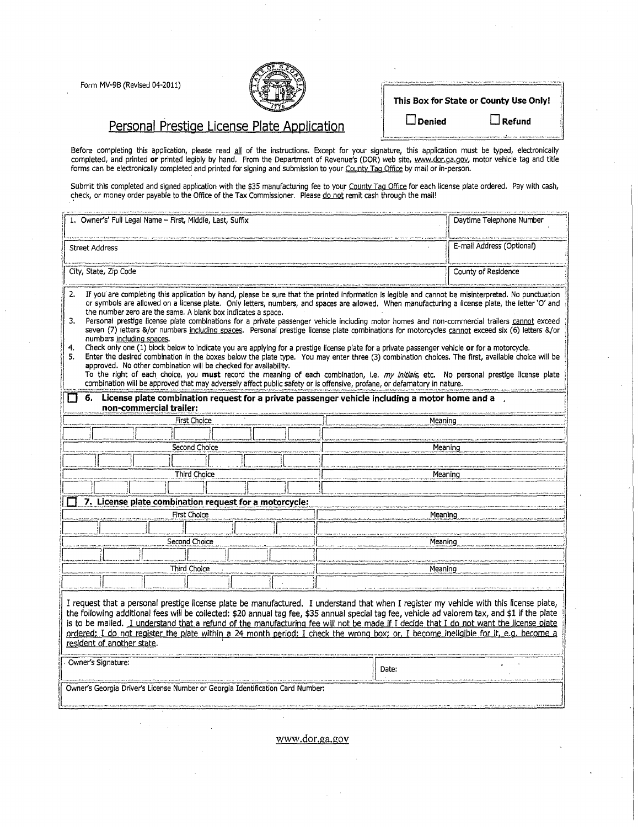Form MV-9B (Revised 04-2011)



| This Box for State or County Use Only! |                                                                                                                                                                                                                                   |
|----------------------------------------|-----------------------------------------------------------------------------------------------------------------------------------------------------------------------------------------------------------------------------------|
| $\Box$ Denied                          | $\Box$ Refund                                                                                                                                                                                                                     |
|                                        | .<br>The contract serves of the contract of the contract of the contract of the contract of the contract of the contract of the contract of the contract of the contract of the contract of the contract of the contract of the c |

Personal Prestige License Plate Application

Before completing this application, please read <u>all</u> of the instructions. Except for your signature, this application must be typed, electronically completed, and printed **or** printed legibly by hand. From the Department of Revenue's (DOR) web site, <u>www.dor.ga.gov</u>, motor vehicle tag and title forms can be electronically completed and printed for signing and submission to your <u>County Tag Office</u> by mail or in-person.

Submit this completed and signed application with the \$35 manufacturing fee to your <u>County Tag Office</u> for each license plate ordered. Pay with cash, check, or money order payable to the Office of the Tax Commissioner. Please <u>do not</u> remit cash through the mail!

| 1. Owner's' Full Legal Name - First, Middle, Last, Suffix                                                                                                                                                                                                                                                                                                                                                                                                                                                                                                                                                                                                                                                                                                                                                                                                                                                                                                                                                                                                                                                                                                                                                                                                                                                                                                                        | Daytime Telephone Number  |  |
|----------------------------------------------------------------------------------------------------------------------------------------------------------------------------------------------------------------------------------------------------------------------------------------------------------------------------------------------------------------------------------------------------------------------------------------------------------------------------------------------------------------------------------------------------------------------------------------------------------------------------------------------------------------------------------------------------------------------------------------------------------------------------------------------------------------------------------------------------------------------------------------------------------------------------------------------------------------------------------------------------------------------------------------------------------------------------------------------------------------------------------------------------------------------------------------------------------------------------------------------------------------------------------------------------------------------------------------------------------------------------------|---------------------------|--|
| <b>Street Address</b>                                                                                                                                                                                                                                                                                                                                                                                                                                                                                                                                                                                                                                                                                                                                                                                                                                                                                                                                                                                                                                                                                                                                                                                                                                                                                                                                                            | E-mail Address (Optional) |  |
| City, State, Zip Code                                                                                                                                                                                                                                                                                                                                                                                                                                                                                                                                                                                                                                                                                                                                                                                                                                                                                                                                                                                                                                                                                                                                                                                                                                                                                                                                                            | County of Residence       |  |
| If you are completing this application by hand, please be sure that the printed information is legible and cannot be misinterpreted. No punctuation<br>2.<br>or symbols are allowed on a license plate. Only letters, numbers, and spaces are allowed. When manufacturing a license plate, the letter 'O' and<br>the number zero are the same. A blank box indicates a space,<br>Personal prestige license plate combinations for a private passenger vehicle including motor homes and non-commercial trailers cannot exceed<br>3.<br>seven (7) letters &/or numbers including spaces. Personal prestige license plate combinations for motorcycles cannot exceed six (6) letters &/or<br>numbers including spaces.<br>Check only one (1) block below to indicate you are applying for a prestige license plate for a private passenger vehicle or for a motorcycle.<br>4.<br>Enter the desired combination in the boxes below the plate type. You may enter three (3) combination choices. The first, available choice will be<br>5.<br>approved. No other combination will be checked for availability.<br>To the right of each choice, you must record the meaning of each combination, i.e. my initials, etc. No personal prestige license plate<br>combination will be approved that may adversely affect public safety or is offensive, profane, or defamatory in nature. |                           |  |
| 6. License plate combination request for a private passenger vehicle including a motor home and a<br>non-commercial trailer:                                                                                                                                                                                                                                                                                                                                                                                                                                                                                                                                                                                                                                                                                                                                                                                                                                                                                                                                                                                                                                                                                                                                                                                                                                                     |                           |  |
| <b>First Choice</b>                                                                                                                                                                                                                                                                                                                                                                                                                                                                                                                                                                                                                                                                                                                                                                                                                                                                                                                                                                                                                                                                                                                                                                                                                                                                                                                                                              | Meaning                   |  |
|                                                                                                                                                                                                                                                                                                                                                                                                                                                                                                                                                                                                                                                                                                                                                                                                                                                                                                                                                                                                                                                                                                                                                                                                                                                                                                                                                                                  |                           |  |
| Second Choice                                                                                                                                                                                                                                                                                                                                                                                                                                                                                                                                                                                                                                                                                                                                                                                                                                                                                                                                                                                                                                                                                                                                                                                                                                                                                                                                                                    | Meaning                   |  |
|                                                                                                                                                                                                                                                                                                                                                                                                                                                                                                                                                                                                                                                                                                                                                                                                                                                                                                                                                                                                                                                                                                                                                                                                                                                                                                                                                                                  |                           |  |
|                                                                                                                                                                                                                                                                                                                                                                                                                                                                                                                                                                                                                                                                                                                                                                                                                                                                                                                                                                                                                                                                                                                                                                                                                                                                                                                                                                                  |                           |  |
| Third Choice                                                                                                                                                                                                                                                                                                                                                                                                                                                                                                                                                                                                                                                                                                                                                                                                                                                                                                                                                                                                                                                                                                                                                                                                                                                                                                                                                                     | Meaning                   |  |
|                                                                                                                                                                                                                                                                                                                                                                                                                                                                                                                                                                                                                                                                                                                                                                                                                                                                                                                                                                                                                                                                                                                                                                                                                                                                                                                                                                                  |                           |  |
| 7. License plate combination request for a motorcycle:                                                                                                                                                                                                                                                                                                                                                                                                                                                                                                                                                                                                                                                                                                                                                                                                                                                                                                                                                                                                                                                                                                                                                                                                                                                                                                                           |                           |  |
| <b>First Choice</b>                                                                                                                                                                                                                                                                                                                                                                                                                                                                                                                                                                                                                                                                                                                                                                                                                                                                                                                                                                                                                                                                                                                                                                                                                                                                                                                                                              | Meaning                   |  |
|                                                                                                                                                                                                                                                                                                                                                                                                                                                                                                                                                                                                                                                                                                                                                                                                                                                                                                                                                                                                                                                                                                                                                                                                                                                                                                                                                                                  |                           |  |
| Second Choice                                                                                                                                                                                                                                                                                                                                                                                                                                                                                                                                                                                                                                                                                                                                                                                                                                                                                                                                                                                                                                                                                                                                                                                                                                                                                                                                                                    | Meaning                   |  |
|                                                                                                                                                                                                                                                                                                                                                                                                                                                                                                                                                                                                                                                                                                                                                                                                                                                                                                                                                                                                                                                                                                                                                                                                                                                                                                                                                                                  |                           |  |
|                                                                                                                                                                                                                                                                                                                                                                                                                                                                                                                                                                                                                                                                                                                                                                                                                                                                                                                                                                                                                                                                                                                                                                                                                                                                                                                                                                                  |                           |  |
| Third Choice                                                                                                                                                                                                                                                                                                                                                                                                                                                                                                                                                                                                                                                                                                                                                                                                                                                                                                                                                                                                                                                                                                                                                                                                                                                                                                                                                                     | Meaning                   |  |
|                                                                                                                                                                                                                                                                                                                                                                                                                                                                                                                                                                                                                                                                                                                                                                                                                                                                                                                                                                                                                                                                                                                                                                                                                                                                                                                                                                                  |                           |  |
| I request that a personal prestige license plate be manufactured. I understand that when I register my vehicle with this license plate,<br>the following additional fees will be collected: \$20 annual tag fee, \$35 annual special tag fee, vehicle ad valorem tax, and \$1 if the plate<br>is to be mailed. I understand that a refund of the manufacturing fee will not be made if I decide that I do not want the license plate<br>ordered: I do not register the plate within a 24 month period; I check the wrong box; or, I become ineligible for it, e.g. become a<br>resident of another state.                                                                                                                                                                                                                                                                                                                                                                                                                                                                                                                                                                                                                                                                                                                                                                        |                           |  |
| Owner's Signature:<br>Date:                                                                                                                                                                                                                                                                                                                                                                                                                                                                                                                                                                                                                                                                                                                                                                                                                                                                                                                                                                                                                                                                                                                                                                                                                                                                                                                                                      |                           |  |
| Owner's Georgia Driver's License Number or Georgia Identification Card Number;                                                                                                                                                                                                                                                                                                                                                                                                                                                                                                                                                                                                                                                                                                                                                                                                                                                                                                                                                                                                                                                                                                                                                                                                                                                                                                   |                           |  |

\:Vww.dor.ga.gov